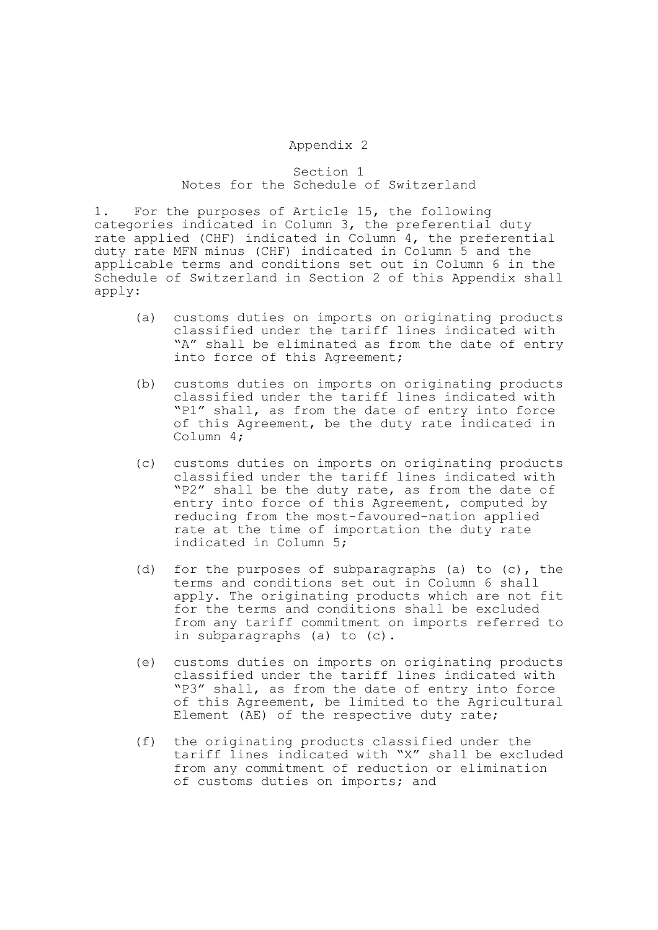## Appendix 2

## Section 1 Notes for the Schedule of Switzerland

1. For the purposes of Article 15, the following categories indicated in Column 3, the preferential duty rate applied (CHF) indicated in Column 4, the preferential duty rate MFN minus (CHF) indicated in Column 5 and the applicable terms and conditions set out in Column 6 in the Schedule of Switzerland in Section 2 of this Appendix shall apply:

- (a) customs duties on imports on originating products classified under the tariff lines indicated with "A" shall be eliminated as from the date of entry into force of this Agreement;
- (b) customs duties on imports on originating products classified under the tariff lines indicated with "P1" shall, as from the date of entry into force of this Agreement, be the duty rate indicated in Column 4;
- (c) customs duties on imports on originating products classified under the tariff lines indicated with "P2" shall be the duty rate, as from the date of entry into force of this Agreement, computed by reducing from the most-favoured-nation applied rate at the time of importation the duty rate indicated in Column 5;
- (d) for the purposes of subparagraphs (a) to (c), the terms and conditions set out in Column 6 shall apply. The originating products which are not fit for the terms and conditions shall be excluded from any tariff commitment on imports referred to in subparagraphs (a) to (c).
- (e) customs duties on imports on originating products classified under the tariff lines indicated with "P3" shall, as from the date of entry into force of this Agreement, be limited to the Agricultural Element (AE) of the respective duty rate;
- (f) the originating products classified under the tariff lines indicated with "X" shall be excluded from any commitment of reduction or elimination of customs duties on imports; and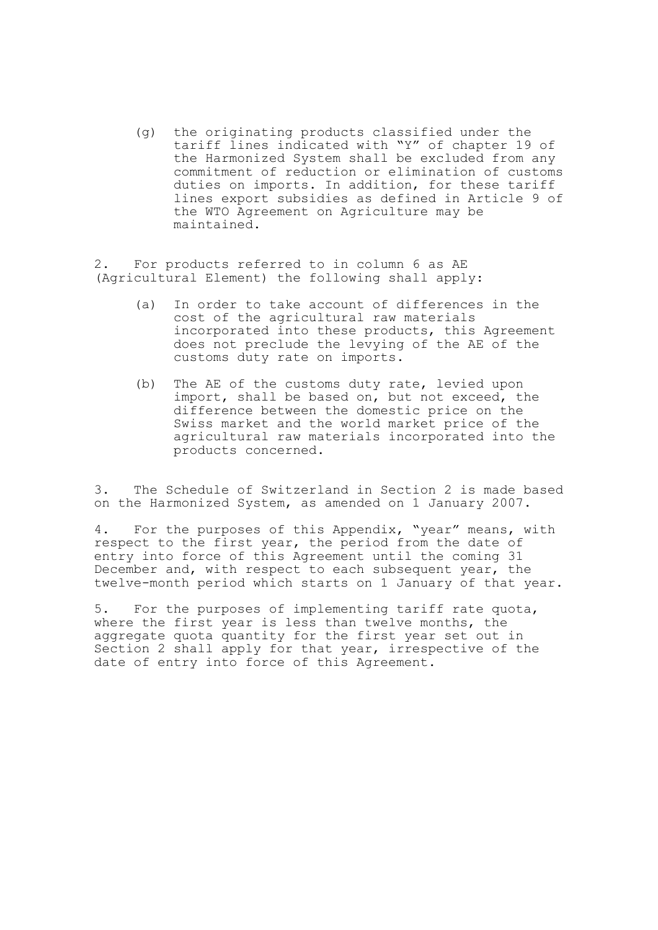(g) the originating products classified under the tariff lines indicated with "Y" of chapter 19 of the Harmonized System shall be excluded from any commitment of reduction or elimination of customs duties on imports. In addition, for these tariff lines export subsidies as defined in Article 9 of the WTO Agreement on Agriculture may be maintained.

2. For products referred to in column 6 as AE (Agricultural Element) the following shall apply:

- (a) In order to take account of differences in the cost of the agricultural raw materials incorporated into these products, this Agreement does not preclude the levying of the AE of the customs duty rate on imports.
- (b) The AE of the customs duty rate, levied upon import, shall be based on, but not exceed, the difference between the domestic price on the Swiss market and the world market price of the agricultural raw materials incorporated into the products concerned.

3. The Schedule of Switzerland in Section 2 is made based on the Harmonized System, as amended on 1 January 2007.

4. For the purposes of this Appendix, "year" means, with respect to the first year, the period from the date of entry into force of this Agreement until the coming 31 December and, with respect to each subsequent year, the twelve-month period which starts on 1 January of that year.

5. For the purposes of implementing tariff rate quota, where the first year is less than twelve months, the aggregate quota quantity for the first year set out in Section 2 shall apply for that year, irrespective of the date of entry into force of this Agreement.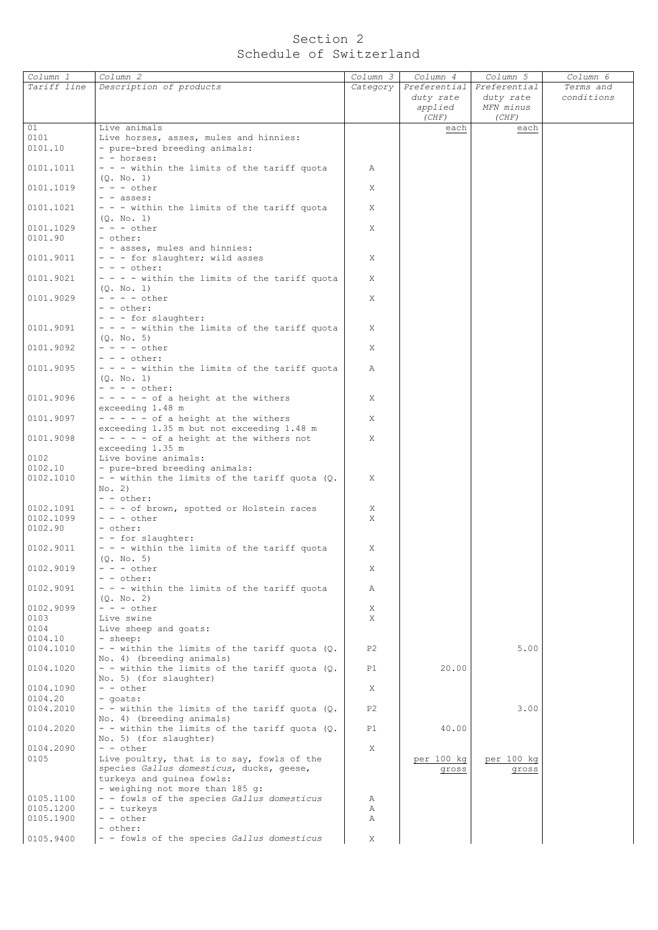## Section 2 Schedule of Switzerland

| Column 1               | Column 2                                                                   | Column 3 | Column 4   | Column 5                  | Column 6   |
|------------------------|----------------------------------------------------------------------------|----------|------------|---------------------------|------------|
| Tariff line            | Description of products                                                    | Category |            | Preferential Preferential | Terms and  |
|                        |                                                                            |          | duty rate  | duty rate                 | conditions |
|                        |                                                                            |          | applied    | MFN minus                 |            |
|                        |                                                                            |          | (CHF)      | (CHF)                     |            |
| 01                     | Live animals                                                               |          | each       | each                      |            |
| 0101                   | Live horses, asses, mules and hinnies:                                     |          |            |                           |            |
| 0101.10                | - pure-bred breeding animals:<br>- - horses:                               |          |            |                           |            |
| 0101.1011              | - - - within the limits of the tariff quota                                | Α        |            |                           |            |
|                        | (0, No, 1)                                                                 |          |            |                           |            |
| 0101.1019              | $- - -$ other                                                              | X        |            |                           |            |
|                        | $-$ - asses:                                                               |          |            |                           |            |
| 0101.1021              | - - - within the limits of the tariff quota                                | X        |            |                           |            |
|                        | (0, No, 1)                                                                 |          |            |                           |            |
| 0101.1029              | $- - -$ other                                                              | X        |            |                           |            |
| 0101.90                | - other:                                                                   |          |            |                           |            |
| 0101.9011              | - - asses, mules and hinnies:<br>- - - for slaughter; wild asses           | X        |            |                           |            |
|                        | $- - -$ other:                                                             |          |            |                           |            |
| 0101.9021              | $- - -$ within the limits of the tariff quota                              | X        |            |                           |            |
|                        | (Q. No. 1)                                                                 |          |            |                           |            |
| 0101.9029              | $- - - -$ other                                                            | X        |            |                           |            |
|                        | - - other:                                                                 |          |            |                           |            |
|                        | - - - for slaughter:                                                       |          |            |                           |            |
| 0101.9091              | $- - -$ within the limits of the tariff quota                              | X        |            |                           |            |
|                        | (0, No, 5)<br>$- - - -$ other                                              |          |            |                           |            |
| 0101.9092              | $- - -$ other:                                                             | X        |            |                           |            |
| 0101.9095              | - - - - within the limits of the tariff quota                              | Α        |            |                           |            |
|                        | (0, No, 1)                                                                 |          |            |                           |            |
|                        | $- - - -$ other:                                                           |          |            |                           |            |
| 0101.9096              | $- - - - -$ of a height at the withers                                     | X        |            |                           |            |
|                        | exceeding 1.48 m                                                           |          |            |                           |            |
| 0101.9097              | $- - - - -$ of a height at the withers                                     | X        |            |                           |            |
|                        | exceeding 1.35 m but not exceeding 1.48 m                                  |          |            |                           |            |
| 0101.9098              | $- - - - -$ of a height at the withers not                                 | X        |            |                           |            |
| 0102                   | exceeding 1.35 m<br>Live bovine animals:                                   |          |            |                           |            |
| 0102.10                | - pure-bred breeding animals:                                              |          |            |                           |            |
| 0102.1010              | - - within the limits of the tariff quota (Q.                              | Χ        |            |                           |            |
|                        | No. 2)                                                                     |          |            |                           |            |
|                        | - - other:                                                                 |          |            |                           |            |
| 0102.1091              | - - - of brown, spotted or Holstein races                                  | X        |            |                           |            |
| 0102.1099              | $- - -$ other                                                              | X        |            |                           |            |
| 0102.90                | - other:<br>- - for slaughter:                                             |          |            |                           |            |
| 0102.9011              | - - - within the limits of the tariff quota                                | Χ        |            |                           |            |
|                        | (0. No. 5)                                                                 |          |            |                           |            |
| 0102.9019              | $- - -$ other                                                              | Χ        |            |                           |            |
|                        | - - other:                                                                 |          |            |                           |            |
| 0102.9091              | - - - within the limits of the tariff quota                                | Α        |            |                           |            |
|                        | (Q. No. 2)                                                                 |          |            |                           |            |
| 0102.9099              | $- - -$ other                                                              | Χ        |            |                           |            |
| 0103<br>0104           | Live swine                                                                 | X        |            |                           |            |
| 0104.10                | Live sheep and goats:<br>- sheep:                                          |          |            |                           |            |
| 0104.1010              | - - within the limits of the tariff quota (Q.                              | P2       |            | 5.00                      |            |
|                        | No. 4) (breeding animals)                                                  |          |            |                           |            |
| 0104.1020              | - - within the limits of the tariff quota (Q.                              | P1       | 20.00      |                           |            |
|                        | No. 5) (for slaughter)                                                     |          |            |                           |            |
| 0104.1090              | $- -$ other                                                                | X        |            |                           |            |
| 0104.20                | - goats:                                                                   |          |            |                           |            |
| 0104.2010              | - - within the limits of the tariff quota $(Q.$                            | P2       |            | 3.00                      |            |
| 0104.2020              | No. 4) (breeding animals)<br>- - within the limits of the tariff quota (Q. | P1       | 40.00      |                           |            |
|                        | No. 5) (for slaughter)                                                     |          |            |                           |            |
| 0104.2090              | - - other                                                                  | X        |            |                           |            |
| 0105                   | Live poultry, that is to say, fowls of the                                 |          | per 100 kg | per 100 kg                |            |
|                        | species Gallus domesticus, ducks, geese,                                   |          | gross      | gross                     |            |
|                        | turkeys and quinea fowls:                                                  |          |            |                           |            |
|                        | - weighing not more than 185 g:                                            |          |            |                           |            |
| 0105.1100              | - - fowls of the species Gallus domesticus<br>- - turkeys                  | Α        |            |                           |            |
| 0105.1200<br>0105.1900 | - - other                                                                  | Α<br>Α   |            |                           |            |
|                        | - other:                                                                   |          |            |                           |            |
| 0105.9400              | - - fowls of the species Gallus domesticus                                 | Χ        |            |                           |            |
|                        |                                                                            |          |            |                           |            |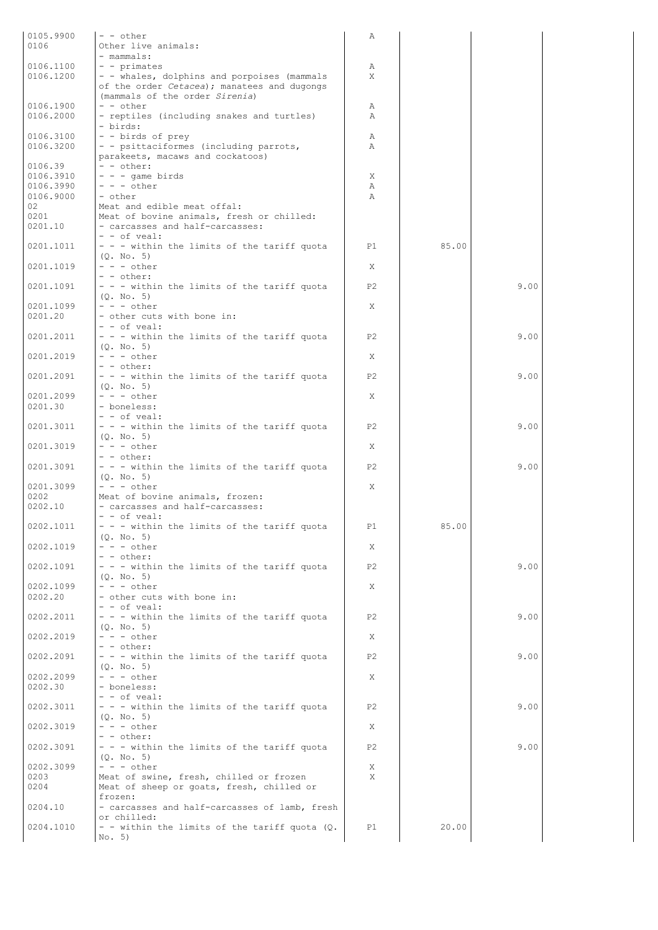| 0105.9900 | $-$ - other                                     | Α              |       |      |
|-----------|-------------------------------------------------|----------------|-------|------|
| 0106      | Other live animals:                             |                |       |      |
|           | - mammals:                                      |                |       |      |
| 0106.1100 | $-$ - primates                                  | Α              |       |      |
| 0106.1200 | - - whales, dolphins and porpoises (mammals     | X              |       |      |
|           | of the order Cetacea); manatees and dugongs     |                |       |      |
|           | (mammals of the order Sirenia)                  |                |       |      |
| 0106.1900 | - - other                                       | Α              |       |      |
| 0106.2000 | - reptiles (including snakes and turtles)       | Α              |       |      |
|           | - birds:                                        |                |       |      |
|           |                                                 |                |       |      |
| 0106.3100 | - - birds of prey                               | Α              |       |      |
| 0106.3200 | - - psittaciformes (including parrots,          | Α              |       |      |
|           | parakeets, macaws and cockatoos)                |                |       |      |
| 0106.39   | - - other:                                      |                |       |      |
| 0106.3910 | $- - -$ qame birds                              | Χ              |       |      |
| 0106.3990 | $- - -$ other                                   | Α              |       |      |
| 0106.9000 | - other                                         | Α              |       |      |
| 02        | Meat and edible meat offal:                     |                |       |      |
| 0201      | Meat of bovine animals, fresh or chilled:       |                |       |      |
| 0201.10   | - carcasses and half-carcasses:                 |                |       |      |
|           | $-$ - of yeal:                                  |                |       |      |
| 0201.1011 | - - - within the limits of the tariff quota     | P1             | 85.00 |      |
|           | (0. No. 5)                                      |                |       |      |
| 0201.1019 | $- - -$ other                                   | X              |       |      |
|           | - - other:                                      |                |       |      |
| 0201.1091 | - - - within the limits of the tariff quota     | P2             |       | 9.00 |
|           | (Q. No. 5)                                      |                |       |      |
| 0201.1099 | $- - -$ other                                   | X              |       |      |
| 0201.20   | - other cuts with bone in:                      |                |       |      |
|           | $- -$ of veal:                                  |                |       |      |
| 0201.2011 | - - - within the limits of the tariff quota     | Р2             |       | 9.00 |
|           | (0, No, 5)                                      |                |       |      |
| 0201.2019 | $- - -$ other                                   | X              |       |      |
|           | - - other:                                      |                |       |      |
| 0201.2091 | - - - within the limits of the tariff quota     | P2             |       | 9.00 |
|           | (Q. No. 5)                                      |                |       |      |
| 0201.2099 | $- - -$ other                                   | X              |       |      |
| 0201.30   | - boneless:                                     |                |       |      |
|           | $-$ - of veal:                                  |                |       |      |
| 0201.3011 | - - - within the limits of the tariff quota     | P <sub>2</sub> |       | 9.00 |
|           | (0. No. 5)                                      |                |       |      |
| 0201.3019 | $- - -$ other                                   | Χ              |       |      |
|           | $-$ - other:                                    |                |       |      |
|           |                                                 |                |       |      |
| 0201.3091 | - - - within the limits of the tariff quota     | P <sub>2</sub> |       | 9.00 |
|           | (Q. No. 5)                                      |                |       |      |
| 0201.3099 | $- - -$ other                                   | X              |       |      |
| 0202      | Meat of bovine animals, frozen:                 |                |       |      |
| 0202.10   | - carcasses and half-carcasses:                 |                |       |      |
|           | $-$ - of yeal:                                  |                |       |      |
| 0202.1011 | - - - within the limits of the tariff quota     | P1             | 85.00 |      |
|           | (Q. No. 5)                                      |                |       |      |
| 0202.1019 | $- - -$ other                                   | X              |       |      |
|           | - - other:                                      |                |       |      |
| 0202.1091 | - - - within the limits of the tariff quota     | P <sub>2</sub> |       | 9.00 |
|           | (Q. No. 5)                                      |                |       |      |
| 0202.1099 | $- - -$ other                                   | Χ              |       |      |
| 0202.20   | - other cuts with bone in:                      |                |       |      |
|           | $-$ - of veal:                                  |                |       |      |
| 0202.2011 | - - - within the limits of the tariff quota     | P2             |       | 9.00 |
|           | (Q. No. 5)                                      |                |       |      |
| 0202.2019 | $- - -$ other                                   | Χ              |       |      |
|           | - - other:                                      |                |       |      |
| 0202.2091 | - - - within the limits of the tariff quota     | P2             |       | 9.00 |
|           | (Q. No. 5)                                      |                |       |      |
| 0202.2099 | $- - -$ other                                   | Χ              |       |      |
| 0202.30   | - boneless:                                     |                |       |      |
|           | $-$ - of veal:                                  |                |       |      |
| 0202.3011 | - - - within the limits of the tariff quota     | P2             |       | 9.00 |
|           | (Q. No. 5)                                      |                |       |      |
| 0202.3019 | $- - -$ other                                   | X              |       |      |
|           | - - other:                                      |                |       |      |
| 0202.3091 | - - - within the limits of the tariff quota     | Р2             |       | 9.00 |
|           | (Q. No. 5)                                      |                |       |      |
| 0202.3099 | $- - -$ other                                   | Χ              |       |      |
| 0203      | Meat of swine, fresh, chilled or frozen         | X              |       |      |
| 0204      |                                                 |                |       |      |
|           | Meat of sheep or goats, fresh, chilled or       |                |       |      |
|           | frozen:                                         |                |       |      |
| 0204.10   | - carcasses and half-carcasses of lamb, fresh   |                |       |      |
|           | or chilled:                                     |                |       |      |
| 0204.1010 | - - within the limits of the tariff quota $(Q.$ | P1             | 20.00 |      |
|           | No. 5)                                          |                |       |      |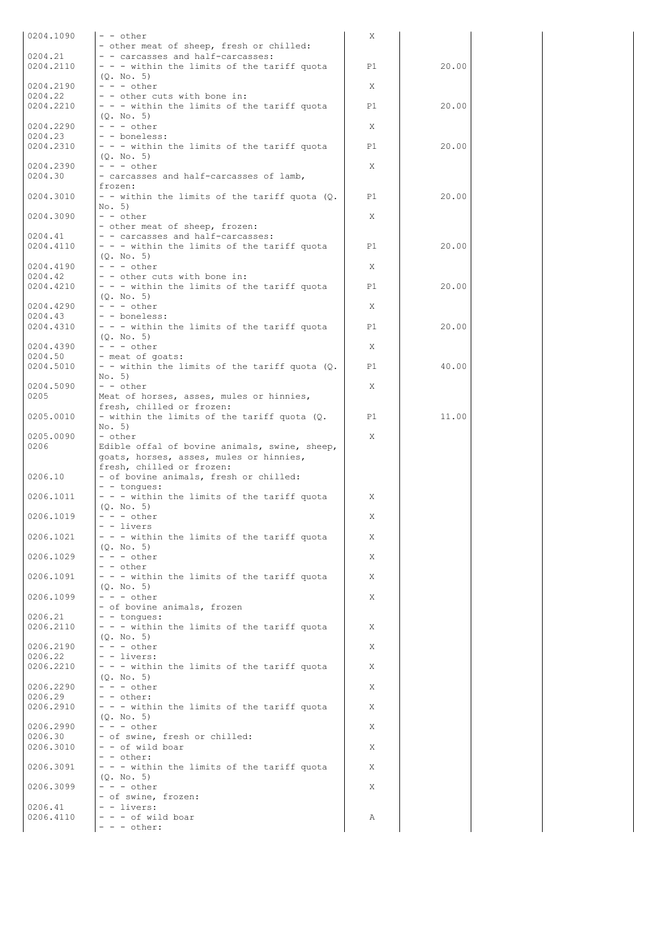| 0204.1090 | - - other                                       | X  |       |  |
|-----------|-------------------------------------------------|----|-------|--|
|           | - other meat of sheep, fresh or chilled:        |    |       |  |
| 0204.21   | - - carcasses and half-carcasses:               |    |       |  |
| 0204.2110 | $-$ - $-$ within the limits of the tariff quota | P1 | 20.00 |  |
|           |                                                 |    |       |  |
|           | (Q. No. 5)                                      |    |       |  |
| 0204.2190 | $- - -$ other                                   | X  |       |  |
| 0204.22   | - - other cuts with bone in:                    |    |       |  |
| 0204.2210 | - - - within the limits of the tariff quota     | P1 | 20.00 |  |
|           |                                                 |    |       |  |
|           | (Q. No. 5)                                      |    |       |  |
| 0204.2290 | $- - -$ other                                   | X  |       |  |
| 0204.23   | - - boneless:                                   |    |       |  |
|           |                                                 |    |       |  |
| 0204.2310 | - - - within the limits of the tariff quota     | P1 | 20.00 |  |
|           | (Q. No. 5)                                      |    |       |  |
| 0204.2390 | $- - -$ other                                   | X  |       |  |
|           |                                                 |    |       |  |
| 0204.30   | - carcasses and half-carcasses of lamb,         |    |       |  |
|           | frozen:                                         |    |       |  |
| 0204.3010 | - - within the limits of the tariff quota (Q.   | P1 | 20.00 |  |
|           |                                                 |    |       |  |
|           | No. 5)                                          |    |       |  |
| 0204.3090 | $- -$ other                                     | X  |       |  |
|           | - other meat of sheep, frozen:                  |    |       |  |
|           |                                                 |    |       |  |
| 0204.41   | - - carcasses and half-carcasses:               |    |       |  |
| 0204.4110 | - - - within the limits of the tariff quota     | P1 | 20.00 |  |
|           | (0, No, 5)                                      |    |       |  |
| 0204.4190 | $- - -$ other                                   | X  |       |  |
|           |                                                 |    |       |  |
| 0204.42   | - - other cuts with bone in:                    |    |       |  |
| 0204.4210 | - - - within the limits of the tariff quota     | P1 | 20.00 |  |
|           | (0, No, 5)                                      |    |       |  |
|           |                                                 |    |       |  |
| 0204.4290 | $- - -$ other                                   | X  |       |  |
| 0204.43   | - - boneless:                                   |    |       |  |
| 0204.4310 | - - - within the limits of the tariff quota     | P1 | 20.00 |  |
|           |                                                 |    |       |  |
|           | (0, No, 5)                                      |    |       |  |
| 0204.4390 | $- - -$ other                                   | X  |       |  |
| 0204.50   | - meat of goats:                                |    |       |  |
| 0204.5010 | - - within the limits of the tariff quota (Q.   | P1 | 40.00 |  |
|           |                                                 |    |       |  |
|           | No. 5)                                          |    |       |  |
| 0204.5090 | $- - other$                                     | X  |       |  |
| 0205      | Meat of horses, asses, mules or hinnies,        |    |       |  |
|           |                                                 |    |       |  |
|           | fresh, chilled or frozen:                       |    |       |  |
| 0205.0010 | - within the limits of the tariff quota (Q.     | P1 | 11.00 |  |
|           | No. 5)                                          |    |       |  |
|           | - other                                         | X  |       |  |
|           |                                                 |    |       |  |
| 0205.0090 |                                                 |    |       |  |
| 0206      | Edible offal of bovine animals, swine, sheep,   |    |       |  |
|           |                                                 |    |       |  |
|           | goats, horses, asses, mules or hinnies,         |    |       |  |
|           | fresh, chilled or frozen:                       |    |       |  |
| 0206.10   | - of bovine animals, fresh or chilled:          |    |       |  |
|           |                                                 |    |       |  |
|           | $-$ - tonques:                                  |    |       |  |
| 0206.1011 | - - - within the limits of the tariff quota     | Χ  |       |  |
|           | (Q. No. 5)                                      |    |       |  |
| 0206.1019 | $- - -$ other                                   | Χ  |       |  |
|           |                                                 |    |       |  |
|           | - - livers                                      |    |       |  |
| 0206.1021 | - - - within the limits of the tariff quota     | X  |       |  |
|           | (0, No, 5)                                      |    |       |  |
| 0206.1029 | $- - -$ other                                   | X  |       |  |
|           |                                                 |    |       |  |
|           | $- -$ other                                     |    |       |  |
| 0206.1091 | - - - within the limits of the tariff quota     | X  |       |  |
|           | (0, No, 5)                                      |    |       |  |
|           |                                                 | X  |       |  |
| 0206.1099 | $- - -$ other                                   |    |       |  |
|           | - of bovine animals, frozen                     |    |       |  |
| 0206.21   | - - tonques:                                    |    |       |  |
| 0206.2110 |                                                 | X  |       |  |
|           | - - - within the limits of the tariff quota     |    |       |  |
|           | (0, No, 5)                                      |    |       |  |
| 0206.2190 | $- - -$ other                                   | X  |       |  |
| 0206.22   | - - livers:                                     |    |       |  |
|           |                                                 |    |       |  |
| 0206.2210 | - - - within the limits of the tariff quota     | X  |       |  |
|           | (Q. No. 5)                                      |    |       |  |
| 0206.2290 | $- - -$ other                                   | X  |       |  |
| 0206.29   | - - other:                                      |    |       |  |
|           |                                                 |    |       |  |
| 0206.2910 | - - - within the limits of the tariff quota     | X  |       |  |
|           | (Q. No. 5)                                      |    |       |  |
| 0206.2990 | $- - -$ other                                   | X  |       |  |
|           |                                                 |    |       |  |
| 0206.30   | - of swine, fresh or chilled:                   |    |       |  |
| 0206.3010 | - - of wild boar                                | X  |       |  |
|           | - - other:                                      |    |       |  |
|           |                                                 |    |       |  |
| 0206.3091 | - - - within the limits of the tariff quota     | X  |       |  |
|           | (0, No, 5)                                      |    |       |  |
| 0206.3099 | $- - -$ other                                   | X  |       |  |
|           | - of swine, frozen:                             |    |       |  |
|           |                                                 |    |       |  |
| 0206.41   | $-$ - livers:                                   |    |       |  |
| 0206.4110 | $- - -$ of wild boar<br>$- - -$ other:          | Α  |       |  |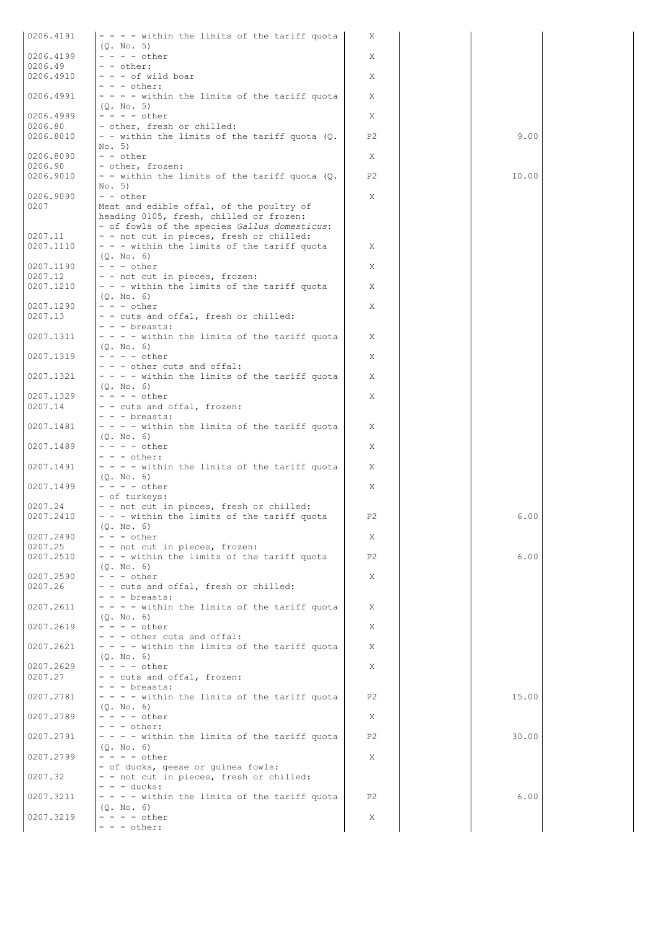| 0206.4191            | $- - -$ within the limits of the tariff quota                                                                                       | X              |       |  |
|----------------------|-------------------------------------------------------------------------------------------------------------------------------------|----------------|-------|--|
| 0206.4199            | (Q. No. 5)<br>$- - - -$ other                                                                                                       | X              |       |  |
| 0206.49<br>0206.4910 | - - other:<br>- - - of wild boar                                                                                                    |                |       |  |
|                      | $- - -$ other:                                                                                                                      | X              |       |  |
| 0206.4991            | - - - - within the limits of the tariff quota<br>(Q. No. 5)                                                                         | X              |       |  |
| 0206.4999            | $- - - -$ other                                                                                                                     | X              |       |  |
| 0206.80<br>0206.8010 | - other, fresh or chilled:<br>- - within the limits of the tariff quota (Q.                                                         | P <sub>2</sub> | 9.00  |  |
|                      | No. 5)                                                                                                                              |                |       |  |
| 0206.8090<br>0206.90 | - - other<br>- other, frozen:                                                                                                       | X              |       |  |
| 0206.9010            | - - within the limits of the tariff quota (Q.                                                                                       | P <sub>2</sub> | 10.00 |  |
| 0206.9090            | No. 5)<br>- - other                                                                                                                 | X              |       |  |
| 0207                 | Meat and edible offal, of the poultry of<br>heading 0105, fresh, chilled or frozen:<br>- of fowls of the species Gallus domesticus: |                |       |  |
| 0207.11<br>0207.1110 | - - not cut in pieces, fresh or chilled:<br>- - - within the limits of the tariff quota<br>(Q. No. 6)                               | X              |       |  |
| 0207.1190<br>0207.12 | $- - -$ other<br>- - not cut in pieces, frozen:                                                                                     | X              |       |  |
| 0207.1210            | - - - within the limits of the tariff quota                                                                                         | X              |       |  |
| 0207.1290            | (Q. No. 6)<br>$- - -$ other                                                                                                         | X              |       |  |
| 0207.13              | - - cuts and offal, fresh or chilled:                                                                                               |                |       |  |
| 0207.1311            | - - - breasts:<br>$- - -$ within the limits of the tariff quota                                                                     | X              |       |  |
| 0207.1319            | (Q. No. 6)<br>$- - - -$ other                                                                                                       | Χ              |       |  |
|                      | - - - other cuts and offal:                                                                                                         |                |       |  |
| 0207.1321            | $- - -$ within the limits of the tariff quota<br>(Q. No. 6)                                                                         | Χ              |       |  |
| 0207.1329<br>0207.14 | - - - - other<br>- - cuts and offal, frozen:                                                                                        | X              |       |  |
|                      | - - - breasts:                                                                                                                      |                |       |  |
| 0207.1481            | - - - - within the limits of the tariff quota<br>(Q. No. 6)                                                                         | X              |       |  |
| 0207.1489            | $- - - - \text{other}$                                                                                                              | Χ              |       |  |
| 0207.1491            | $- - -$ other:<br>- - - - within the limits of the tariff quota                                                                     | X              |       |  |
| 0207.1499            | (Q. No. 6)<br>$- - - -$ other                                                                                                       | X              |       |  |
|                      | - of turkeys:                                                                                                                       |                |       |  |
| 0207.24<br>0207.2410 | - - not cut in pieces, fresh or chilled:<br>- - - within the limits of the tariff quota<br>(Q. No. 6)                               | P <sub>2</sub> | 6.00  |  |
| 0207.2490            | $- - -$ other                                                                                                                       | Χ              |       |  |
| 0207.25<br>0207.2510 | - - not cut in pieces, frozen:<br>- - - within the limits of the tariff quota                                                       | P <sub>2</sub> | 6.00  |  |
| 0207.2590            | (Q. No. 6)<br>$- - -$ other                                                                                                         |                |       |  |
| 0207.26              | - - cuts and offal, fresh or chilled:                                                                                               | X              |       |  |
| 0207.2611            | - - - breasts:<br>- - - - within the limits of the tariff quota                                                                     | X              |       |  |
|                      | (Q. No. 6)                                                                                                                          |                |       |  |
| 0207.2619            | $- - - -$ other<br>- - - other cuts and offal:                                                                                      | X              |       |  |
| 0207.2621            | - - - - within the limits of the tariff quota<br>(0. No. 6)                                                                         | X              |       |  |
| 0207.2629            | $- - - -$ other                                                                                                                     | X              |       |  |
| 0207.27              | - - cuts and offal, frozen:<br>- - - breasts:                                                                                       |                |       |  |
| 0207.2781            | - - - - within the limits of the tariff quota                                                                                       | P2             | 15.00 |  |
| 0207.2789            | (0, No, 6)<br>$- - - - \circ \text{ther}$                                                                                           | X              |       |  |
| 0207.2791            | - - - other:<br>- - - - within the limits of the tariff quota                                                                       | P2             | 30.00 |  |
|                      | (Q. No. 6)                                                                                                                          |                |       |  |
| 0207.2799            | $- - - -$ other<br>- of ducks, geese or guinea fowls:                                                                               | X.             |       |  |
| 0207.32              | - - not cut in pieces, fresh or chilled:<br>$-  -$ ducks:                                                                           |                |       |  |
| 0207.3211            | - - - - within the limits of the tariff quota                                                                                       | P <sub>2</sub> | 6.00  |  |
| 0207.3219            | (0, No, 6)<br>$- - - -$ other                                                                                                       | X              |       |  |
|                      | - - - other:                                                                                                                        |                |       |  |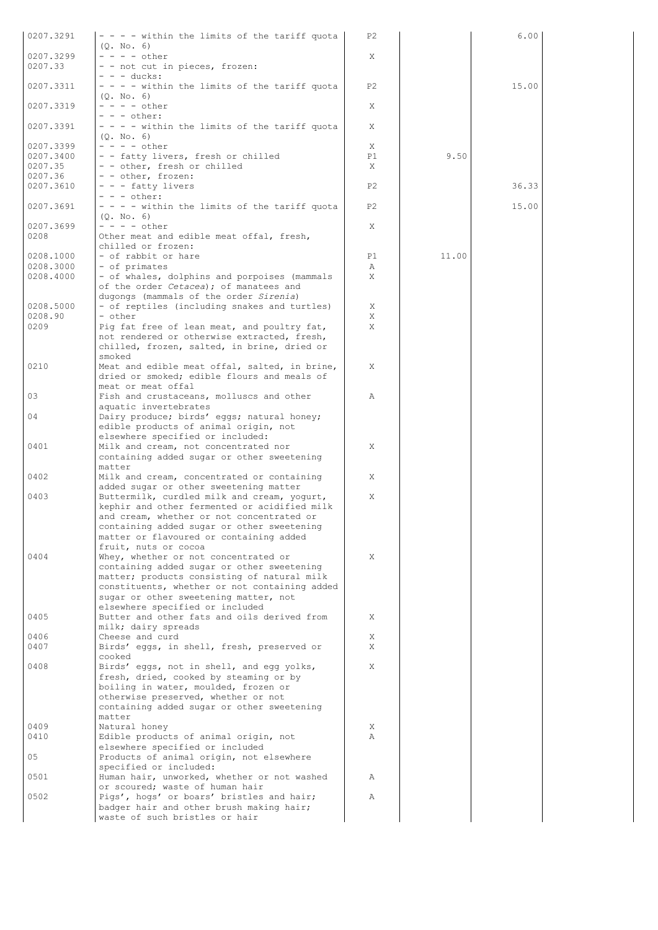| 0207.3291              | - - - - within the limits of the tariff quota                                           | P2             |       | 6.00  |
|------------------------|-----------------------------------------------------------------------------------------|----------------|-------|-------|
| 0207.3299              | (Q. No. 6)<br>$- - - -$ other                                                           | X              |       |       |
| 0207.33                | - - not cut in pieces, frozen:                                                          |                |       |       |
|                        | $- - -$ ducks:                                                                          |                |       |       |
| 0207.3311              | $- - -$ within the limits of the tariff quota                                           | P <sub>2</sub> |       | 15.00 |
| 0207.3319              | (0, No, 6)<br>$- - - -$ other                                                           | X              |       |       |
|                        | $- - -$ other:                                                                          |                |       |       |
| 0207.3391              | - - - - within the limits of the tariff quota                                           | X              |       |       |
| 0207.3399              | (0, No, 6)<br>$- - - -$ other                                                           | X              |       |       |
| 0207.3400              | - - fatty livers, fresh or chilled                                                      | P1             | 9.50  |       |
| 0207.35                | - - other, fresh or chilled                                                             | X              |       |       |
| 0207.36<br>0207.3610   | - - other, frozen:<br>- - - fatty livers                                                | P <sub>2</sub> |       | 36.33 |
|                        | $- - -$ other:                                                                          |                |       |       |
| 0207.3691              | - - - - within the limits of the tariff quota                                           | P2             |       | 15.00 |
|                        | (0, No, 6)                                                                              |                |       |       |
| 0207.3699<br>0208      | $- - - -$ other<br>Other meat and edible meat offal, fresh,                             | X              |       |       |
|                        | chilled or frozen:                                                                      |                |       |       |
| 0208.1000              | - of rabbit or hare                                                                     | P1             | 11.00 |       |
| 0208.3000<br>0208.4000 | - of primates<br>- of whales, dolphins and porpoises (mammals                           | Α<br>X.        |       |       |
|                        | of the order Cetacea); of manatees and                                                  |                |       |       |
|                        | dugongs (mammals of the order Sirenia)                                                  |                |       |       |
| 0208.5000<br>0208.90   | - of reptiles (including snakes and turtles)<br>- other                                 | X<br>X         |       |       |
| 0209                   | Pig fat free of lean meat, and poultry fat,                                             | X              |       |       |
|                        | not rendered or otherwise extracted, fresh,                                             |                |       |       |
|                        | chilled, frozen, salted, in brine, dried or                                             |                |       |       |
| 0210                   | smoked<br>Meat and edible meat offal, salted, in brine,                                 | X              |       |       |
|                        | dried or smoked; edible flours and meals of                                             |                |       |       |
|                        | meat or meat offal                                                                      |                |       |       |
| 03                     | Fish and crustaceans, molluscs and other<br>aquatic invertebrates                       | Α              |       |       |
| 04                     | Dairy produce; birds' eggs; natural honey;                                              |                |       |       |
|                        | edible products of animal origin, not                                                   |                |       |       |
| 0401                   | elsewhere specified or included:<br>Milk and cream, not concentrated nor                | X              |       |       |
|                        | containing added sugar or other sweetening                                              |                |       |       |
|                        | matter                                                                                  |                |       |       |
| 0402                   | Milk and cream, concentrated or containing<br>added sugar or other sweetening matter    | X              |       |       |
| 0403                   | Buttermilk, curdled milk and cream, yogurt,                                             | X              |       |       |
|                        | kephir and other fermented or acidified milk                                            |                |       |       |
|                        | and cream, whether or not concentrated or<br>containing added sugar or other sweetening |                |       |       |
|                        | matter or flavoured or containing added                                                 |                |       |       |
|                        | fruit, nuts or cocoa                                                                    |                |       |       |
| 0404                   | Whey, whether or not concentrated or<br>containing added sugar or other sweetening      | X              |       |       |
|                        | matter; products consisting of natural milk                                             |                |       |       |
|                        | constituents, whether or not containing added                                           |                |       |       |
|                        | sugar or other sweetening matter, not<br>elsewhere specified or included                |                |       |       |
| 0405                   | Butter and other fats and oils derived from                                             | X              |       |       |
|                        | milk; dairy spreads                                                                     |                |       |       |
| 0406<br>0407           | Cheese and curd<br>Birds' eggs, in shell, fresh, preserved or                           | X<br>X         |       |       |
|                        | cooked                                                                                  |                |       |       |
| 0408                   | Birds' eggs, not in shell, and egg yolks,                                               | X              |       |       |
|                        | fresh, dried, cooked by steaming or by<br>boiling in water, moulded, frozen or          |                |       |       |
|                        | otherwise preserved, whether or not                                                     |                |       |       |
|                        | containing added sugar or other sweetening                                              |                |       |       |
|                        | matter                                                                                  |                |       |       |
| 0409<br>0410           | Natural honey<br>Edible products of animal origin, not                                  | X<br>Α         |       |       |
|                        | elsewhere specified or included                                                         |                |       |       |
| 05                     | Products of animal origin, not elsewhere                                                |                |       |       |
| 0501                   | specified or included:<br>Human hair, unworked, whether or not washed                   | Α              |       |       |
|                        | or scoured; waste of human hair                                                         |                |       |       |
| 0502                   | Pigs', hogs' or boars' bristles and hair;                                               | Α              |       |       |
|                        | badger hair and other brush making hair;<br>waste of such bristles or hair              |                |       |       |
|                        |                                                                                         |                |       |       |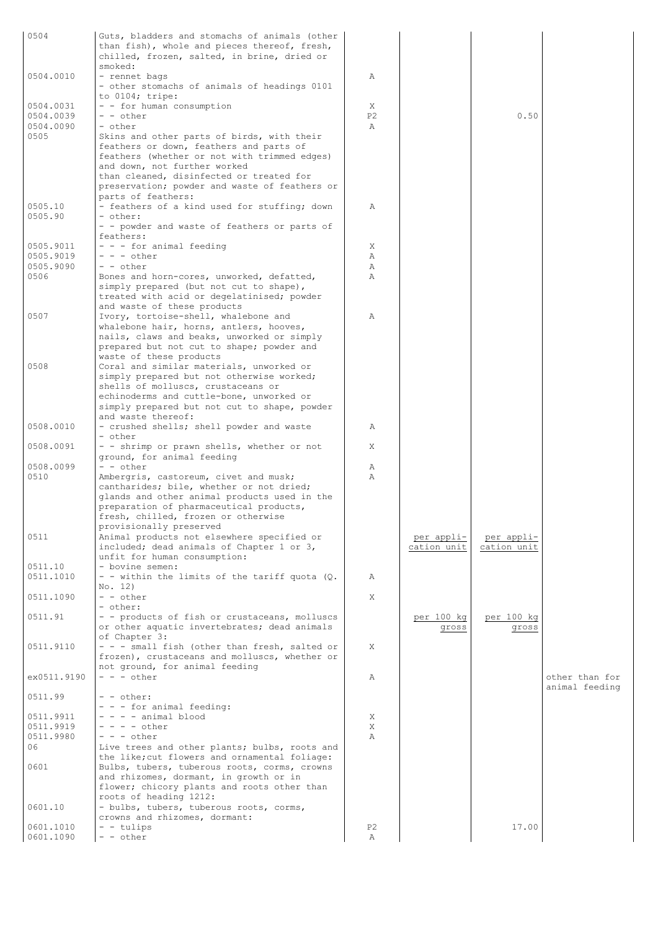| 0504                   | Guts, bladders and stomachs of animals (other<br>than fish), whole and pieces thereof, fresh,<br>chilled, frozen, salted, in brine, dried or<br>smoked:                                                                                                                                  |                |                           |                           |                                  |
|------------------------|------------------------------------------------------------------------------------------------------------------------------------------------------------------------------------------------------------------------------------------------------------------------------------------|----------------|---------------------------|---------------------------|----------------------------------|
| 0504.0010              | - rennet bags<br>- other stomachs of animals of headings 0101<br>to $0104$ ; tripe:                                                                                                                                                                                                      | Α              |                           |                           |                                  |
| 0504.0031              | - - for human consumption                                                                                                                                                                                                                                                                | X              |                           |                           |                                  |
| 0504.0039              | - - other                                                                                                                                                                                                                                                                                | P <sub>2</sub> |                           | 0.50                      |                                  |
| 0504.0090              | - other                                                                                                                                                                                                                                                                                  | $\mathbb{A}$   |                           |                           |                                  |
| 0505                   | Skins and other parts of birds, with their<br>feathers or down, feathers and parts of<br>feathers (whether or not with trimmed edges)<br>and down, not further worked<br>than cleaned, disinfected or treated for<br>preservation; powder and waste of feathers or<br>parts of feathers: |                |                           |                           |                                  |
| 0505.10                | - feathers of a kind used for stuffing; down                                                                                                                                                                                                                                             | Α              |                           |                           |                                  |
| 0505.90                | - other:                                                                                                                                                                                                                                                                                 |                |                           |                           |                                  |
|                        | - - powder and waste of feathers or parts of<br>feathers:                                                                                                                                                                                                                                |                |                           |                           |                                  |
| 0505.9011              | - - - for animal feeding                                                                                                                                                                                                                                                                 | X              |                           |                           |                                  |
| 0505.9019              | $- - -$ other                                                                                                                                                                                                                                                                            | Α              |                           |                           |                                  |
| 0505.9090              | - - other                                                                                                                                                                                                                                                                                | Α              |                           |                           |                                  |
| 0506                   | Bones and horn-cores, unworked, defatted,<br>simply prepared (but not cut to shape),<br>treated with acid or degelatinised; powder                                                                                                                                                       | Α              |                           |                           |                                  |
|                        | and waste of these products                                                                                                                                                                                                                                                              |                |                           |                           |                                  |
| 0507                   | Ivory, tortoise-shell, whalebone and<br>whalebone hair, horns, antlers, hooves,<br>nails, claws and beaks, unworked or simply<br>prepared but not cut to shape; powder and                                                                                                               | Α              |                           |                           |                                  |
|                        | waste of these products                                                                                                                                                                                                                                                                  |                |                           |                           |                                  |
| 0508                   | Coral and similar materials, unworked or<br>simply prepared but not otherwise worked;<br>shells of molluscs, crustaceans or                                                                                                                                                              |                |                           |                           |                                  |
|                        | echinoderms and cuttle-bone, unworked or<br>simply prepared but not cut to shape, powder                                                                                                                                                                                                 |                |                           |                           |                                  |
| 0508.0010              | and waste thereof:<br>- crushed shells; shell powder and waste<br>- other                                                                                                                                                                                                                | Α              |                           |                           |                                  |
| 0508.0091              | - - shrimp or prawn shells, whether or not<br>ground, for animal feeding                                                                                                                                                                                                                 | X              |                           |                           |                                  |
| 0508.0099              | $- -$ other                                                                                                                                                                                                                                                                              | Α              |                           |                           |                                  |
| 0510                   | Ambergris, castoreum, civet and musk;<br>cantharides; bile, whether or not dried;<br>glands and other animal products used in the                                                                                                                                                        | $\mathbb{A}$   |                           |                           |                                  |
|                        | preparation of pharmaceutical products,<br>fresh, chilled, frozen or otherwise<br>provisionally preserved                                                                                                                                                                                |                |                           |                           |                                  |
| 0511                   | Animal products not elsewhere specified or<br>included; dead animals of Chapter 1 or 3,<br>unfit for human consumption:                                                                                                                                                                  |                | per appli-<br>cation unit | per appli-<br>cation unit |                                  |
| 0511.10                | - bovine semen:                                                                                                                                                                                                                                                                          |                |                           |                           |                                  |
| 0511.1010              | - - within the limits of the tariff quota $(Q.$                                                                                                                                                                                                                                          | Α              |                           |                           |                                  |
|                        | No. 12)                                                                                                                                                                                                                                                                                  |                |                           |                           |                                  |
| 0511.1090              | - - other<br>- other:                                                                                                                                                                                                                                                                    | X              |                           |                           |                                  |
| 0511.91                | - - products of fish or crustaceans, molluscs<br>or other aquatic invertebrates; dead animals                                                                                                                                                                                            |                | per 100 kg<br>gross       | per 100 kg<br>gross       |                                  |
| 0511.9110              | of Chapter 3:<br>- - - small fish (other than fresh, salted or<br>frozen), crustaceans and molluscs, whether or                                                                                                                                                                          | X              |                           |                           |                                  |
| ex0511.9190            | not ground, for animal feeding<br>$- - -$ other                                                                                                                                                                                                                                          | Α              |                           |                           | other than for<br>animal feeding |
| 0511.99                | - - other:<br>- - - for animal feeding:                                                                                                                                                                                                                                                  |                |                           |                           |                                  |
| 0511.9911              | $- - -$ animal blood                                                                                                                                                                                                                                                                     | X              |                           |                           |                                  |
| 0511.9919              | $- - - -$ other                                                                                                                                                                                                                                                                          | X              |                           |                           |                                  |
| 0511.9980              | $- - -$ other                                                                                                                                                                                                                                                                            | $\mathbb{A}$   |                           |                           |                                  |
| 06                     | Live trees and other plants; bulbs, roots and<br>the like; cut flowers and ornamental foliage:                                                                                                                                                                                           |                |                           |                           |                                  |
| 0601                   | Bulbs, tubers, tuberous roots, corms, crowns<br>and rhizomes, dormant, in growth or in<br>flower; chicory plants and roots other than<br>roots of heading 1212:                                                                                                                          |                |                           |                           |                                  |
| 0601.10                | - bulbs, tubers, tuberous roots, corms,<br>crowns and rhizomes, dormant:                                                                                                                                                                                                                 |                |                           |                           |                                  |
| 0601.1010<br>0601.1090 | - - tulips<br>- - other                                                                                                                                                                                                                                                                  | P2<br>Α        |                           | 17.00                     |                                  |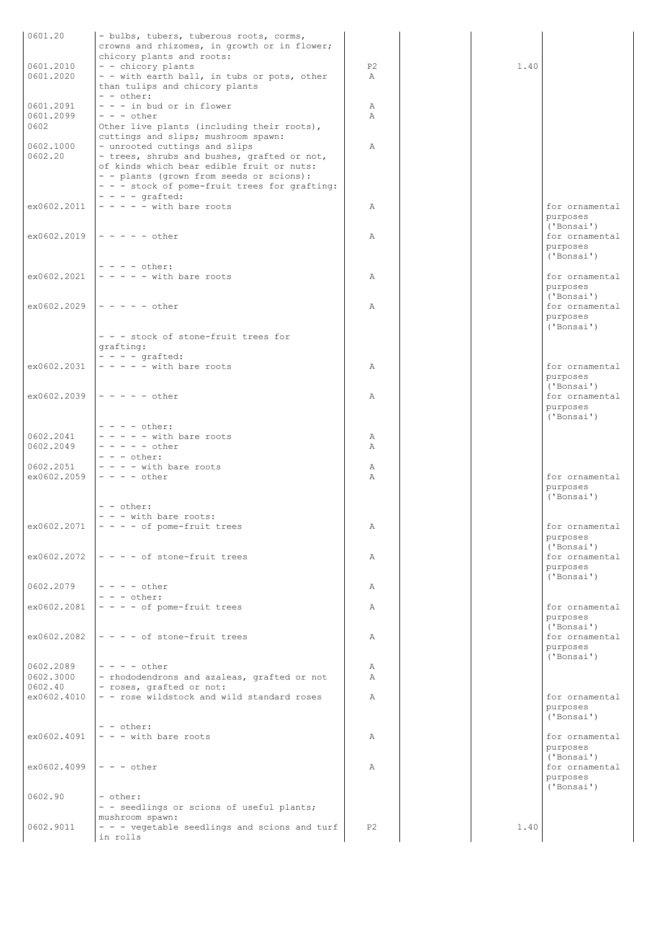| 0601.20                  | - bulbs, tubers, tuberous roots, corms,                                   |                |      |                            |
|--------------------------|---------------------------------------------------------------------------|----------------|------|----------------------------|
|                          | crowns and rhizomes, in growth or in flower;<br>chicory plants and roots: |                |      |                            |
| 0601.2010                | - - chicory plants                                                        | P <sub>2</sub> | 1.40 |                            |
| 0601.2020                | - - with earth ball, in tubs or pots, other                               | $\mathbb{A}$   |      |                            |
|                          | than tulips and chicory plants<br>$- -$ other:                            |                |      |                            |
| 0601.2091                | $- - -$ in bud or in flower                                               | Α              |      |                            |
| 0601.2099                | $- - -$ other                                                             | Α              |      |                            |
| 0602                     | Other live plants (including their roots),                                |                |      |                            |
| 0602.1000                | cuttings and slips; mushroom spawn:<br>- unrooted cuttings and slips      | $\mathbb{A}$   |      |                            |
| 0602.20                  | - trees, shrubs and bushes, grafted or not,                               |                |      |                            |
|                          | of kinds which bear edible fruit or nuts:                                 |                |      |                            |
|                          | - - plants (grown from seeds or scions):                                  |                |      |                            |
|                          | - - - stock of pome-fruit trees for grafting:<br>$- - -$ qrafted:         |                |      |                            |
| ex0602.2011              | $- - - -$ with bare roots                                                 | Α              |      | for ornamental             |
|                          |                                                                           |                |      | purposes                   |
|                          |                                                                           |                |      | ('Bonsai')                 |
|                          | $ex0602.2019$ - - - - - other                                             | Α              |      | for ornamental<br>purposes |
|                          |                                                                           |                |      | ('Bonsai')                 |
|                          | $- - - -$ other:                                                          |                |      |                            |
| ex0602.2021              | $- - - -$ with bare roots                                                 | Α              |      | for ornamental             |
|                          |                                                                           |                |      | purposes<br>('Bonsai')     |
| ex0602.2029              | $\vert - - - - - \right)$                                                 | Α              |      | for ornamental             |
|                          |                                                                           |                |      | purposes                   |
|                          | - - - stock of stone-fruit trees for                                      |                |      | ('Bonsai')                 |
|                          | qrafting:                                                                 |                |      |                            |
|                          | $- - -$ qrafted:                                                          |                |      |                            |
| ex0602.2031              | $- - - -$ with bare roots                                                 | Α              |      | for ornamental             |
|                          |                                                                           |                |      | purposes<br>('Bonsai')     |
| ex0602.2039              | $ - - - - - \text{other}$                                                 | Α              |      | for ornamental             |
|                          |                                                                           |                |      | purposes                   |
|                          |                                                                           |                |      | ('Bonsai')                 |
| 0602.2041                | $- - - -$ other:<br>$- - - -$ with bare roots                             | Α              |      |                            |
| 0602.2049                | $- - - - -$ other                                                         | Α              |      |                            |
|                          | $- - - \text{other:}$                                                     |                |      |                            |
| 0602.2051<br>ex0602.2059 | $- - -$ with bare roots<br>$- - - -$ other                                | Α<br>Α         |      | for ornamental             |
|                          |                                                                           |                |      | purposes                   |
|                          |                                                                           |                |      | ('Bonsai')                 |
|                          | - - other:                                                                |                |      |                            |
| ex0602.2071              | - - - with bare roots:<br>$- - - -$ of pome-fruit trees                   | А              |      | for ornamental             |
|                          |                                                                           |                |      | purposes                   |
|                          |                                                                           |                |      | ('Bonsai')                 |
| ex0602.2072              | $\vert - - - \vert$ of stone-fruit trees                                  | Α              |      | for ornamental<br>purposes |
|                          |                                                                           |                |      | ('Bonsai')                 |
| 0602.2079                | $- - - -$ other                                                           | Α              |      |                            |
|                          | $- - -$ other:                                                            |                |      |                            |
| ex0602.2081              | $- - - -$ of pome-fruit trees                                             | Α              |      | for ornamental<br>purposes |
|                          |                                                                           |                |      | ('Bonsai')                 |
| ex0602.2082              | $ - - - -$ of stone-fruit trees                                           | Α              |      | for ornamental             |
|                          |                                                                           |                |      | purposes<br>('Bonsai')     |
| 0602.2089                | $- - - -$ other                                                           | Α              |      |                            |
| 0602.3000                | - rhododendrons and azaleas, grafted or not                               | $\mathbb{A}$   |      |                            |
| 0602.40                  | - roses, grafted or not:                                                  |                |      |                            |
| ex0602.4010              | - - rose wildstock and wild standard roses                                | $\mathbb{A}$   |      | for ornamental<br>purposes |
|                          |                                                                           |                |      | ('Bonsai')                 |
|                          | - - other:                                                                |                |      |                            |
| ex0602.4091              | $- - -$ with bare roots                                                   | Α              |      | for ornamental<br>purposes |
|                          |                                                                           |                |      | ('Bonsai')                 |
| ex0602.4099              | $- - -$ other                                                             | Α              |      | for ornamental             |
|                          |                                                                           |                |      | purposes                   |
| 0602.90                  | - other:                                                                  |                |      | ('Bonsai')                 |
|                          | - - seedlings or scions of useful plants;                                 |                |      |                            |
|                          | mushroom spawn:                                                           |                |      |                            |
| 0602.9011                | - - - vegetable seedlings and scions and turf<br>in rolls                 | P <sub>2</sub> | 1.40 |                            |
|                          |                                                                           |                |      |                            |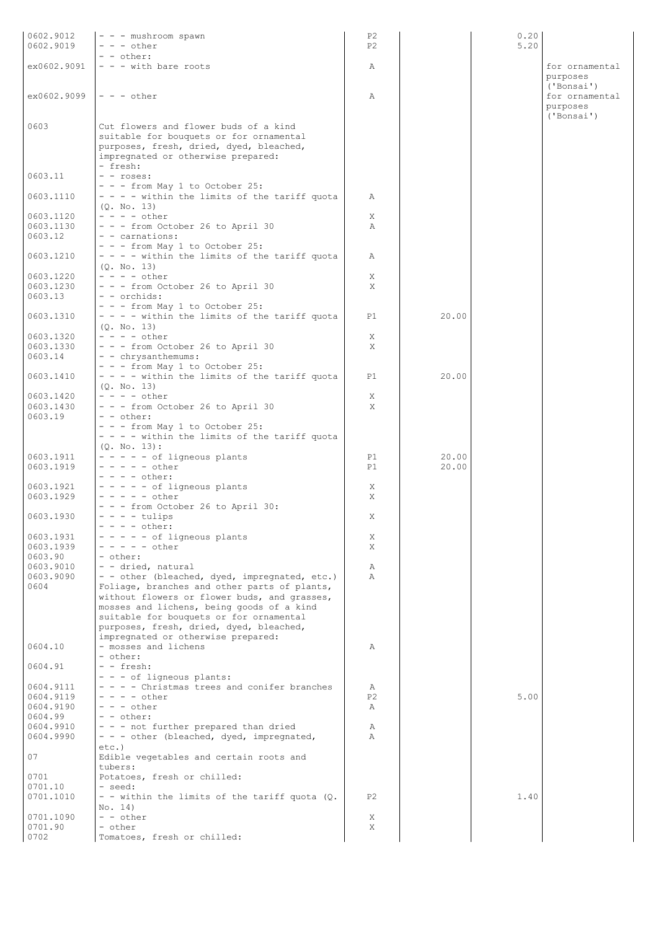| 0602.9012<br>0602.9019 | - - - mushroom spawn<br>$- - -$ other                                                                                       | P <sub>2</sub><br>P <sub>2</sub> |       | 0.20<br>5.20 |                                          |
|------------------------|-----------------------------------------------------------------------------------------------------------------------------|----------------------------------|-------|--------------|------------------------------------------|
| ex0602.9091            | - - other:<br>$- - -$ with bare roots                                                                                       | Α                                |       |              | for ornamental<br>purposes               |
| ex0602.9099            | $- - -$ other                                                                                                               | Α                                |       |              | ('Bonsai')<br>for ornamental<br>purposes |
| 0603                   | Cut flowers and flower buds of a kind<br>suitable for bouquets or for ornamental<br>purposes, fresh, dried, dyed, bleached, |                                  |       |              | ('Bonsai')                               |
| 0603.11                | impregnated or otherwise prepared:<br>- fresh:<br>$-$ - roses:                                                              |                                  |       |              |                                          |
| 0603.1110              | $- -$ - from May 1 to October 25:<br>$- - -$ within the limits of the tariff quota<br>(0. No. 13)                           | Α                                |       |              |                                          |
| 0603.1120              | $- - - -$ other                                                                                                             | X                                |       |              |                                          |
| 0603.1130<br>0603.12   | - - - from October 26 to April 30<br>- - carnations:                                                                        | Α                                |       |              |                                          |
| 0603.1210              | $- - -$ from May 1 to October 25:<br>- - - - within the limits of the tariff quota<br>(Q. No. 13)                           | Α                                |       |              |                                          |
| 0603.1220              | $- - - -$ other                                                                                                             | X                                |       |              |                                          |
| 0603.1230              | - - - from October 26 to April 30                                                                                           | X                                |       |              |                                          |
| 0603.13                | - - orchids:                                                                                                                |                                  |       |              |                                          |
| 0603.1310              | $- - -$ from May 1 to October 25:<br>- - - - within the limits of the tariff quota<br>(0. No. 13)                           | P1                               | 20.00 |              |                                          |
| 0603.1320              | $- - - -$ other                                                                                                             | X                                |       |              |                                          |
| 0603.1330              | - - - from October 26 to April 30                                                                                           | X                                |       |              |                                          |
| 0603.14                | - - chrysanthemums:<br>- - - from May 1 to October 25:                                                                      |                                  |       |              |                                          |
| 0603.1410              | - - - - within the limits of the tariff quota<br>(Q. No. 13)                                                                | P1                               | 20.00 |              |                                          |
| 0603.1420              | $- - - -$ other                                                                                                             | X                                |       |              |                                          |
| 0603.1430<br>0603.19   | - - - from October 26 to April 30<br>- - other:                                                                             | X                                |       |              |                                          |
|                        | - - - from May 1 to October 25:<br>- - - - within the limits of the tariff quota                                            |                                  |       |              |                                          |
|                        | $(Q. No. 13)$ :                                                                                                             |                                  |       |              |                                          |
| 0603.1911              | - - - - - of ligneous plants<br>$- - - - - \text{other}$                                                                    | P1                               | 20.00 |              |                                          |
| 0603.1919              | $- - - -$ other:                                                                                                            | P1                               | 20.00 |              |                                          |
| 0603.1921              | $- - - - -$ of ligneous plants                                                                                              | X                                |       |              |                                          |
| 0603.1929              | $- - - - -$ other                                                                                                           | X                                |       |              |                                          |
| 0603.1930              | - - - from October 26 to April 30:<br>$- - - -$ tulips                                                                      | Χ                                |       |              |                                          |
|                        | - - - - other:                                                                                                              |                                  |       |              |                                          |
| 0603.1931              | - - - - - of ligneous plants                                                                                                | Χ                                |       |              |                                          |
| 0603.1939<br>0603.90   | $- - - - -$ other<br>- other:                                                                                               | X                                |       |              |                                          |
| 0603.9010              | - - dried, natural                                                                                                          | Α                                |       |              |                                          |
| 0603.9090              | - - other (bleached, dyed, impregnated, etc.)                                                                               | $\mathbb{A}$                     |       |              |                                          |
| 0604                   | Foliage, branches and other parts of plants,                                                                                |                                  |       |              |                                          |
|                        | without flowers or flower buds, and grasses,<br>mosses and lichens, being goods of a kind                                   |                                  |       |              |                                          |
|                        | suitable for bouquets or for ornamental                                                                                     |                                  |       |              |                                          |
|                        | purposes, fresh, dried, dyed, bleached,                                                                                     |                                  |       |              |                                          |
| 0604.10                | impregnated or otherwise prepared:<br>- mosses and lichens                                                                  | Α                                |       |              |                                          |
|                        | - other:                                                                                                                    |                                  |       |              |                                          |
| 0604.91                | - - fresh:                                                                                                                  |                                  |       |              |                                          |
|                        | - - - of ligneous plants:                                                                                                   |                                  |       |              |                                          |
| 0604.9111<br>0604.9119 | - - - - Christmas trees and conifer branches<br>$- - - -$ other                                                             | Α<br>P <sub>2</sub>              |       | 5.00         |                                          |
| 0604.9190              | $- - -$ other                                                                                                               | Α                                |       |              |                                          |
| 0604.99                | $- -$ other:                                                                                                                |                                  |       |              |                                          |
| 0604.9910              | - - - not further prepared than dried                                                                                       | Α                                |       |              |                                          |
| 0604.9990              | - - - other (bleached, dyed, impregnated,<br>$etc.$ )                                                                       | $\mathbb{A}$                     |       |              |                                          |
| 07                     | Edible vegetables and certain roots and                                                                                     |                                  |       |              |                                          |
|                        | tubers:                                                                                                                     |                                  |       |              |                                          |
| 0701                   | Potatoes, fresh or chilled:                                                                                                 |                                  |       |              |                                          |
| 0701.10<br>0701.1010   | - seed:<br>- - within the limits of the tariff quota (Q.                                                                    | P <sub>2</sub>                   |       | 1.40         |                                          |
|                        | No. 14)                                                                                                                     |                                  |       |              |                                          |
| 0701.1090              | - - other                                                                                                                   | X                                |       |              |                                          |
| 0701.90                | - other                                                                                                                     | Χ                                |       |              |                                          |
| 0702                   | Tomatoes, fresh or chilled:                                                                                                 |                                  |       |              |                                          |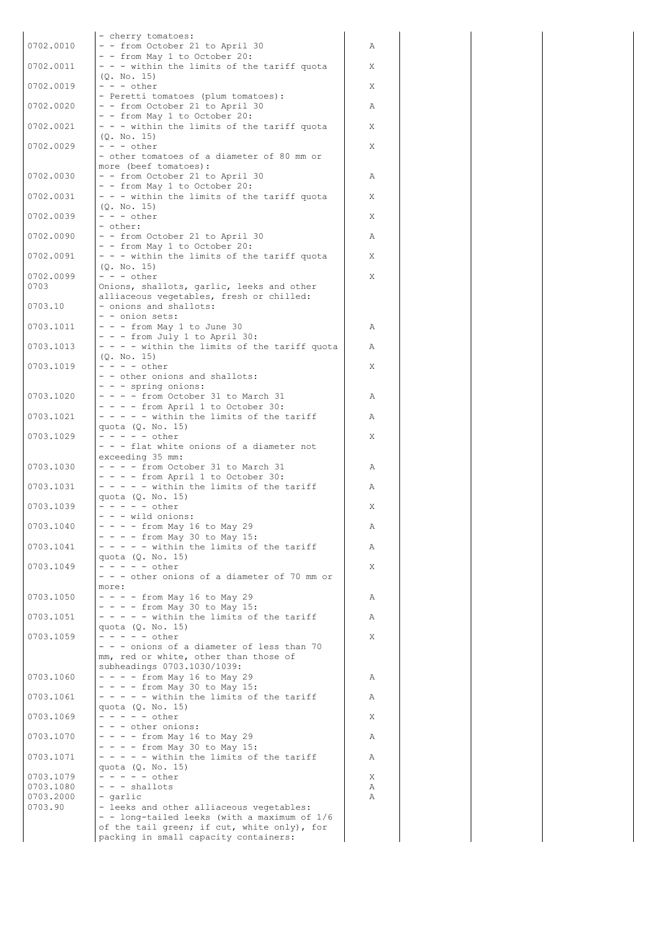|                      | - cherry tomatoes:                                                                    |   |
|----------------------|---------------------------------------------------------------------------------------|---|
| 0702.0010            | - - from October 21 to April 30                                                       | Α |
|                      | - - from May 1 to October 20:                                                         |   |
| 0702.0011            | - - - within the limits of the tariff quota<br>(0, No, 15)                            | X |
| 0702.0019            | $- - -$ other                                                                         | X |
|                      | - Peretti tomatoes (plum tomatoes):                                                   |   |
| 0702.0020            | - - from October 21 to April 30<br>- - from May 1 to October 20:                      | Α |
| 0702.0021            | - - - within the limits of the tariff quota                                           | X |
|                      | (Q. No. 15)<br>$- - -$ other                                                          |   |
| 0702.0029            | - other tomatoes of a diameter of 80 mm or                                            | X |
|                      | more (beef tomatoes):                                                                 |   |
| 0702.0030            | - - from October 21 to April 30<br>- - from May 1 to October 20:                      | Α |
| 0702.0031            | - - - within the limits of the tariff quota                                           | Χ |
|                      | (0. No. 15)                                                                           |   |
| 0702.0039            | $- - -$ other<br>- other:                                                             | X |
| 0702.0090            | - - from October 21 to April 30                                                       | Α |
| 0702.0091            | - - from May 1 to October 20:                                                         |   |
|                      | - - - within the limits of the tariff quota<br>(Q. No. 15)                            | Χ |
| 0702.0099            | $- - -$ other                                                                         | X |
| 0703                 | Onions, shallots, garlic, leeks and other<br>alliaceous vegetables, fresh or chilled: |   |
| 0703.10              | - onions and shallots:                                                                |   |
|                      | - - onion sets:                                                                       |   |
| 0703.1011            | - - - from May 1 to June 30<br>- - - from July 1 to April 30:                         | Α |
| 0703.1013            | - - - - within the limits of the tariff quota                                         | Α |
|                      | (0, No, 15)                                                                           |   |
| 0703.1019            | $- - - - \text{other}$<br>- - other onions and shallots:                              | Χ |
|                      | - - - spring onions:                                                                  |   |
| 0703.1020            | - - - - from October 31 to March 31<br>$- - -$ from April 1 to October 30:            | Α |
| 0703.1021            | - - - - - within the limits of the tariff                                             | Α |
|                      | quota (Q. No. 15)                                                                     |   |
| 0703.1029            | - - - - - other<br>- - - flat white onions of a diameter not                          | Χ |
|                      | exceeding 35 mm:                                                                      |   |
| 0703.1030            | $- - -$ from October 31 to March 31                                                   | Α |
| 0703.1031            | $- - -$ from April 1 to October 30:<br>- - - - - within the limits of the tariff      | Α |
|                      | quota (Q. No. 15)                                                                     |   |
| 0703.1039            | $- - - - -$ other<br>$- - -$ wild onions:                                             | Χ |
| 0703.1040            | $- - -$ from May 16 to May 29                                                         | Α |
|                      | - - - - from May 30 to May 15:                                                        |   |
| 0703.1041            | - - - - - within the limits of the tariff<br>quota (Q. No. 15)                        | Α |
| 0703.1049            | - - - - - other                                                                       | X |
|                      | - - - other onions of a diameter of 70 mm or<br>more:                                 |   |
| 0703.1050            | $- - -$ from May 16 to May 29                                                         | Α |
|                      | - - - - from May 30 to May 15:                                                        |   |
| 0703.1051            | - - - - - within the limits of the tariff<br>quota (Q. No. 15)                        | Α |
| 0703.1059            | $- - - - -$ other                                                                     | Χ |
|                      | - - - onions of a diameter of less than 70<br>mm, red or white, other than those of   |   |
|                      | subheadings 0703.1030/1039:                                                           |   |
| 0703.1060            | $- - -$ from May 16 to May 29                                                         | Α |
| 0703.1061            | $- - -$ from May 30 to May 15:<br>- - - - - within the limits of the tariff           | Α |
|                      | quota (Q. No. 15)                                                                     |   |
| 0703.1069            | $- - - - - other$<br>- - - other onions:                                              | Χ |
| 0703.1070            | $- - -$ from May 16 to May 29                                                         | Α |
|                      | - - - - from May 30 to May 15:                                                        |   |
| 0703.1071            | - - - - - within the limits of the tariff<br>quota (Q. No. 15)                        | Α |
| 0703.1079            | $- - - - -$ other                                                                     | Χ |
| 0703.1080            | $- - -$ shallots                                                                      | Α |
| 0703.2000<br>0703.90 | - garlic<br>- leeks and other alliaceous vegetables:                                  | Α |
|                      | - - long-tailed leeks (with a maximum of 1/6                                          |   |
|                      | of the tail green; if cut, white only), for<br>packing in small capacity containers:  |   |
|                      |                                                                                       |   |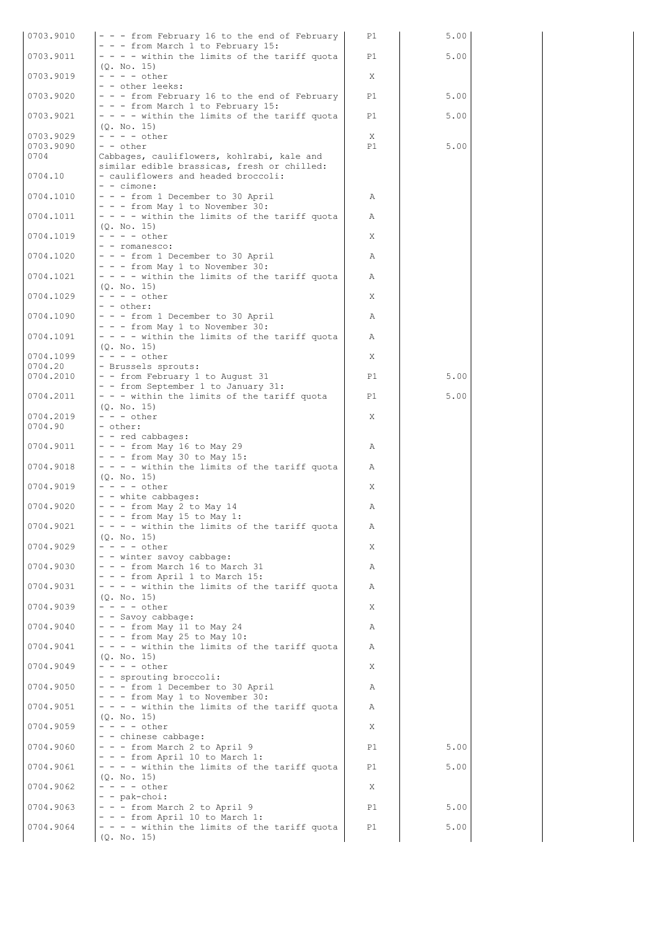| 0703.9010 |                                                                                     |    |      |  |
|-----------|-------------------------------------------------------------------------------------|----|------|--|
|           | - - - from February 16 to the end of February                                       | P1 | 5.00 |  |
| 0703.9011 | - - - from March 1 to February 15:<br>- - - - within the limits of the tariff quota | P1 | 5.00 |  |
|           | (Q. No. 15)                                                                         |    |      |  |
| 0703.9019 | $- - - - \text{other}$                                                              | X  |      |  |
|           | - - other leeks:                                                                    |    |      |  |
| 0703.9020 | - - - from February 16 to the end of February                                       | P1 | 5.00 |  |
| 0703.9021 | - - - from March 1 to February 15:<br>- - - - within the limits of the tariff quota | P1 | 5.00 |  |
|           | (0, No, 15)                                                                         |    |      |  |
| 0703.9029 | $- - - -$ other                                                                     | X  |      |  |
| 0703.9090 | - - other                                                                           | P1 | 5.00 |  |
| 0704      | Cabbages, cauliflowers, kohlrabi, kale and                                          |    |      |  |
|           | similar edible brassicas, fresh or chilled:                                         |    |      |  |
| 0704.10   | - cauliflowers and headed broccoli:<br>$-$ - cimone:                                |    |      |  |
| 0704.1010 | - - - from 1 December to 30 April                                                   | Α  |      |  |
|           | - - - from May 1 to November 30:                                                    |    |      |  |
| 0704.1011 | - - - - within the limits of the tariff quota                                       | Α  |      |  |
|           | (Q. No. 15)                                                                         |    |      |  |
| 0704.1019 | $- - - -$ other                                                                     | X  |      |  |
| 0704.1020 | - - romanesco:<br>- - - from 1 December to 30 April                                 |    |      |  |
|           | - - - from May 1 to November 30:                                                    | Α  |      |  |
| 0704.1021 | - - - - within the limits of the tariff quota                                       | Α  |      |  |
|           | (0. No. 15)                                                                         |    |      |  |
| 0704.1029 | $- - - -$ other                                                                     | Χ  |      |  |
|           | - - other:                                                                          |    |      |  |
| 0704.1090 | - - - from 1 December to 30 April                                                   | Α  |      |  |
| 0704.1091 | - - - from May 1 to November 30:<br>- - - - within the limits of the tariff quota   | Α  |      |  |
|           | (0. No. 15)                                                                         |    |      |  |
| 0704.1099 | $- - - -$ other                                                                     | X  |      |  |
| 0704.20   | - Brussels sprouts:                                                                 |    |      |  |
| 0704.2010 | - - from February 1 to August 31                                                    | P1 | 5.00 |  |
| 0704.2011 | - - from September 1 to January 31:                                                 |    |      |  |
|           | - - - within the limits of the tariff quota<br>(Q. No. 15)                          | P1 | 5.00 |  |
| 0704.2019 | $- - -$ other                                                                       | X  |      |  |
| 0704.90   | - other:                                                                            |    |      |  |
|           | - - red cabbages:                                                                   |    |      |  |
| 0704.9011 | $- -$ - from May 16 to May 29                                                       | Α  |      |  |
|           | $- - -$ from May 30 to May 15:                                                      |    |      |  |
| 0704.9018 | - - - - within the limits of the tariff quota<br>(0, No, 15)                        | Α  |      |  |
| 0704.9019 | $- - - -$ other                                                                     | X  |      |  |
|           |                                                                                     |    |      |  |
|           | - - white cabbages:                                                                 |    |      |  |
| 0704.9020 | $- -$ - from May 2 to May 14                                                        | Α  |      |  |
|           | $- - -$ from May 15 to May 1:                                                       |    |      |  |
| 0704.9021 | - - - - within the limits of the tariff quota                                       | Α  |      |  |
|           | (Q. No. 15)                                                                         |    |      |  |
| 0704.9029 | $- - - -$ other                                                                     | X. |      |  |
| 0704.9030 | - - winter savoy cabbage:<br>- - - from March 16 to March 31                        | Α  |      |  |
|           | - - - from April 1 to March 15:                                                     |    |      |  |
| 0704.9031 | - - - - within the limits of the tariff quota                                       | Α  |      |  |
|           | (0. No. 15)                                                                         |    |      |  |
| 0704.9039 | $- - - -$ other                                                                     | X  |      |  |
| 0704.9040 | - - Savoy cabbage:                                                                  | Α  |      |  |
|           | $- -$ - from May 11 to May 24<br>$- - -$ from May 25 to May 10:                     |    |      |  |
| 0704.9041 | $- - -$ within the limits of the tariff quota                                       | Α  |      |  |
|           | (0. No. 15)                                                                         |    |      |  |
| 0704.9049 | $- - - -$ other                                                                     | X  |      |  |
|           | - - sprouting broccoli:                                                             |    |      |  |
| 0704.9050 | - - - from 1 December to 30 April<br>- - - from May 1 to November 30:               | Α  |      |  |
| 0704.9051 | $- - -$ within the limits of the tariff quota                                       | Α  |      |  |
|           | (Q. No. 15)                                                                         |    |      |  |
| 0704.9059 | $- - - -$ other                                                                     | X  |      |  |
|           | - - chinese cabbage:                                                                |    |      |  |
| 0704.9060 | - - - from March 2 to April 9                                                       | P1 | 5.00 |  |
| 0704.9061 | $- - -$ from April 10 to March 1:<br>- - - - within the limits of the tariff quota  | P1 | 5.00 |  |
|           | (0. No. 15)                                                                         |    |      |  |
| 0704.9062 | $- - - -$ other                                                                     | Χ  |      |  |
|           | - - pak-choi:                                                                       |    |      |  |
| 0704.9063 | - - - from March 2 to April 9                                                       | P1 | 5.00 |  |
| 0704.9064 | - - - from April 10 to March 1:<br>- - - - within the limits of the tariff quota    | P1 | 5.00 |  |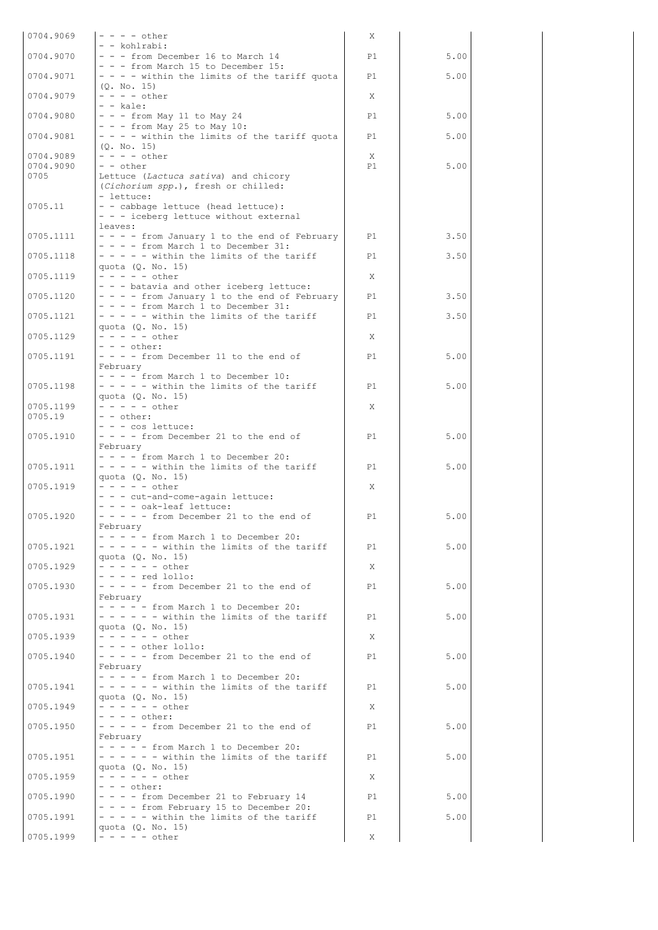| 0704.9069              | $- - - -$ other                                                                           | Χ       |      |  |
|------------------------|-------------------------------------------------------------------------------------------|---------|------|--|
| 0704.9070              | - - kohlrabi:<br>- - - from December 16 to March 14                                       | P1      | 5.00 |  |
| 0704.9071              | - - - from March 15 to December 15:<br>- - - - within the limits of the tariff quota      | P1      | 5.00 |  |
| 0704.9079              | (0, No, 15)<br>$- - - -$ other                                                            | X       |      |  |
| 0704.9080              | $- -$ kale:<br>$- - -$ from May 11 to May 24                                              | P1      | 5.00 |  |
| 0704.9081              | $- -$ - from May 25 to May 10:<br>- - - - within the limits of the tariff quota           | P1      | 5.00 |  |
|                        | (Q. No. 15)                                                                               |         |      |  |
| 0704.9089<br>0704.9090 | $- - - -$ other<br>- - other                                                              | X<br>P1 | 5.00 |  |
| 0705                   | Lettuce (Lactuca sativa) and chicory<br>(Cichorium spp.), fresh or chilled:               |         |      |  |
| 0705.11                | - lettuce:<br>- - cabbage lettuce (head lettuce):                                         |         |      |  |
|                        | - - - iceberg lettuce without external<br>leaves:                                         |         |      |  |
| 0705.1111              | - - - - from January 1 to the end of February<br>$- - -$ from March 1 to December 31:     | P1      | 3.50 |  |
| 0705.1118              | $- - - -$ within the limits of the tariff                                                 | P1      | 3.50 |  |
| 0705.1119              | quota (Q. No. 15)<br>$- - - - -$ other                                                    | X       |      |  |
| 0705.1120              | - - - batavia and other iceberg lettuce:<br>- - - - from January 1 to the end of February | P1      | 3.50 |  |
| 0705.1121              | $- - -$ from March 1 to December 31:<br>$- - - -$ within the limits of the tariff         | P1      | 3.50 |  |
| 0705.1129              | quota $(Q. No. 15)$<br>$- - - - -$ other                                                  | X       |      |  |
| 0705.1191              | $- - -$ other:<br>- - - - from December 11 to the end of                                  | P1      | 5.00 |  |
|                        | February                                                                                  |         |      |  |
| 0705.1198              | $- - -$ from March 1 to December 10:<br>$- - - -$ within the limits of the tariff         | P1      | 5.00 |  |
| 0705.1199              | quota (Q. No. 15)<br>$- - - - - \text{other}$                                             | X       |      |  |
| 0705.19                | $- -$ other:<br>- - - cos lettuce:                                                        |         |      |  |
| 0705.1910              | - - - - from December 21 to the end of<br>February                                        | P1      | 5.00 |  |
| 0705.1911              | - - - - from March 1 to December 20:<br>$- - - -$ within the limits of the tariff         | P1      | 5.00 |  |
|                        | quota (Q. No. 15)                                                                         |         |      |  |
| 0705.1919              | $- - - - -$ other<br>- - - cut-and-come-again lettuce:                                    | X       |      |  |
| 0705.1920              | - - - - oak-leaf lettuce:<br>$- - - -$ from December 21 to the end of                     | P1      | 5.00 |  |
|                        | February<br>$- - - -$ from March 1 to December 20:                                        |         |      |  |
| 0705.1921              | $- - - - -$ within the limits of the tariff<br>quota (Q. No. 15)                          | P1      | 5.00 |  |
| 0705.1929              | $- - - - - -$ other<br>$- - -$ red lollo:                                                 | X       |      |  |
| 0705.1930              | $- - - -$ from December 21 to the end of                                                  | P1      | 5.00 |  |
|                        | February<br>$- - - -$ from March 1 to December 20:                                        |         |      |  |
| 0705.1931              | $- - - - -$ within the limits of the tariff<br>quota (0. No. 15)                          | P1      | 5.00 |  |
| 0705.1939              | $- - - - - - other$<br>$- - - -$ other lollo:                                             | X       |      |  |
| 0705.1940              | $- - - -$ from December 21 to the end of<br>February                                      | P1      | 5.00 |  |
| 0705.1941              | $- - - -$ from March 1 to December 20:<br>$- - - - -$ within the limits of the tariff     | P1      | 5.00 |  |
|                        | quota $(Q. No. 15)$                                                                       |         |      |  |
| 0705.1949              | - - - - - - other<br>$- - - -$ other:                                                     | X       |      |  |
| 0705.1950              | $- - - -$ from December 21 to the end of<br>February                                      | P1      | 5.00 |  |
| 0705.1951              | $- - - -$ from March 1 to December 20:<br>$- - - - -$ within the limits of the tariff     | P1      | 5.00 |  |
| 0705.1959              | quota $(Q. No. 15)$<br>- - - - - - other                                                  | X       |      |  |
| 0705.1990              | $- - -$ other:<br>$- - -$ from December 21 to February 14                                 | P1      | 5.00 |  |
|                        | $- - -$ from February 15 to December 20:                                                  |         |      |  |
| 0705.1991              | $- - - -$ within the limits of the tariff<br>quota $(Q. No. 15)$                          | P1      | 5.00 |  |
| 0705.1999              | $- - - - -$ other                                                                         | X       |      |  |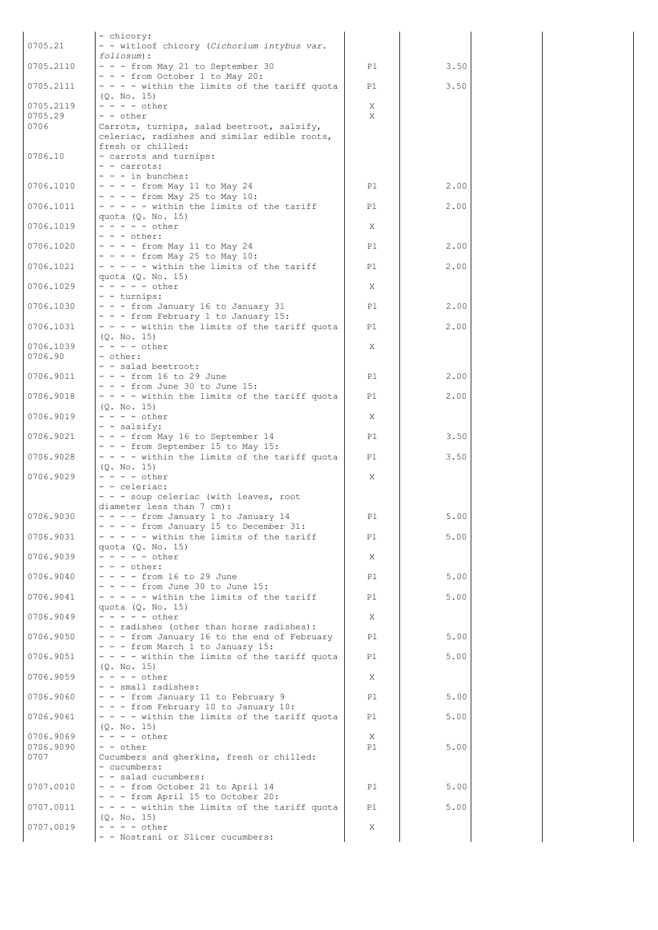| 0705.21                | - chicory:<br>- - witloof chicory (Cichorium intybus var.                                 |         |      |  |
|------------------------|-------------------------------------------------------------------------------------------|---------|------|--|
|                        | foliosum):                                                                                |         |      |  |
| 0705.2110              | - - - from May 21 to September 30<br>- - - from October 1 to May 20:                      | P1      | 3.50 |  |
| 0705.2111              | - - - - within the limits of the tariff quota<br>(0. No. 15)                              | P1      | 3.50 |  |
| 0705.2119              | $- - - -$ other                                                                           | X       |      |  |
| 0705.29<br>0706        | - - other<br>Carrots, turnips, salad beetroot, salsify,                                   | X       |      |  |
|                        | celeriac, radishes and similar edible roots,                                              |         |      |  |
| 0706.10                | fresh or chilled:<br>- carrots and turnips:                                               |         |      |  |
|                        | - - carrots:                                                                              |         |      |  |
| 0706.1010              | $- - -$ in bunches:<br>$- - -$ from May 11 to May 24                                      | P1      | 2.00 |  |
|                        | $- - -$ from May 25 to May 10:                                                            |         |      |  |
| 0706.1011              | $- - - -$ within the limits of the tariff<br>quota (Q. No. 15)                            | P1      | 2.00 |  |
| 0706.1019              | $- - - - -$ other                                                                         | X       |      |  |
| 0706.1020              | $- - -$ other:<br>$- - -$ from May 11 to May 24                                           | P1      | 2.00 |  |
| 0706.1021              | $- - -$ from May 25 to May 10:<br>- - - - - within the limits of the tariff               | P1      | 2.00 |  |
|                        | quota (Q. No. 15)                                                                         |         |      |  |
| 0706.1029              | $- - - - -$ other<br>- - turnips:                                                         | X       |      |  |
| 0706.1030              | - - - from January 16 to January 31                                                       | P1      | 2.00 |  |
| 0706.1031              | - - - from February 1 to January 15:<br>- - - - within the limits of the tariff quota     | P1      | 2.00 |  |
|                        | (Q. No. 15)                                                                               |         |      |  |
| 0706.1039<br>0706.90   | $- - - -$ other<br>- other:                                                               | X       |      |  |
|                        | - - salad beetroot:                                                                       |         |      |  |
| 0706.9011              | $- - -$ from 16 to 29 June<br>$- - -$ from June 30 to June 15:                            | P1      | 2.00 |  |
| 0706.9018              | - - - - within the limits of the tariff quota                                             | P1      | 2.00 |  |
| 0706.9019              | (0. No. 15)<br>$- - - -$ other                                                            | X       |      |  |
| 0706.9021              | - - salsify:<br>- - - from May 16 to September 14                                         | P1      | 3.50 |  |
|                        | - - - from September 15 to May 15:                                                        |         |      |  |
| 0706.9028              | $- - -$ within the limits of the tariff quota<br>(0, No, 15)                              | P1      | 3.50 |  |
| 0706.9029              | $- - - -$ other                                                                           | X       |      |  |
|                        | - - celeriac:<br>- - - soup celeriac (with leaves, root                                   |         |      |  |
|                        | diameter less than 7 cm):                                                                 |         |      |  |
| 0706.9030              | $- - -$ from January 1 to January 14<br>- - - - from January 15 to December 31:           | P1      | 5.00 |  |
| 0706.9031              | $- - - -$ within the limits of the tariff                                                 | P1      | 5.00 |  |
| 0706.9039              | quota $(Q. No. 15)$<br>$- - - - - other$                                                  | X       |      |  |
| 0706.9040              | $- - -$ other:<br>$- - -$ from 16 to 29 June                                              | P1      | 5.00 |  |
|                        | $- - -$ from June 30 to June 15:                                                          |         |      |  |
| 0706.9041              | - - - - - within the limits of the tariff<br>quota $(Q. No. 15)$                          | P1      | 5.00 |  |
| 0706.9049              | $- - - - -$ other                                                                         | X       |      |  |
| 0706.9050              | - - radishes (other than horse radishes):<br>- - - from January 16 to the end of February | P1      | 5.00 |  |
| 0706.9051              | - - - from March 1 to January 15:                                                         |         |      |  |
|                        | - - - - within the limits of the tariff quota<br>(0, No, 15)                              | P1      | 5.00 |  |
| 0706.9059              | $- - - -$ other<br>- - small radishes:                                                    | X       |      |  |
| 0706.9060              | - - - from January 11 to February 9                                                       | P1      | 5.00 |  |
| 0706.9061              | - - - from February 10 to January 10:<br>- - - - within the limits of the tariff quota    | P1      | 5.00 |  |
|                        | (Q. No. 15)                                                                               |         |      |  |
| 0706.9069<br>0706.9090 | $- - - -$ other<br>- - other                                                              | X<br>P1 | 5.00 |  |
| 0707                   | Cucumbers and gherkins, fresh or chilled:                                                 |         |      |  |
|                        | - cucumbers:<br>- - salad cucumbers:                                                      |         |      |  |
| 0707.0010              | $- -$ - from October 21 to April 14<br>- - - from April 15 to October 20:                 | P1      | 5.00 |  |
| 0707.0011              | $- - -$ within the limits of the tariff quota                                             | P1      | 5.00 |  |
| 0707.0019              | (0, No, 15)<br>$- - - -$ other                                                            | X       |      |  |
|                        | - - Nostrani or Slicer cucumbers:                                                         |         |      |  |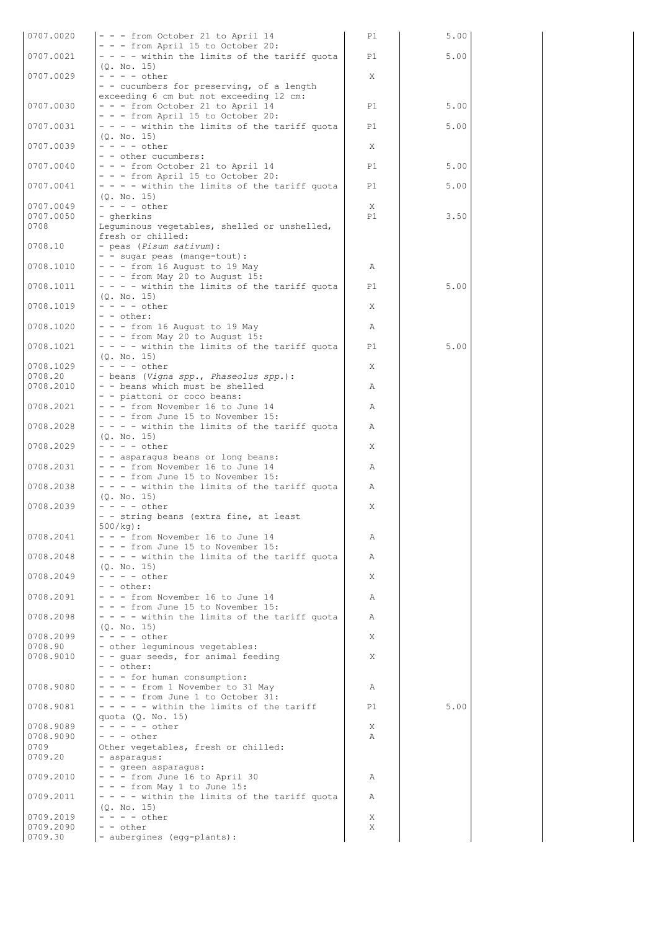| 0707.0020              | - - - from October 21 to April 14                                                                       | P1     | 5.00 |  |
|------------------------|---------------------------------------------------------------------------------------------------------|--------|------|--|
| 0707.0021              | - - - from April 15 to October 20:<br>- - - - within the limits of the tariff quota                     | P1     | 5.00 |  |
|                        | (0, No, 15)                                                                                             |        |      |  |
| 0707.0029              | $- - - -$ other<br>- - cucumbers for preserving, of a length<br>exceeding 6 cm but not exceeding 12 cm: | X.     |      |  |
| 0707.0030              | - - - from October 21 to April 14                                                                       | P1     | 5.00 |  |
| 0707.0031              | - - - from April 15 to October 20:<br>- - - - within the limits of the tariff quota                     | P1     | 5.00 |  |
| 0707.0039              | (Q. No. 15)<br>$- - - -$ other                                                                          | X      |      |  |
| 0707.0040              | - - other cucumbers:<br>- - - from October 21 to April 14                                               | P1     | 5.00 |  |
| 0707.0041              | - - - from April 15 to October 20:<br>- - - - within the limits of the tariff quota                     | P1     | 5.00 |  |
| 0707.0049              | (Q. No. 15)<br>$- - - -$ other                                                                          | X      |      |  |
| 0707.0050              | - gherkins                                                                                              | P1     | 3.50 |  |
| 0708                   | Lequminous vegetables, shelled or unshelled,<br>fresh or chilled:                                       |        |      |  |
| 0708.10                | - peas (Pisum sativum):<br>- - sugar peas (mange-tout) :                                                |        |      |  |
| 0708.1010              | $- -$ - from 16 August to 19 May                                                                        | Α      |      |  |
| 0708.1011              | $- -$ - from May 20 to August 15:<br>- - - - within the limits of the tariff quota                      | P1     | 5.00 |  |
| 0708.1019              | (0. No. 15)<br>$- - - -$ other                                                                          | X      |      |  |
|                        | $- -$ other:                                                                                            |        |      |  |
| 0708.1020              | $- -$ - from 16 August to 19 May<br>$- - -$ from May 20 to August 15:                                   | Α      |      |  |
| 0708.1021              | - - - - within the limits of the tariff quota<br>(Q. No. 15)                                            | P1     | 5.00 |  |
| 0708.1029<br>0708.20   | $- - - -$ other<br>- beans (Vigna spp., Phaseolus spp.):                                                | X      |      |  |
| 0708.2010              | - - beans which must be shelled                                                                         | Α      |      |  |
| 0708.2021              | - - piattoni or coco beans:<br>- - - from November 16 to June 14                                        | Α      |      |  |
| 0708.2028              | - - - from June 15 to November 15:<br>- - - - within the limits of the tariff quota                     | Α      |      |  |
|                        | (Q. No. 15)                                                                                             |        |      |  |
| 0708.2029              | $- - - -$ other<br>- - asparagus beans or long beans:                                                   | X      |      |  |
| 0708.2031              | $- -$ - from November 16 to June 14<br>- - - from June 15 to November 15:                               | Α      |      |  |
| 0708.2038              | - - - - within the limits of the tariff quota<br>(Q. No. 15)                                            | Α      |      |  |
| 0708.2039              | $- - - -$ other                                                                                         | X      |      |  |
|                        | - - string beans (extra fine, at least<br>$500/kg$ :                                                    |        |      |  |
| 0708.2041              | - - - from November 16 to June 14<br>$- - -$ from June 15 to November 15:                               | Α      |      |  |
| 0708.2048              | $- - -$ within the limits of the tariff quota<br>(Q. No. 15)                                            | Α      |      |  |
| 0708.2049              | $- - - -$ other                                                                                         | X      |      |  |
| 0708.2091              | $- -$ other:<br>- - - from November 16 to June 14                                                       | Α      |      |  |
| 0708.2098              | $- -$ - from June 15 to November 15:<br>- - - - within the limits of the tariff quota                   | Α      |      |  |
| 0708.2099              | (Q. No. 15)<br>$- - - -$ other                                                                          | Χ      |      |  |
| 0708.90                | - other leguminous vegetables:                                                                          |        |      |  |
| 0708.9010              | - - guar seeds, for animal feeding<br>$- -$ other:                                                      | X      |      |  |
| 0708.9080              | - - - for human consumption:<br>$- - -$ from 1 November to 31 May                                       | Α      |      |  |
|                        | $- - -$ from June 1 to October 31:                                                                      |        |      |  |
| 0708.9081              | $- - - -$ within the limits of the tariff<br>quota $(Q. No. 15)$                                        | P1     | 5.00 |  |
| 0708.9089<br>0708.9090 | $- - - - -$ other<br>$- - -$ other                                                                      | X<br>Α |      |  |
| 0709                   | Other vegetables, fresh or chilled:                                                                     |        |      |  |
| 0709.20                | - asparagus:<br>- - green asparagus:                                                                    |        |      |  |
| 0709.2010              | $- - -$ from June 16 to April 30<br>$- -$ - from May 1 to June 15:                                      | Α      |      |  |
| 0709.2011              | - - - - within the limits of the tariff quota                                                           | Α      |      |  |
| 0709.2019              | (0, No, 15)<br>$- - - -$ other                                                                          | X      |      |  |
| 0709.2090<br>0709.30   | $- -$ other<br>- aubergines (egg-plants):                                                               | X      |      |  |
|                        |                                                                                                         |        |      |  |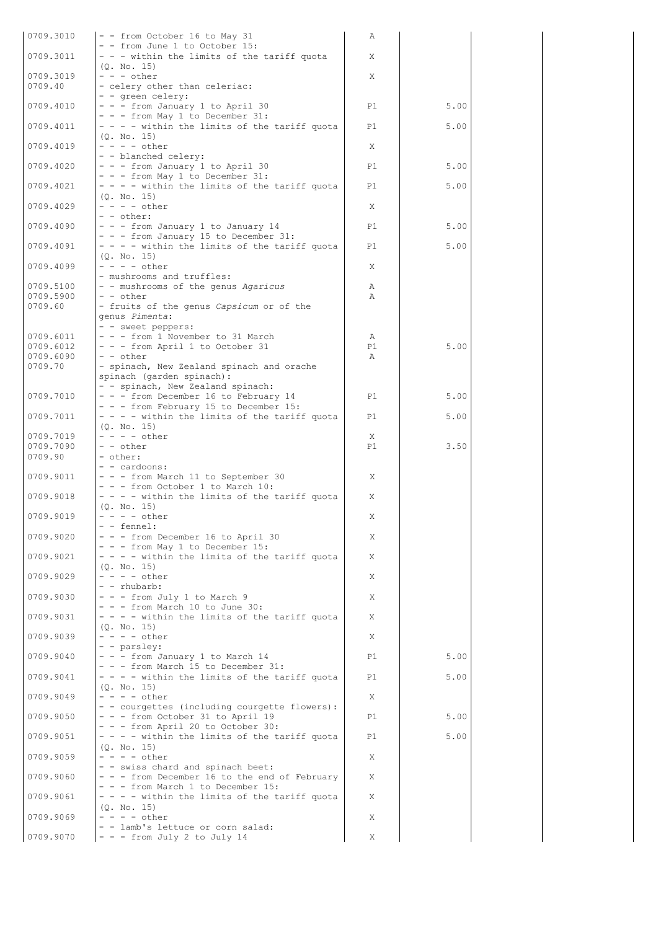| 0709.3010              | - - from October 16 to May 31                                                        | Α       |      |  |
|------------------------|--------------------------------------------------------------------------------------|---------|------|--|
| 0709.3011              | - - from June 1 to October 15:<br>- - - within the limits of the tariff quota        | X       |      |  |
| 0709.3019              | (Q. No. 15)<br>$- - -$ other                                                         | X       |      |  |
| 0709.40                | - celery other than celeriac:<br>- - green celery:                                   |         |      |  |
| 0709.4010              | - - - from January 1 to April 30                                                     | P1      | 5.00 |  |
| 0709.4011              | - - - from May 1 to December 31:<br>- - - - within the limits of the tariff quota    | P1      | 5.00 |  |
| 0709.4019              | (Q. No. 15)<br>$- - - -$ other                                                       | X       |      |  |
| 0709.4020              | - - blanched celery:<br>- - - from January 1 to April 30                             | P1      | 5.00 |  |
| 0709.4021              | - - - from May 1 to December 31:<br>- - - - within the limits of the tariff quota    | P1      | 5.00 |  |
|                        | (Q. No. 15)<br>$- - - -$ other                                                       |         |      |  |
| 0709.4029              | - - other:                                                                           | X       |      |  |
| 0709.4090              | - - - from January 1 to January 14<br>- - - from January 15 to December 31:          | P1      | 5.00 |  |
| 0709.4091              | - - - - within the limits of the tariff quota<br>(0, No, 15)                         | P1      | 5.00 |  |
| 0709.4099              | $- - - -$ other<br>- mushrooms and truffles:                                         | X       |      |  |
| 0709.5100              | - - mushrooms of the genus Agaricus                                                  | Α       |      |  |
| 0709.5900<br>0709.60   | - - other<br>- fruits of the genus Capsicum or of the                                | Α       |      |  |
|                        | genus Pimenta:<br>- - sweet peppers:                                                 |         |      |  |
| 0709.6011              | - - - from 1 November to 31 March                                                    | Α       |      |  |
| 0709.6012<br>0709.6090 | - - - from April 1 to October 31<br>- - other                                        | P1<br>Α | 5.00 |  |
| 0709.70                | - spinach, New Zealand spinach and orache<br>spinach (garden spinach):               |         |      |  |
|                        | - - spinach, New Zealand spinach:                                                    |         |      |  |
| 0709.7010              | - - - from December 16 to February 14<br>- - - from February 15 to December 15:      | P1      | 5.00 |  |
| 0709.7011              | - - - - within the limits of the tariff quota<br>(Q. No. 15)                         | P1      | 5.00 |  |
| 0709.7019              | $- - - -$ other                                                                      | X       |      |  |
| 0709.7090<br>0709.90   | - - other<br>- other:                                                                | P1      | 3.50 |  |
|                        | - - cardoons:                                                                        |         |      |  |
| 0709.9011              | - - - from March 11 to September 30<br>- - - from October 1 to March 10:             | Χ       |      |  |
| 0709.9018              | - - - - within the limits of the tariff quota                                        | Χ       |      |  |
| 0709.9019              | (Q. No. 15)<br>$- - - -$ other                                                       | X       |      |  |
| 0709.9020              | - - fennel:<br>- - - from December 16 to April 30                                    | X       |      |  |
| 0709.9021              | - - - from May 1 to December 15:<br>$- - -$ within the limits of the tariff quota    | X       |      |  |
|                        | (0, No, 15)                                                                          |         |      |  |
| 0709.9029              | $- - - -$ other<br>- - rhubarb:                                                      | X       |      |  |
| 0709.9030              | - - - from July 1 to March 9<br>$- -$ - from March 10 to June 30:                    | X       |      |  |
| 0709.9031              | - - - - within the limits of the tariff quota<br>(Q. No. 15)                         | X       |      |  |
| 0709.9039              | $- - - -$ other<br>- - parsley:                                                      | X       |      |  |
| 0709.9040              | - - - from January 1 to March 14                                                     | P1      | 5.00 |  |
| 0709.9041              | - - - from March 15 to December 31:<br>- - - - within the limits of the tariff quota | P1      | 5.00 |  |
| 0709.9049              | (Q. No. 15)<br>$- - - -$ other                                                       | X       |      |  |
| 0709.9050              | - - courgettes (including courgette flowers):<br>- - - from October 31 to April 19   | P1      | 5.00 |  |
| 0709.9051              | - - - from April 20 to October 30:<br>- - - - within the limits of the tariff quota  | P1      | 5.00 |  |
|                        | (Q. No. 15)                                                                          |         |      |  |
| 0709.9059              | $- - - - \text{other}$<br>- - swiss chard and spinach beet:                          | X       |      |  |
| 0709.9060              | - - - from December 16 to the end of February<br>- - - from March 1 to December 15:  | X       |      |  |
| 0709.9061              | - - - - within the limits of the tariff quota<br>(Q. No. 15)                         | X       |      |  |
| 0709.9069              | $- - - -$ other                                                                      | X       |      |  |
|                        | - - lamb's lettuce or corn salad:                                                    |         |      |  |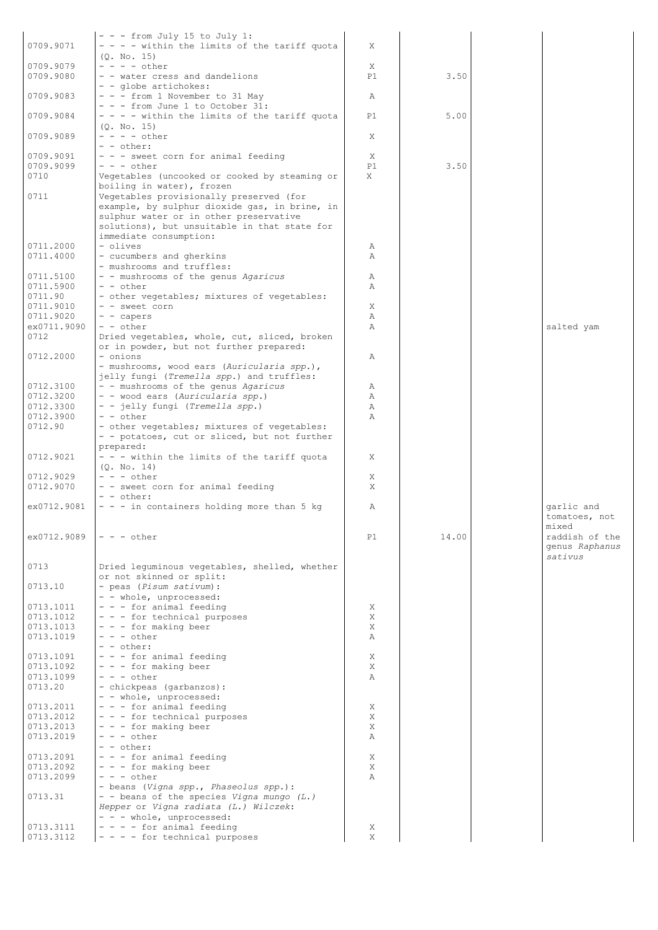| 0709.9071   | $- -$ - from July 15 to July 1:<br>- - - - within the limits of the tariff quota | X  |       |                |
|-------------|----------------------------------------------------------------------------------|----|-------|----------------|
|             | (Q. No. 15)                                                                      |    |       |                |
| 0709.9079   | $- - - -$ other                                                                  |    |       |                |
|             |                                                                                  | Χ  |       |                |
| 0709.9080   | - - water cress and dandelions                                                   | P1 | 3.50  |                |
|             | - - globe artichokes:                                                            |    |       |                |
| 0709.9083   | $- -$ - from 1 November to 31 May                                                | Α  |       |                |
|             | - - - from June 1 to October 31:                                                 |    |       |                |
| 0709.9084   | - - - - within the limits of the tariff quota                                    | P1 | 5.00  |                |
|             | (Q. No. 15)                                                                      |    |       |                |
| 0709.9089   | $- - - -$ other                                                                  | Χ  |       |                |
|             | - - other:                                                                       |    |       |                |
| 0709.9091   | - - - sweet corn for animal feeding                                              | Χ  |       |                |
| 0709.9099   | $- - -$ other                                                                    | P1 | 3.50  |                |
| 0710        | Vegetables (uncooked or cooked by steaming or                                    | X  |       |                |
|             | boiling in water), frozen                                                        |    |       |                |
| 0711        | Vegetables provisionally preserved (for                                          |    |       |                |
|             | example, by sulphur dioxide gas, in brine, in                                    |    |       |                |
|             | sulphur water or in other preservative                                           |    |       |                |
|             |                                                                                  |    |       |                |
|             | solutions), but unsuitable in that state for                                     |    |       |                |
|             | immediate consumption:                                                           |    |       |                |
| 0711.2000   | - olives                                                                         | Α  |       |                |
| 0711.4000   | - cucumbers and gherkins                                                         | Α  |       |                |
|             | - mushrooms and truffles:                                                        |    |       |                |
| 0711.5100   | - - mushrooms of the genus Agaricus                                              | Α  |       |                |
| 0711.5900   | - - other                                                                        | Α  |       |                |
| 0711.90     | - other vegetables; mixtures of vegetables:                                      |    |       |                |
| 0711.9010   | - - sweet corn                                                                   | Χ  |       |                |
| 0711.9020   | - - capers                                                                       | Α  |       |                |
| ex0711.9090 | - - other                                                                        | Α  |       | salted yam     |
| 0712        | Dried vegetables, whole, cut, sliced, broken                                     |    |       |                |
|             | or in powder, but not further prepared:                                          |    |       |                |
| 0712.2000   | - onions                                                                         | Α  |       |                |
|             |                                                                                  |    |       |                |
|             | - mushrooms, wood ears (Auricularia spp.),                                       |    |       |                |
|             | jelly fungi (Tremella spp.) and truffles:                                        |    |       |                |
| 0712.3100   | - - mushrooms of the genus Agaricus                                              | Α  |       |                |
| 0712.3200   | - - wood ears (Auricularia spp.)                                                 | Α  |       |                |
| 0712.3300   | - - jelly fungi (Tremella spp.)                                                  | Α  |       |                |
| 0712.3900   | - - other                                                                        | Α  |       |                |
| 0712.90     | - other vegetables; mixtures of vegetables:                                      |    |       |                |
|             | - - potatoes, cut or sliced, but not further                                     |    |       |                |
|             | prepared:                                                                        |    |       |                |
| 0712.9021   | - - - within the limits of the tariff quota                                      | Χ  |       |                |
|             | (Q. No. 14)                                                                      |    |       |                |
| 0712.9029   | $- - -$ other                                                                    | X  |       |                |
| 0712.9070   | - - sweet corn for animal feeding                                                | X  |       |                |
|             | - - other:                                                                       |    |       |                |
| ex0712.9081 | - - - in containers holding more than 5 kg                                       | Α  |       | garlic and     |
|             |                                                                                  |    |       | tomatoes, not  |
|             |                                                                                  |    |       |                |
|             |                                                                                  |    |       | mixed          |
| ex0712.9089 | $- - -$ other                                                                    | P1 | 14.00 | raddish of the |
|             |                                                                                  |    |       | genus Raphanus |
|             |                                                                                  |    |       | sativus        |
| 0713        | Dried lequminous vegetables, shelled, whether                                    |    |       |                |
|             | or not skinned or split:                                                         |    |       |                |
| 0713.10     | - peas (Pisum sativum):                                                          |    |       |                |
|             | - - whole, unprocessed:                                                          |    |       |                |
| 0713.1011   | - - - for animal feeding                                                         | X  |       |                |
| 0713.1012   | - - - for technical purposes                                                     | X  |       |                |
| 0713.1013   | - - - for making beer                                                            | X  |       |                |
| 0713.1019   | $- - -$ other                                                                    | Α  |       |                |
|             | $- -$ other:                                                                     |    |       |                |
| 0713.1091   | - - - for animal feeding                                                         | X  |       |                |
| 0713.1092   | - - - for making beer                                                            | X  |       |                |
| 0713.1099   | $- - -$ other                                                                    | Α  |       |                |
| 0713.20     | - chickpeas (garbanzos):                                                         |    |       |                |
|             | - - whole, unprocessed:                                                          |    |       |                |
| 0713.2011   | - - - for animal feeding                                                         | Χ  |       |                |
| 0713.2012   | - - - for technical purposes                                                     | Χ  |       |                |
| 0713.2013   | - - - for making beer                                                            | X  |       |                |
| 0713.2019   | $- - -$ other                                                                    | Α  |       |                |
|             |                                                                                  |    |       |                |
|             | - - other:                                                                       | Χ  |       |                |
| 0713.2091   |                                                                                  |    |       |                |
| 0713.2092   | - - - for animal feeding                                                         |    |       |                |
|             | - - - for making beer                                                            | Χ  |       |                |
| 0713.2099   | $- - -$ other                                                                    | Α  |       |                |
|             | - beans (Vigna spp., Phaseolus spp.):                                            |    |       |                |
| 0713.31     | - - beans of the species Vigna mungo (L.)                                        |    |       |                |
|             | Hepper or Vigna radiata (L.) Wilczek:                                            |    |       |                |
|             | - - - whole, unprocessed:                                                        |    |       |                |
| 0713.3111   | $- - -$ for animal feeding                                                       | Χ  |       |                |
| 0713.3112   | - - - - for technical purposes                                                   | X  |       |                |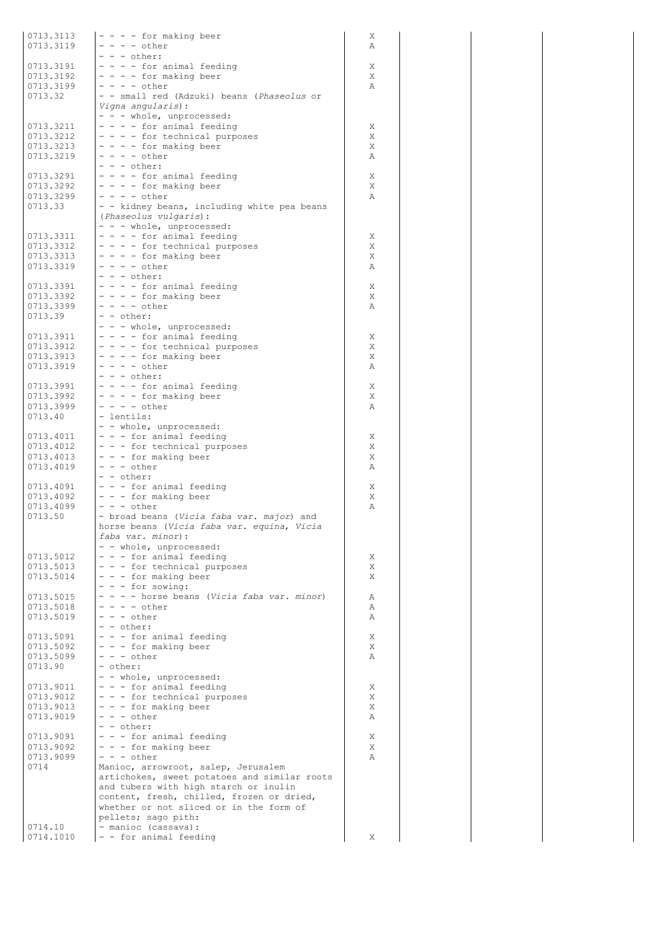| 0713.3113<br>0713.3119 | $- - -$ for making beer<br>$- - - -$ other                                              | Χ<br>Α |
|------------------------|-----------------------------------------------------------------------------------------|--------|
|                        | $- - -$ other:                                                                          |        |
| 0713.3191<br>0713.3192 | - - - - for animal feeding<br>$- - - -$ for making beer                                 | Χ<br>Χ |
| 0713.3199              | $- - - -$ other                                                                         | Α      |
| 0713.32                | - - small red (Adzuki) beans (Phaseolus or                                              |        |
|                        | Vigna angularis):<br>- - - whole, unprocessed:                                          |        |
| 0713.3211              | - - - - for animal feeding                                                              | Χ      |
| 0713.3212              | - - - - for technical purposes                                                          | X      |
| 0713.3213              | $- - -$ for making beer                                                                 | Χ      |
| 0713.3219              | - - - - other<br>$- - -$ other:                                                         | Α      |
| 0713.3291              | - - - - for animal feeding                                                              | Χ      |
| 0713.3292              | - - - - for making beer                                                                 | Χ      |
| 0713.3299<br>0713.33   | $- - - - \text{other}$<br>- - kidney beans, including white pea beans                   | Α      |
|                        | (Phaseolus vulgaris):                                                                   |        |
|                        | - - - whole, unprocessed:                                                               |        |
| 0713.3311              | - - - - for animal feeding                                                              | X      |
| 0713.3312<br>0713.3313 | - - - - for technical purposes<br>$- - -$ for making beer                               | X<br>X |
| 0713.3319              | - - - - other                                                                           | Α      |
|                        | $- - -$ other:                                                                          |        |
| 0713.3391<br>0713.3392 | - - - - for animal feeding<br>- - - - for making beer                                   | X<br>X |
| 0713.3399              | $- - - -$ other                                                                         | Α      |
| 0713.39                | - - other:                                                                              |        |
|                        | - - - whole, unprocessed:                                                               |        |
| 0713.3911<br>0713.3912 | - - - - for animal feeding<br>- - - - for technical purposes                            | X<br>Χ |
| 0713.3913              | $- - -$ for making beer                                                                 | X      |
| 0713.3919              | - - - - other                                                                           | Α      |
| 0713.3991              | $- - -$ other:                                                                          |        |
| 0713.3992              | - - - - for animal feeding<br>- - - - for making beer                                   | Χ<br>X |
| 0713.3999              | $- - - - \text{other}$                                                                  | Α      |
| 0713.40                | - lentils:                                                                              |        |
| 0713.4011              | - - whole, unprocessed:<br>- - - for animal feeding                                     | Χ      |
| 0713.4012              | - - - for technical purposes                                                            | Χ      |
| 0713.4013              | - - - for making beer                                                                   | Χ      |
| 0713.4019              | $- - -$ other<br>$- -$ other:                                                           | Α      |
| 0713.4091              | - - - for animal feeding                                                                | Χ      |
| 0713.4092              | - - - for making beer                                                                   | Χ      |
| 0713.4099              | $- - -$ other                                                                           | Α      |
| 0713.50                | - broad beans (Vicia faba var. major) and<br>horse beans (Vicia faba var. equina, Vicia |        |
|                        | faba var. minor):                                                                       |        |
|                        | - - whole, unprocessed:                                                                 |        |
| 0713.5012<br>0713.5013 | - - - for animal feeding<br>- - - for technical purposes                                | Χ<br>X |
| 0713.5014              | - - - for making beer                                                                   | Χ      |
|                        | - - - for sowing:                                                                       |        |
| 0713.5015<br>0713.5018 | - - - - horse beans (Vicia faba var. minor)<br>$- - - - \text{other}$                   | Α      |
| 0713.5019              | $- - -$ other                                                                           | Α<br>Α |
|                        | - - other:                                                                              |        |
| 0713.5091              | - - - for animal feeding                                                                | Χ      |
| 0713.5092<br>0713.5099 | - - - for making beer<br>$- - -$ other                                                  | X<br>Α |
| 0713.90                | - other:                                                                                |        |
|                        | - - whole, unprocessed:                                                                 |        |
| 0713.9011<br>0713.9012 | - - - for animal feeding<br>- - - for technical purposes                                | X<br>X |
| 0713.9013              | - - - for making beer                                                                   | X      |
| 0713.9019              | $- - -$ other                                                                           | Α      |
|                        | - - other:                                                                              |        |
| 0713.9091<br>0713.9092 | - - - for animal feeding<br>- - - for making beer                                       | Χ<br>X |
| 0713.9099              | $- - -$ other                                                                           | Α      |
| 0714                   | Manioc, arrowroot, salep, Jerusalem                                                     |        |
|                        | artichokes, sweet potatoes and similar roots                                            |        |
|                        | and tubers with high starch or inulin<br>content, fresh, chilled, frozen or dried,      |        |
|                        | whether or not sliced or in the form of                                                 |        |
|                        | pellets; sago pith:                                                                     |        |
| 0714.10<br>0714.1010   | - manioc (cassava):<br>- - for animal feeding                                           | Χ      |
|                        |                                                                                         |        |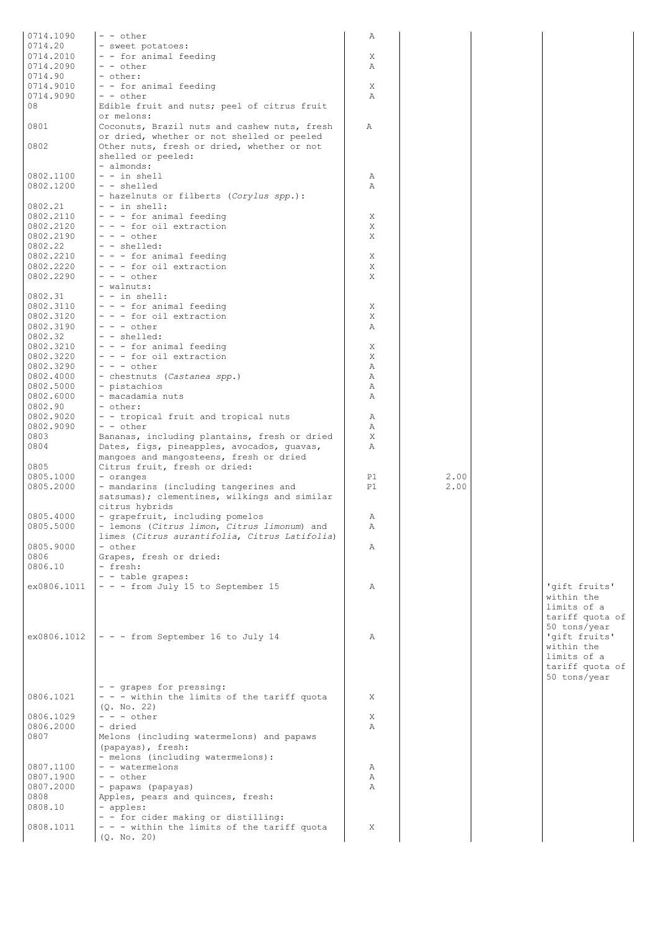| 0714.1090   | - - other                                     |    |      |                 |
|-------------|-----------------------------------------------|----|------|-----------------|
|             |                                               | Α  |      |                 |
| 0714.20     | - sweet potatoes:                             |    |      |                 |
| 0714.2010   | - - for animal feeding                        | Χ  |      |                 |
| 0714.2090   | - - other                                     | Α  |      |                 |
| 0714.90     | - other:                                      |    |      |                 |
| 0714.9010   | - - for animal feeding                        | Χ  |      |                 |
| 0714.9090   | $- -$ other                                   | Α  |      |                 |
| 08          | Edible fruit and nuts; peel of citrus fruit   |    |      |                 |
|             | or melons:                                    |    |      |                 |
| 0801        | Coconuts, Brazil nuts and cashew nuts, fresh  | Α  |      |                 |
|             |                                               |    |      |                 |
|             | or dried, whether or not shelled or peeled    |    |      |                 |
| 0802        | Other nuts, fresh or dried, whether or not    |    |      |                 |
|             | shelled or peeled:                            |    |      |                 |
|             | - almonds:                                    |    |      |                 |
| 0802.1100   | $-$ - in shell                                | Α  |      |                 |
| 0802.1200   | - - shelled                                   | Α  |      |                 |
|             | - hazelnuts or filberts (Corylus spp.):       |    |      |                 |
| 0802.21     | $-$ - in shell:                               |    |      |                 |
| 0802.2110   | - - - for animal feeding                      | X  |      |                 |
| 0802.2120   | - - - for oil extraction                      | X  |      |                 |
| 0802.2190   | $- - -$ other                                 | X  |      |                 |
| 0802.22     | $-$ - shelled:                                |    |      |                 |
| 0802.2210   | - - - for animal feeding                      | Χ  |      |                 |
| 0802.2220   |                                               |    |      |                 |
|             | - - - for oil extraction                      | X  |      |                 |
| 0802.2290   | $- - -$ other                                 | X  |      |                 |
|             | - walnuts:                                    |    |      |                 |
| 0802.31     | $- - in shell$ :                              |    |      |                 |
| 0802.3110   | - - - for animal feeding                      | Χ  |      |                 |
| 0802.3120   | - - - for oil extraction                      | Χ  |      |                 |
| 0802.3190   | $- - -$ other                                 | Α  |      |                 |
| 0802.32     | - - shelled:                                  |    |      |                 |
| 0802.3210   | $- - -$ for animal feeding                    | Χ  |      |                 |
| 0802.3220   | - - - for oil extraction                      | Χ  |      |                 |
| 0802.3290   | $- - -$ other                                 | Α  |      |                 |
|             |                                               |    |      |                 |
| 0802.4000   | - chestnuts (Castanea spp.)                   | Α  |      |                 |
| 0802.5000   | - pistachios                                  | Α  |      |                 |
| 0802.6000   | - macadamia nuts                              | Α  |      |                 |
| 0802.90     | - other:                                      |    |      |                 |
| 0802.9020   | - - tropical fruit and tropical nuts          | Α  |      |                 |
| 0802.9090   | - - other                                     | Α  |      |                 |
| 0803        | Bananas, including plantains, fresh or dried  | X  |      |                 |
| 0804        | Dates, figs, pineapples, avocados, quavas,    | Α  |      |                 |
|             | mangoes and mangosteens, fresh or dried       |    |      |                 |
| 0805        | Citrus fruit, fresh or dried:                 |    |      |                 |
| 0805.1000   | - oranges                                     | P1 | 2.00 |                 |
|             | - mandarins (including tangerines and         | P1 | 2.00 |                 |
| 0805.2000   |                                               |    |      |                 |
|             | satsumas); clementines, wilkings and similar  |    |      |                 |
|             | citrus hybrids                                |    |      |                 |
| 0805.4000   | - grapefruit, including pomelos               | Α  |      |                 |
| 0805.5000   | - lemons (Citrus limon, Citrus limonum) and   | Α  |      |                 |
|             | limes (Citrus aurantifolia, Citrus Latifolia) |    |      |                 |
| 0805.9000   | - other                                       | Α  |      |                 |
| 0806        | Grapes, fresh or dried:                       |    |      |                 |
| 0806.10     | - fresh:                                      |    |      |                 |
|             | - - table grapes:                             |    |      |                 |
| ex0806.1011 | - - - from July 15 to September 15            | Α  |      | 'qift fruits'   |
|             |                                               |    |      | within the      |
|             |                                               |    |      | limits of a     |
|             |                                               |    |      |                 |
|             |                                               |    |      | tariff quota of |
|             |                                               |    |      | 50 tons/year    |
| ex0806.1012 | $\vert - - -$ from September 16 to July 14    | Α  |      | 'gift fruits'   |
|             |                                               |    |      | within the      |
|             |                                               |    |      | limits of a     |
|             |                                               |    |      | tariff quota of |
|             |                                               |    |      | 50 tons/year    |
|             | - - grapes for pressing:                      |    |      |                 |
| 0806.1021   | - - - within the limits of the tariff quota   | X  |      |                 |
|             | (Q. No. 22)                                   |    |      |                 |
| 0806.1029   | $- - -$ other                                 | Χ  |      |                 |
| 0806.2000   | - dried                                       | Α  |      |                 |
|             |                                               |    |      |                 |
| 0807        | Melons (including watermelons) and papaws     |    |      |                 |
|             | (papayas), fresh:                             |    |      |                 |
|             | - melons (including watermelons):             |    |      |                 |
| 0807.1100   | - - watermelons                               | Α  |      |                 |
| 0807.1900   | - - other                                     | Α  |      |                 |
| 0807.2000   | - papaws (papayas)                            | Α  |      |                 |
| 0808        | Apples, pears and quinces, fresh:             |    |      |                 |
| 0808.10     | - apples:                                     |    |      |                 |
|             | - - for cider making or distilling:           |    |      |                 |
| 0808.1011   | - - - within the limits of the tariff quota   | Χ  |      |                 |
|             | (Q. No. 20)                                   |    |      |                 |
|             |                                               |    |      |                 |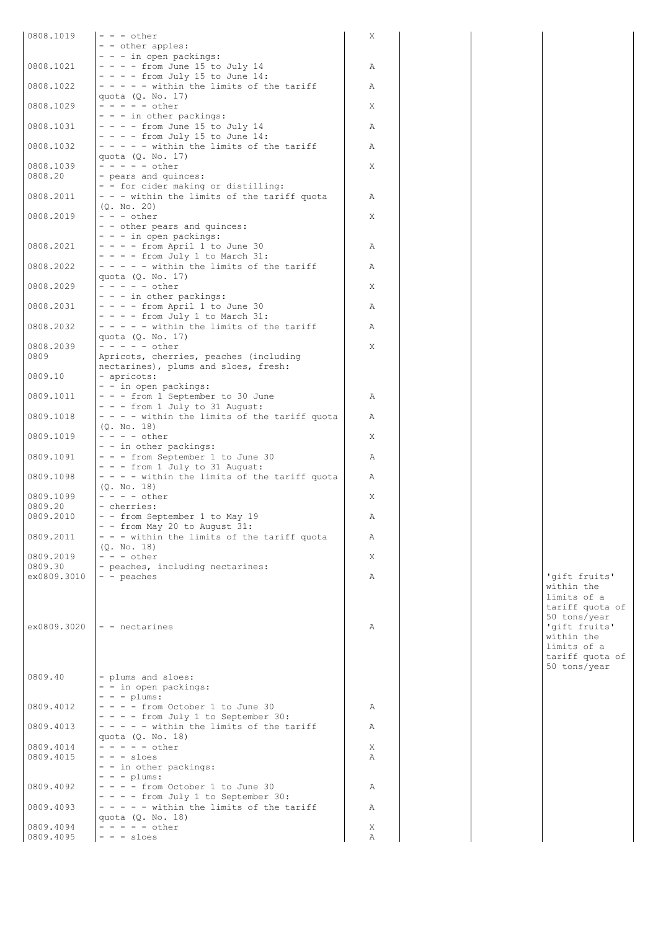| 0808.1019            | $- - -$ other                                               | X |  |                |
|----------------------|-------------------------------------------------------------|---|--|----------------|
|                      | - - other apples:                                           |   |  |                |
|                      | - - - in open packings:                                     |   |  |                |
| 0808.1021            | $- - -$ from June 15 to July 14                             | Α |  |                |
|                      | $- - -$ from July 15 to June 14:                            |   |  |                |
| 0808.1022            | - - - - - within the limits of the tariff                   | Α |  |                |
| 0808.1029            | quota (Q. No. 17)<br>$- - - - -$ other                      | Χ |  |                |
|                      | - - - in other packings:                                    |   |  |                |
| 0808.1031            | $- - -$ from June 15 to July 14                             | Α |  |                |
|                      | $- - -$ from July 15 to June 14:                            |   |  |                |
| 0808.1032            | $- - - -$ within the limits of the tariff                   | Α |  |                |
|                      | quota (Q. No. 17)                                           |   |  |                |
| 0808.1039            | $- - - - -$ other                                           | X |  |                |
| 0808.20              | - pears and quinces:                                        |   |  |                |
|                      | - - for cider making or distilling:                         |   |  |                |
| 0808.2011            | - - - within the limits of the tariff quota                 | Α |  |                |
| 0808.2019            | (0, No, 20)<br>$- - -$ other                                | X |  |                |
|                      | - - other pears and quinces:                                |   |  |                |
|                      | - - - in open packings:                                     |   |  |                |
| 0808.2021            | $- - -$ from April 1 to June 30                             | Α |  |                |
|                      | $- - -$ from July 1 to March 31:                            |   |  |                |
| 0808.2022            | $- - - -$ within the limits of the tariff                   | Α |  |                |
|                      | quota $(Q. No. 17)$                                         |   |  |                |
| 0808.2029            | $- - - - - other$                                           | X |  |                |
|                      | - - - in other packings:                                    |   |  |                |
| 0808.2031            | $- - -$ from April 1 to June 30                             | Α |  |                |
|                      | $- - -$ from July 1 to March 31:                            |   |  |                |
| 0808.2032            | $- - - -$ within the limits of the tariff                   | Α |  |                |
| 0808.2039            | quota (Q. No. 17)<br>$- - - - -$ other                      | X |  |                |
| 0809                 | Apricots, cherries, peaches (including                      |   |  |                |
|                      | nectarines), plums and sloes, fresh:                        |   |  |                |
| 0809.10              | - apricots:                                                 |   |  |                |
|                      | - - in open packings:                                       |   |  |                |
| 0809.1011            | - - - from 1 September to 30 June                           | Α |  |                |
|                      | - - - from 1 July to 31 August:                             |   |  |                |
| 0809.1018            | - - - - within the limits of the tariff quota               | Α |  |                |
|                      | (Q. No. 18)                                                 |   |  |                |
| 0809.1019            | $- - - -$ other                                             | X |  |                |
| 0809.1091            | - - in other packings:<br>- - - from September 1 to June 30 | Α |  |                |
|                      | - - - from 1 July to 31 August:                             |   |  |                |
| 0809.1098            | - - - - within the limits of the tariff quota               | Α |  |                |
|                      | (0, No, 18)                                                 |   |  |                |
| 0809.1099            | $- - - -$ other                                             | Χ |  |                |
| 0809.20              | - cherries:                                                 |   |  |                |
| 0809.2010            | - - from September 1 to May 19                              | Α |  |                |
|                      | - - from May 20 to August 31:                               |   |  |                |
| 0809.2011            | - - - within the limits of the tariff quota                 | Α |  |                |
|                      | (Q. No. 18)                                                 |   |  |                |
| 0809.2019<br>0809.30 | $- - -$ other<br>- peaches, including nectarines:           | Χ |  |                |
| ex0809.3010          | - - peaches                                                 | Α |  | 'qift fruits'  |
|                      |                                                             |   |  | within the     |
|                      |                                                             |   |  | limits of a    |
|                      |                                                             |   |  | tariff quota c |
|                      |                                                             |   |  | 50 tons/year   |
| ex0809.3020          | $\vert - \vert$ - nectarines                                | Α |  | 'gift fruits'  |
|                      |                                                             |   |  | within the     |
|                      |                                                             |   |  | limits of a    |
|                      |                                                             |   |  | tariff quota c |
| 0809.40              |                                                             |   |  | 50 tons/year   |
|                      | - plums and sloes:<br>- - in open packings:                 |   |  |                |
|                      | $- - -$ plums:                                              |   |  |                |
| 0809.4012            | $- - -$ from October 1 to June 30                           | Α |  |                |
|                      | - - - - from July 1 to September 30:                        |   |  |                |
| 0809.4013            | - - - - - within the limits of the tariff                   | Α |  |                |
|                      | quota $(Q. No. 18)$                                         |   |  |                |
| 0809.4014            | $- - - - - other$                                           | Χ |  |                |
| 0809.4015            | $- - -$ sloes                                               | Α |  |                |
|                      | - - in other packings:                                      |   |  |                |
| 0809.4092            | $- - -$ plums:<br>$- - -$ from October 1 to June 30         | Α |  |                |
|                      | - - - - from July 1 to September 30:                        |   |  |                |
| 0809.4093            | - - - - - within the limits of the tariff                   | Α |  |                |
|                      | quota (Q. No. 18)                                           |   |  |                |
| 0809.4094            | $- - - - -$ other                                           | Χ |  |                |
| 0809.4095            | $- - - s \text{loes}$                                       | Α |  |                |

within the limits of a tariff quota of 50 tons/year within the limits of a tariff quota of 50 tons/year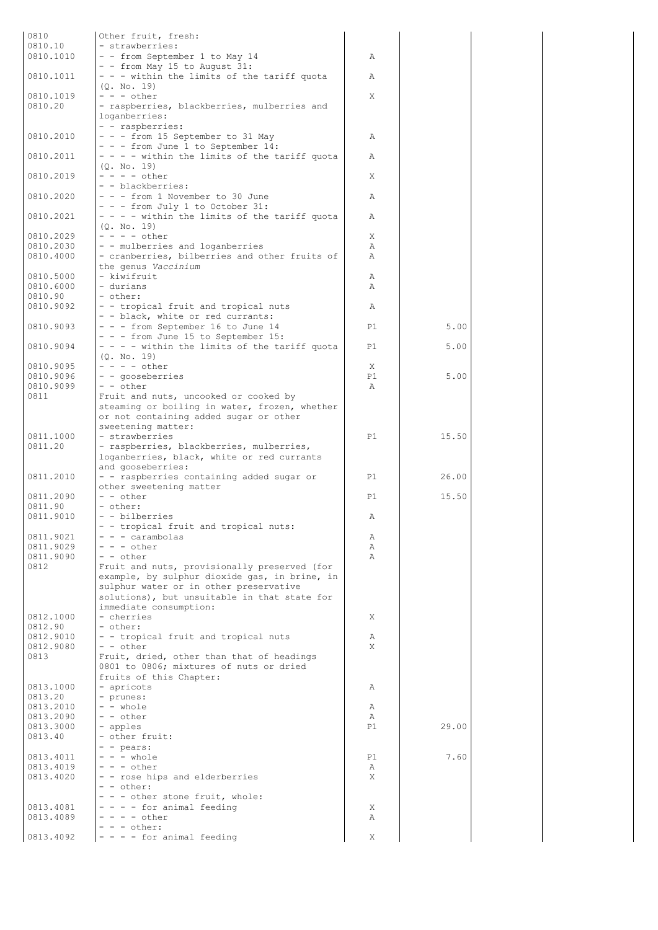| 0810                   | Other fruit, fresh:                                                                           |              |       |  |
|------------------------|-----------------------------------------------------------------------------------------------|--------------|-------|--|
| 0810.10                | - strawberries:                                                                               |              |       |  |
| 0810.1010              | - - from September 1 to May 14<br>- - from May 15 to August 31:                               | Α            |       |  |
| 0810.1011              | - - - within the limits of the tariff quota                                                   | Α            |       |  |
|                        | (Q. No. 19)                                                                                   |              |       |  |
| 0810.1019              | $- - -$ other                                                                                 | X            |       |  |
| 0810.20                | - raspberries, blackberries, mulberries and<br>loganberries:                                  |              |       |  |
|                        | - - raspberries:                                                                              |              |       |  |
| 0810.2010              | - - - from 15 September to 31 May                                                             | Α            |       |  |
|                        | - - - from June 1 to September 14:                                                            |              |       |  |
| 0810.2011              | - - - - within the limits of the tariff quota<br>(0. No. 19)                                  | Α            |       |  |
| 0810.2019              | $- - - -$ other                                                                               | X            |       |  |
|                        | - - blackberries:                                                                             |              |       |  |
| 0810.2020              | - - - from 1 November to 30 June<br>- - - from July 1 to October 31:                          | Α            |       |  |
| 0810.2021              | - - - - within the limits of the tariff quota                                                 | Α            |       |  |
|                        | (Q. No. 19)                                                                                   |              |       |  |
| 0810.2029              | $- - - -$ other                                                                               | X            |       |  |
| 0810.2030<br>0810.4000 | - - mulberries and loganberries<br>- cranberries, bilberries and other fruits of              | A<br>Α       |       |  |
|                        | the genus Vaccinium                                                                           |              |       |  |
| 0810.5000              | - kiwifruit                                                                                   | Α            |       |  |
| 0810.6000              | - durians                                                                                     | Α            |       |  |
| 0810.90<br>0810.9092   | - other:<br>- - tropical fruit and tropical nuts                                              | Α            |       |  |
|                        | - - black, white or red currants:                                                             |              |       |  |
| 0810.9093              | - - - from September 16 to June 14                                                            | P1           | 5.00  |  |
| 0810.9094              | - - - from June 15 to September 15:<br>- - - - within the limits of the tariff quota          | P1           | 5.00  |  |
|                        | (0, No, 19)                                                                                   |              |       |  |
| 0810.9095              | $- - - -$ other                                                                               | X            |       |  |
| 0810.9096              | - - gooseberries                                                                              | P1           | 5.00  |  |
| 0810.9099<br>0811      | - - other<br>Fruit and nuts, uncooked or cooked by                                            | $\mathbb{A}$ |       |  |
|                        | steaming or boiling in water, frozen, whether                                                 |              |       |  |
|                        | or not containing added sugar or other                                                        |              |       |  |
|                        | sweetening matter:                                                                            |              |       |  |
| 0811.1000<br>0811.20   | - strawberries<br>- raspberries, blackberries, mulberries,                                    | P1           | 15.50 |  |
|                        | loganberries, black, white or red currants                                                    |              |       |  |
|                        | and gooseberries:                                                                             |              |       |  |
| 0811.2010              | - - raspberries containing added sugar or<br>other sweetening matter                          | P1           | 26.00 |  |
| 0811.2090              | - - other                                                                                     | P1           | 15.50 |  |
| 0811.90                | - other:                                                                                      |              |       |  |
| 0811.9010              | - - bilberries                                                                                | Α            |       |  |
| 0811.9021              | - - tropical fruit and tropical nuts:<br>$- - -$ carambolas                                   | Α            |       |  |
| 0811.9029              | $- - -$ other                                                                                 | Α            |       |  |
| 0811.9090              | - - other                                                                                     | $\mathbb{A}$ |       |  |
| 0812                   | Fruit and nuts, provisionally preserved (for<br>example, by sulphur dioxide gas, in brine, in |              |       |  |
|                        | sulphur water or in other preservative                                                        |              |       |  |
|                        | solutions), but unsuitable in that state for                                                  |              |       |  |
| 0812.1000              | immediate consumption:<br>- cherries                                                          | Χ            |       |  |
| 0812.90                | - other:                                                                                      |              |       |  |
| 0812.9010              | - - tropical fruit and tropical nuts                                                          | Α            |       |  |
| 0812.9080              | $- -$ other                                                                                   | X            |       |  |
| 0813                   | Fruit, dried, other than that of headings<br>0801 to 0806; mixtures of nuts or dried          |              |       |  |
|                        | fruits of this Chapter:                                                                       |              |       |  |
| 0813.1000              | - apricots                                                                                    | Α            |       |  |
| 0813.20                | - prunes:                                                                                     |              |       |  |
| 0813.2010<br>0813.2090 | - - whole<br>- - other                                                                        | Α<br>Α       |       |  |
| 0813.3000              | - apples                                                                                      | P1           | 29.00 |  |
| 0813.40                | - other fruit:                                                                                |              |       |  |
| 0813.4011              | - - pears:<br>$- - -$ whole                                                                   | P1           | 7.60  |  |
| 0813.4019              | $- - -$ other                                                                                 | Α            |       |  |
| 0813.4020              | - - rose hips and elderberries                                                                | X            |       |  |
|                        | - - other:                                                                                    |              |       |  |
| 0813.4081              | - - - other stone fruit, whole:<br>$- - -$ for animal feeding                                 | Χ            |       |  |
| 0813.4089              | $- - - -$ other                                                                               | Α            |       |  |
|                        | $- - -$ other:                                                                                |              |       |  |
| 0813.4092              | - - - - for animal feeding                                                                    | X            |       |  |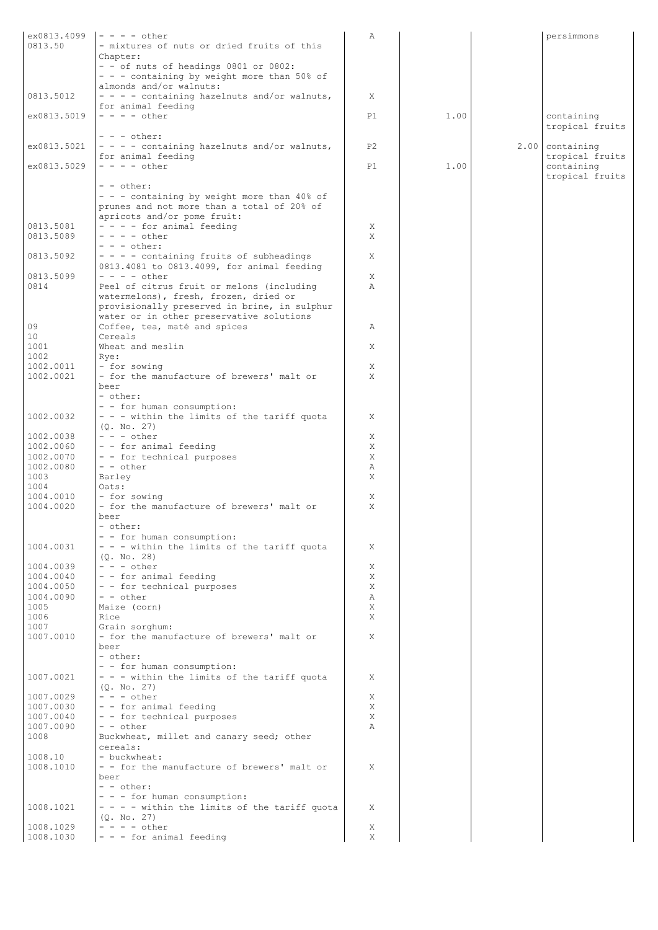| ex0813.4099       | $- - - -$ other                                                                          | Α              |      | persimmons                    |
|-------------------|------------------------------------------------------------------------------------------|----------------|------|-------------------------------|
| 0813.50           | - mixtures of nuts or dried fruits of this                                               |                |      |                               |
|                   | Chapter:<br>- - of nuts of headings 0801 or 0802:                                        |                |      |                               |
|                   | - - - containing by weight more than 50% of                                              |                |      |                               |
|                   | almonds and/or walnuts:                                                                  |                |      |                               |
| 0813.5012         | $- - -$ containing hazelnuts and/or walnuts,                                             | X              |      |                               |
|                   | for animal feeding                                                                       |                |      |                               |
| ex0813.5019       | $- - - -$ other                                                                          | P1             | 1.00 | containing<br>tropical fruits |
|                   | $- - -$ other:                                                                           |                |      |                               |
| ex0813.5021       | - - - - containing hazelnuts and/or walnuts,                                             | P <sub>2</sub> |      | $2.00$ containing             |
|                   | for animal feeding                                                                       |                |      | tropical fruits               |
| ex0813.5029       | $- - - -$ other                                                                          | P1             | 1.00 | containing                    |
|                   | - - other:                                                                               |                |      | tropical fruits               |
|                   | - - - containing by weight more than 40% of                                              |                |      |                               |
|                   | prunes and not more than a total of 20% of                                               |                |      |                               |
|                   | apricots and/or pome fruit:                                                              |                |      |                               |
| 0813.5081         | - - - - for animal feeding                                                               | Χ              |      |                               |
| 0813.5089         | $- - - -$ other                                                                          | X              |      |                               |
| 0813.5092         | $- - -$ other:<br>- - - - containing fruits of subheadings                               | X              |      |                               |
|                   | 0813.4081 to 0813.4099, for animal feeding                                               |                |      |                               |
| 0813.5099         | $- - - -$ other                                                                          | X              |      |                               |
| 0814              | Peel of citrus fruit or melons (including                                                | Α              |      |                               |
|                   | watermelons), fresh, frozen, dried or                                                    |                |      |                               |
|                   | provisionally preserved in brine, in sulphur<br>water or in other preservative solutions |                |      |                               |
| 09                | Coffee, tea, maté and spices                                                             | Α              |      |                               |
| 10                | Cereals                                                                                  |                |      |                               |
| 1001              | Wheat and meslin                                                                         | X              |      |                               |
| 1002              | Rye:                                                                                     |                |      |                               |
| 1002.0011         | - for sowing<br>- for the manufacture of brewers' malt or                                | Χ<br>X         |      |                               |
| 1002.0021         | beer                                                                                     |                |      |                               |
|                   | - other:                                                                                 |                |      |                               |
|                   | - - for human consumption:                                                               |                |      |                               |
| 1002.0032         | - - - within the limits of the tariff quota                                              | X              |      |                               |
| 1002.0038         | (0, No, 27)<br>$- - -$ other                                                             | Χ              |      |                               |
| 1002.0060         | - - for animal feeding                                                                   | X              |      |                               |
| 1002.0070         | - - for technical purposes                                                               | X              |      |                               |
| 1002.0080         | $- -$ other                                                                              | Α              |      |                               |
| 1003<br>1004      | Barley<br>Oats:                                                                          | Χ              |      |                               |
| 1004.0010         | - for sowing                                                                             | Χ              |      |                               |
| 1004.0020         | - for the manufacture of brewers' malt or                                                | X              |      |                               |
|                   | beer                                                                                     |                |      |                               |
|                   | - other:                                                                                 |                |      |                               |
| 1004.0031         | - - for human consumption:<br>- - - within the limits of the tariff quota                | Χ              |      |                               |
|                   | (0, No, 28)                                                                              |                |      |                               |
| 1004.0039         | $- - -$ other                                                                            | Χ              |      |                               |
| 1004.0040         | - - for animal feeding                                                                   | Χ              |      |                               |
| 1004.0050         | - - for technical purposes                                                               | X              |      |                               |
| 1004.0090<br>1005 | - - other<br>Maize (corn)                                                                | Α<br>X         |      |                               |
| 1006              | Rice                                                                                     | X              |      |                               |
| 1007              | Grain sorghum:                                                                           |                |      |                               |
| 1007.0010         | - for the manufacture of brewers' malt or                                                | X              |      |                               |
|                   | beer                                                                                     |                |      |                               |
|                   | - other:<br>- - for human consumption:                                                   |                |      |                               |
| 1007.0021         | - - - within the limits of the tariff quota                                              | X              |      |                               |
|                   | (Q. No. 27)                                                                              |                |      |                               |
| 1007.0029         | $- - -$ other                                                                            | Χ              |      |                               |
| 1007.0030         | - - for animal feeding                                                                   | X              |      |                               |
| 1007.0040         | - - for technical purposes<br>- - other                                                  | Χ<br>Α         |      |                               |
| 1007.0090<br>1008 | Buckwheat, millet and canary seed; other                                                 |                |      |                               |
|                   | cereals:                                                                                 |                |      |                               |
| 1008.10           | - buckwheat:                                                                             |                |      |                               |
| 1008.1010         | - - for the manufacture of brewers' malt or                                              | X              |      |                               |
|                   | beer<br>- - other:                                                                       |                |      |                               |
|                   | - - - for human consumption:                                                             |                |      |                               |
| 1008.1021         | - - - - within the limits of the tariff quota                                            | X              |      |                               |
|                   | (Q. No. 27)                                                                              |                |      |                               |
| 1008.1029         | $- - - -$ other                                                                          | Χ              |      |                               |
| 1008.1030         | $-$ - $-$ for animal feeding                                                             | Χ              |      |                               |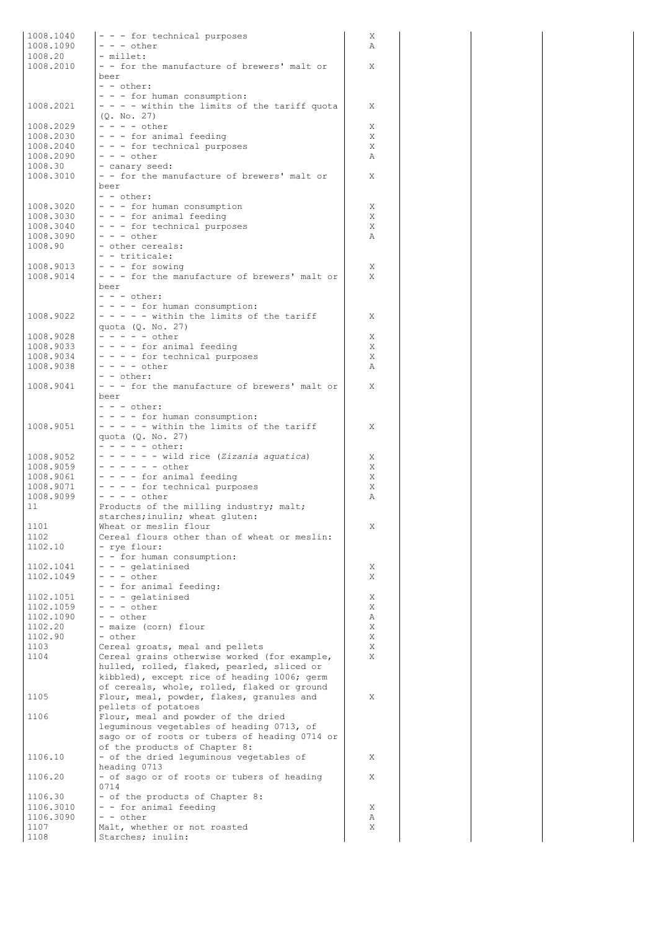| 1008.1040<br>1008.1090 | - - - for technical purposes<br>$- - -$ other                                              | Χ<br>Α |
|------------------------|--------------------------------------------------------------------------------------------|--------|
| 1008.20<br>1008.2010   | - millet:<br>- - for the manufacture of brewers' malt or                                   | Χ      |
|                        | beer<br>- - other:                                                                         |        |
| 1008.2021              | - - - for human consumption:<br>- - - - within the limits of the tariff quota              | Χ      |
| 1008.2029              | (Q. No. 27)<br>$- - - -$ other                                                             | Χ      |
| 1008.2030<br>1008.2040 | - - - for animal feeding<br>- - - for technical purposes                                   | X<br>X |
| 1008.2090              | $- - -$ other                                                                              | Α      |
| 1008.30<br>1008.3010   | - canary seed:                                                                             |        |
|                        | - - for the manufacture of brewers' malt or<br>beer                                        | Χ      |
| 1008.3020              | - - other:<br>- - - for human consumption                                                  | Χ      |
| 1008.3030              | - - - for animal feeding                                                                   | X      |
| 1008.3040<br>1008.3090 | - - - for technical purposes<br>$- - -$ other                                              | X<br>Α |
| 1008.90                | - other cereals:                                                                           |        |
|                        | - - triticale:                                                                             |        |
| 1008.9013<br>1008.9014 | $- - -$ for sowing<br>- - - for the manufacture of brewers' malt or                        | Χ<br>X |
|                        | beer                                                                                       |        |
|                        | $- - -$ other:<br>- - - - for human consumption:                                           |        |
| 1008.9022              | $- - - -$ within the limits of the tariff                                                  | X      |
|                        | quota (Q. No. 27)                                                                          |        |
| 1008.9028<br>1008.9033 | $- - - - -$ other<br>- - - - for animal feeding                                            | X<br>Χ |
| 1008.9034              | - - - - for technical purposes                                                             | X      |
| 1008.9038              | $- - - -$ other                                                                            | Α      |
| 1008.9041              | - - other:<br>- - - for the manufacture of brewers' malt or                                | X      |
|                        | beer                                                                                       |        |
|                        | $- - -$ other:<br>- - - - for human consumption:                                           |        |
| 1008.9051              | - - - - - within the limits of the tariff                                                  | X      |
|                        | quota (Q. No. 27)                                                                          |        |
| 1008.9052              | $- - - - -$ other:<br>- - - - - - wild rice (Zizania aquatica)                             | Χ      |
| 1008.9059              | $- - - - - - other$                                                                        | Χ      |
| 1008.9061<br>1008.9071 | - - - - for animal feeding<br>- - - - for technical purposes                               | X<br>X |
| 1008.9099              | $- - - -$ other                                                                            | Α      |
| 11                     | Products of the milling industry; malt;                                                    |        |
| 1101                   | starches; inulin; wheat gluten:<br>Wheat or meslin flour                                   | Х.     |
| 1102                   | Cereal flours other than of wheat or meslin:                                               |        |
| 1102.10                | - rye flour:                                                                               |        |
| 1102.1041              | - - for human consumption:<br>- - - gelatinised                                            | Χ      |
| 1102.1049              | $- - -$ other                                                                              | Χ      |
| 1102.1051              | - - for animal feeding:<br>- - - gelatinised                                               | Χ      |
| 1102.1059              | $- - -$ other                                                                              | X      |
| 1102.1090              | - - other                                                                                  | Α      |
| 1102.20<br>1102.90     | - maize (corn) flour<br>- other                                                            | Χ<br>Χ |
| 1103                   | Cereal groats, meal and pellets                                                            | X      |
| 1104                   | Cereal grains otherwise worked (for example,<br>hulled, rolled, flaked, pearled, sliced or | X      |
|                        | kibbled), except rice of heading 1006; germ                                                |        |
|                        | of cereals, whole, rolled, flaked or ground                                                |        |
| 1105                   | Flour, meal, powder, flakes, granules and<br>pellets of potatoes                           | Χ      |
| 1106                   | Flour, meal and powder of the dried                                                        |        |
|                        | leguminous vegetables of heading 0713, of<br>sago or of roots or tubers of heading 0714 or |        |
|                        | of the products of Chapter 8:                                                              |        |
| 1106.10                | - of the dried lequminous vegetables of                                                    | X      |
| 1106.20                | heading 0713<br>- of sago or of roots or tubers of heading                                 | X      |
|                        | 0714                                                                                       |        |
| 1106.30<br>1106.3010   | - of the products of Chapter 8:<br>- - for animal feeding                                  | Χ      |
| 1106.3090              | - - other                                                                                  | Α      |
| 1107                   | Malt, whether or not roasted                                                               | Χ      |
| 1108                   | Starches; inulin:                                                                          |        |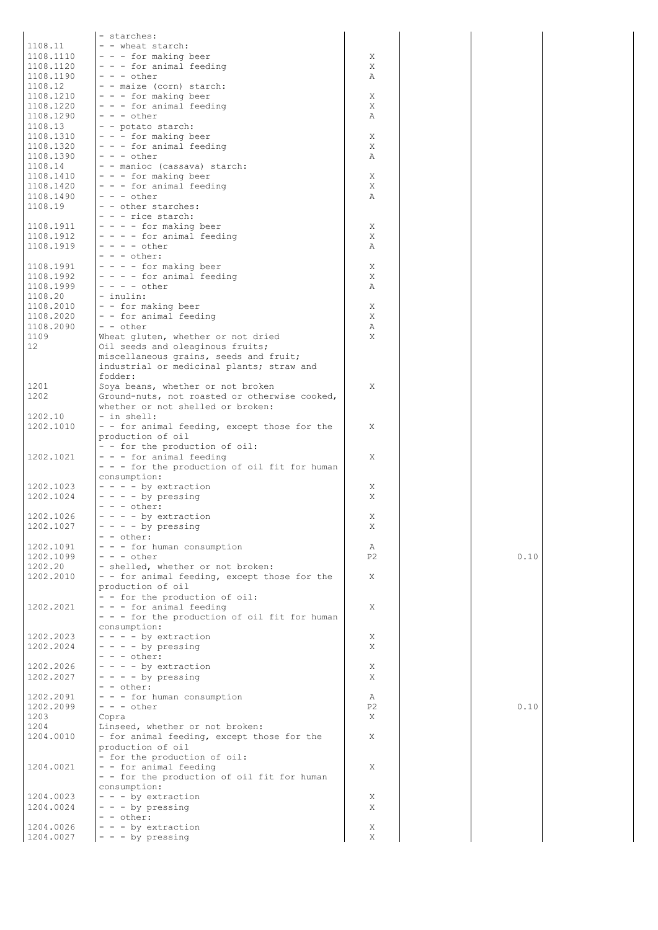|                      | - starches:                                                                        |                |      |
|----------------------|------------------------------------------------------------------------------------|----------------|------|
| 1108.11              | - - wheat starch:                                                                  |                |      |
| 1108.1110            | - - - for making beer                                                              | Χ              |      |
| 1108.1120            | $- - -$ for animal feeding                                                         | Χ              |      |
| 1108.1190            | $- - -$ other                                                                      | Α              |      |
| 1108.12              | - - maize (corn) starch:                                                           |                |      |
| 1108.1210            | $- - -$ for making beer                                                            | X              |      |
| 1108.1220            | - - - for animal feeding                                                           | X              |      |
| 1108.1290<br>1108.13 | $- - -$ other<br>- - potato starch:                                                | Α              |      |
| 1108.1310            | $- - -$ for making beer                                                            | X              |      |
| 1108.1320            | $- - -$ for animal feeding                                                         | X              |      |
| 1108.1390            | $- - -$ other                                                                      | Α              |      |
| 1108.14              | - - manioc (cassava) starch:                                                       |                |      |
| 1108.1410            | $-$ - $-$ for making beer                                                          | X              |      |
| 1108.1420            | $- - -$ for animal feeding                                                         | X              |      |
| 1108.1490            | $- - -$ other                                                                      | Α              |      |
| 1108.19              | - - other starches:                                                                |                |      |
|                      | - - - rice starch:                                                                 |                |      |
| 1108.1911            | $- - -$ for making beer                                                            | Χ              |      |
| 1108.1912            | - - - - for animal feeding                                                         | Χ              |      |
| 1108.1919            | $- - - -$ other<br>$- - -$ other:                                                  | Α              |      |
| 1108.1991            | - - - - for making beer                                                            | X              |      |
| 1108.1992            | - - - - for animal feeding                                                         | X              |      |
| 1108.1999            | $- - - -$ other                                                                    | Α              |      |
| 1108.20              | $-$ inulin:                                                                        |                |      |
| 1108.2010            | - - for making beer                                                                | X              |      |
| 1108.2020            | - - for animal feeding                                                             | X              |      |
| 1108.2090            | $- -$ other                                                                        | Α              |      |
| 1109                 | Wheat gluten, whether or not dried                                                 | X              |      |
| $12 \overline{ }$    | Oil seeds and oleaginous fruits;                                                   |                |      |
|                      | miscellaneous grains, seeds and fruit;                                             |                |      |
|                      | industrial or medicinal plants; straw and                                          |                |      |
|                      | fodder:                                                                            |                |      |
| 1201                 | Soya beans, whether or not broken                                                  | X              |      |
| 1202                 | Ground-nuts, not roasted or otherwise cooked,<br>whether or not shelled or broken: |                |      |
| 1202.10              | - in shell:                                                                        |                |      |
| 1202.1010            | - - for animal feeding, except those for the                                       | X              |      |
|                      | production of oil                                                                  |                |      |
|                      | - - for the production of oil:                                                     |                |      |
| 1202.1021            | $-$ - $-$ for animal feeding                                                       | Χ              |      |
|                      | - - - for the production of oil fit for human                                      |                |      |
|                      | consumption:                                                                       |                |      |
| 1202.1023            | $- - -$ by extraction                                                              | Χ              |      |
| 1202.1024            | $- - -$ by pressing                                                                | X              |      |
|                      | $- - -$ other:                                                                     |                |      |
| 1202.1026            | - - - - by extraction                                                              | X              |      |
| 1202.1027            | $- - -$ by pressing                                                                | Χ              |      |
| 1202.1091            | - - other:<br>- - - for human consumption                                          | Α              |      |
| 1202.1099            | $- - -$ other                                                                      | P <sub>2</sub> | 0.10 |
| 1202.20              | - shelled, whether or not broken:                                                  |                |      |
| 1202.2010            | - - for animal feeding, except those for the                                       | X              |      |
|                      | production of oil                                                                  |                |      |
|                      | - - for the production of oil:                                                     |                |      |
| 1202.2021            | - - - for animal feeding                                                           | X              |      |
|                      | - - - for the production of oil fit for human                                      |                |      |
|                      | consumption:                                                                       |                |      |
| 1202.2023            | $- - -$ by extraction                                                              | Χ              |      |
| 1202.2024            | $- - -$ by pressing<br>$- - -$ other:                                              | X              |      |
| 1202.2026            | $- - -$ by extraction                                                              | Χ              |      |
| 1202.2027            | $- - -$ by pressing                                                                | X              |      |
|                      | $- -$ other:                                                                       |                |      |
| 1202.2091            | - - - for human consumption                                                        | Α              |      |
| 1202.2099            | $- - -$ other                                                                      | P <sub>2</sub> | 0.10 |
| 1203                 | Copra                                                                              | X              |      |
| 1204                 | Linseed, whether or not broken:                                                    |                |      |
| 1204.0010            | - for animal feeding, except those for the                                         | X              |      |
|                      | production of oil                                                                  |                |      |
|                      | - for the production of oil:                                                       |                |      |
| 1204.0021            | - - for animal feeding                                                             | X              |      |
|                      | - - for the production of oil fit for human<br>consumption:                        |                |      |
| 1204.0023            | $- - -$ by extraction                                                              | X              |      |
| 1204.0024            | $- - -$ by pressing                                                                | Χ              |      |
|                      | - - other:                                                                         |                |      |
| 1204.0026            | $- - -$ by extraction                                                              | Χ              |      |
| 1204.0027            | - - - by pressing                                                                  | Χ              |      |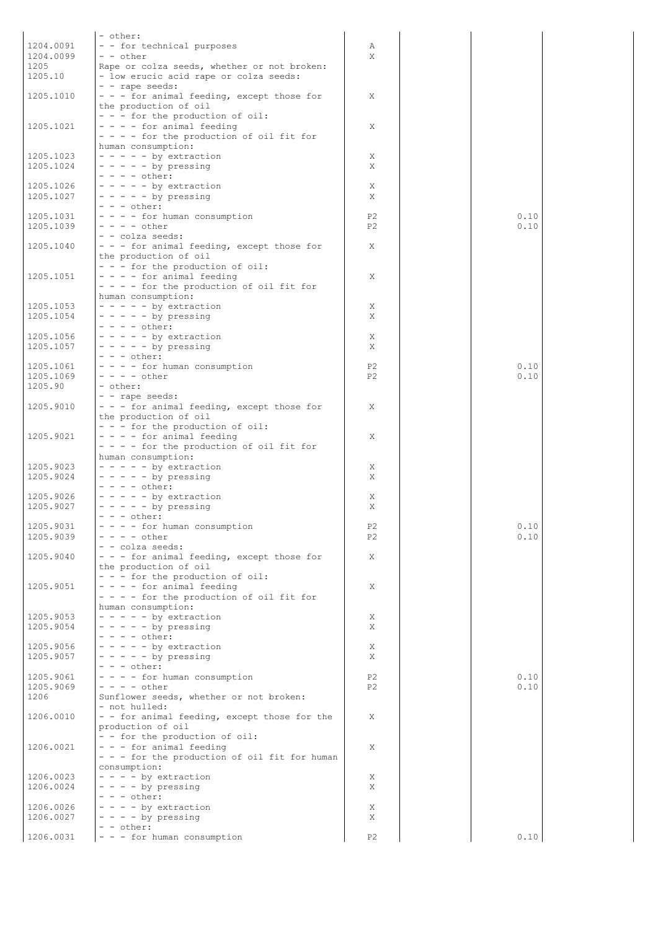|           | - other:                                                                |                |      |
|-----------|-------------------------------------------------------------------------|----------------|------|
| 1204.0091 | - - for technical purposes                                              | Α              |      |
| 1204.0099 | - - other                                                               | X              |      |
| 1205      | Rape or colza seeds, whether or not broken:                             |                |      |
| 1205.10   | - low erucic acid rape or colza seeds:                                  |                |      |
|           | - - rape seeds:                                                         |                |      |
| 1205.1010 | - - - for animal feeding, except those for                              | X              |      |
|           | the production of oil                                                   |                |      |
|           | - - - for the production of oil:                                        |                |      |
| 1205.1021 | $- - -$ for animal feeding                                              | X              |      |
|           | - - - - for the production of oil fit for                               |                |      |
|           | human consumption:                                                      |                |      |
| 1205.1023 | $- - - - -$ by extraction                                               | X              |      |
| 1205.1024 | $- - - - -$ by pressing                                                 | X              |      |
|           | $- - - -$ other:                                                        |                |      |
| 1205.1026 | $- - - - -$ by extraction                                               | X              |      |
| 1205.1027 | $- - - - -$ by pressing<br>$- - -$ other:                               | X              |      |
| 1205.1031 | - - - - for human consumption                                           | P <sub>2</sub> | 0.10 |
| 1205.1039 | $- - - -$ other                                                         | P <sub>2</sub> | 0.10 |
|           | - - colza seeds:                                                        |                |      |
| 1205.1040 | - - - for animal feeding, except those for                              | Χ              |      |
|           | the production of oil                                                   |                |      |
|           | - - - for the production of oil:                                        |                |      |
| 1205.1051 | $- - -$ for animal feeding                                              | X              |      |
|           | - - - - for the production of oil fit for                               |                |      |
|           | human consumption:                                                      |                |      |
| 1205.1053 | $- - - - -$ by extraction                                               | Χ              |      |
| 1205.1054 | $- - - - -$ by pressing                                                 | X              |      |
|           | $- - - -$ other:                                                        |                |      |
| 1205.1056 | $- - - - -$ by extraction                                               | Χ              |      |
| 1205.1057 | $- - - - -$ by pressing                                                 | X              |      |
|           | $- - -$ other:                                                          |                |      |
| 1205.1061 | - - - - for human consumption                                           | P <sub>2</sub> | 0.10 |
| 1205.1069 | $- - - -$ other                                                         | P <sub>2</sub> | 0.10 |
| 1205.90   | - other:                                                                |                |      |
|           | - - rape seeds:                                                         |                |      |
| 1205.9010 | - - - for animal feeding, except those for                              | Χ              |      |
|           | the production of oil                                                   |                |      |
| 1205.9021 | - - - for the production of oil:                                        | X              |      |
|           | - - - - for animal feeding<br>- - - - for the production of oil fit for |                |      |
|           | human consumption:                                                      |                |      |
| 1205.9023 | $- - - - -$ by extraction                                               | X              |      |
| 1205.9024 | $- - - - -$ by pressing                                                 | Χ              |      |
|           | $- - - -$ other:                                                        |                |      |
| 1205.9026 | $- - - - -$ by extraction                                               | Χ              |      |
| 1205.9027 | $- - - - -$ by pressing                                                 | X              |      |
|           | $- - -$ other:                                                          |                |      |
| 1205.9031 | - - - - for human consumption                                           | P2             | 0.10 |
| 1205.9039 | $- - - -$ other                                                         | P2             | 0.10 |
|           | - - colza seeds:                                                        |                |      |
| 1205.9040 | - - - for animal feeding, except those for                              | X              |      |
|           | the production of oil                                                   |                |      |
|           | - - - for the production of oil:                                        |                |      |
| 1205.9051 | $- - -$ for animal feeding                                              | X              |      |
|           | $- - -$ for the production of oil fit for                               |                |      |
|           | human consumption:                                                      |                |      |
| 1205.9053 | $- - - - -$ by extraction                                               | Χ              |      |
| 1205.9054 | $- - - - -$ by pressing                                                 | X              |      |
| 1205.9056 | $- - - -$ other:<br>$- - - - -$ by extraction                           | Χ              |      |
| 1205.9057 | $- - - - -$ by pressing                                                 | X              |      |
|           | $- - -$ other:                                                          |                |      |
| 1205.9061 | - - - - for human consumption                                           | P2             | 0.10 |
| 1205.9069 | $- - - -$ other                                                         | P2             | 0.10 |
| 1206      | Sunflower seeds, whether or not broken:                                 |                |      |
|           | - not hulled:                                                           |                |      |
| 1206.0010 | - - for animal feeding, except those for the                            | X              |      |
|           | production of oil                                                       |                |      |
|           | - - for the production of oil:                                          |                |      |
| 1206.0021 | - - - for animal feeding                                                | Χ              |      |
|           | - - - for the production of oil fit for human                           |                |      |
|           | consumption:                                                            |                |      |
| 1206.0023 | $- - - -$ by extraction                                                 | Χ              |      |
| 1206.0024 | $- - - -$ by pressing                                                   | X              |      |
|           | $- - -$ other:                                                          |                |      |
| 1206.0026 | $- - -$ by extraction                                                   | Χ              |      |
| 1206.0027 | $- - - -$ by pressing                                                   | X              |      |
|           | - - other:                                                              |                |      |
| 1206.0031 | - - - for human consumption                                             | P <sub>2</sub> | 0.10 |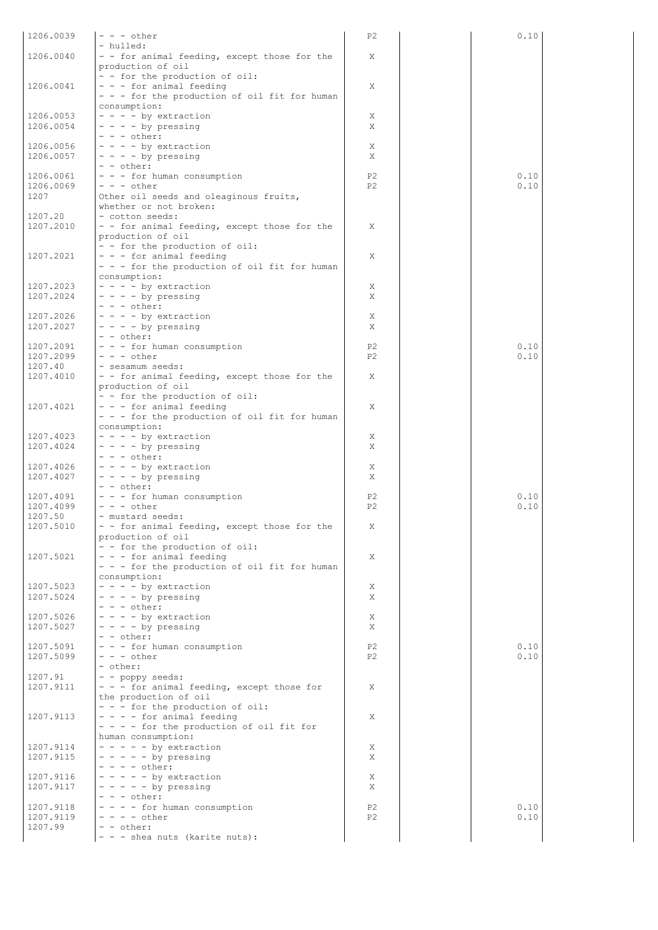| 1206.0039 | $- - -$ other                                                    | P <sub>2</sub>                   | 0.10 |
|-----------|------------------------------------------------------------------|----------------------------------|------|
|           | - hulled:                                                        |                                  |      |
| 1206.0040 | - - for animal feeding, except those for the                     | X                                |      |
|           | production of oil                                                |                                  |      |
|           | - - for the production of oil:                                   |                                  |      |
| 1206.0041 | - - - for animal feeding                                         | X                                |      |
|           | - - - for the production of oil fit for human                    |                                  |      |
|           | consumption:                                                     |                                  |      |
| 1206.0053 | $- - -$ by extraction                                            | X                                |      |
| 1206.0054 | $- - - -$ by pressing                                            | X                                |      |
|           | $- - -$ other:                                                   |                                  |      |
| 1206.0056 | $- - -$ by extraction                                            | X                                |      |
| 1206.0057 | $- - -$ by pressing                                              | X                                |      |
|           | - - other:                                                       |                                  |      |
| 1206.0061 | - - - for human consumption                                      | P <sub>2</sub><br>P <sub>2</sub> | 0.10 |
| 1206.0069 | $- - -$ other                                                    |                                  | 0.10 |
| 1207      | Other oil seeds and oleaginous fruits,<br>whether or not broken: |                                  |      |
| 1207.20   | - cotton seeds:                                                  |                                  |      |
| 1207.2010 | - - for animal feeding, except those for the                     | X                                |      |
|           | production of oil                                                |                                  |      |
|           | - - for the production of oil:                                   |                                  |      |
| 1207.2021 | - - - for animal feeding                                         | Χ                                |      |
|           | - - - for the production of oil fit for human                    |                                  |      |
|           | consumption:                                                     |                                  |      |
| 1207.2023 | $- - -$ by extraction                                            | X                                |      |
| 1207.2024 | $- - - -$ by pressing                                            | X                                |      |
|           | $- - -$ other:                                                   |                                  |      |
| 1207.2026 | $- - -$ by extraction                                            | X                                |      |
| 1207.2027 | $- - - -$ by pressing                                            | X                                |      |
|           | $- -$ other:                                                     |                                  |      |
| 1207.2091 | - - - for human consumption                                      | P <sub>2</sub>                   | 0.10 |
| 1207.2099 | $- - -$ other                                                    | P <sub>2</sub>                   | 0.10 |
| 1207.40   | - sesamum seeds:                                                 |                                  |      |
| 1207.4010 | - - for animal feeding, except those for the                     | X                                |      |
|           | production of oil                                                |                                  |      |
|           | - - for the production of oil:                                   |                                  |      |
| 1207.4021 | - - - for animal feeding                                         | Χ                                |      |
|           | - - - for the production of oil fit for human                    |                                  |      |
|           | consumption:                                                     |                                  |      |
| 1207.4023 | $- - -$ by extraction                                            | Χ                                |      |
| 1207.4024 | $- - - -$ by pressing                                            | Χ                                |      |
| 1207.4026 | $- - -$ other:                                                   |                                  |      |
|           | $- - -$ by extraction<br>$- - - -$ by pressing                   | Χ<br>X                           |      |
| 1207.4027 | - - other:                                                       |                                  |      |
| 1207.4091 | - - - for human consumption                                      | P <sub>2</sub>                   | 0.10 |
| 1207.4099 | $- - -$ other                                                    | P <sub>2</sub>                   | 0.10 |
| 1207.50   | - mustard seeds:                                                 |                                  |      |
| 1207.5010 | - - for animal feeding, except those for the                     | Χ                                |      |
|           | production of oil                                                |                                  |      |
|           | - - for the production of oil:                                   |                                  |      |
| 1207.5021 | - - - for animal feeding                                         | X                                |      |
|           | - - - for the production of oil fit for human                    |                                  |      |
|           | consumption:                                                     |                                  |      |
| 1207.5023 | - - - - by extraction                                            | Χ                                |      |
| 1207.5024 | $- - -$ by pressing                                              | X                                |      |
|           | $- - -$ other:                                                   |                                  |      |
| 1207.5026 | - - - - by extraction                                            | X                                |      |
| 1207.5027 | $- - -$ by pressing                                              | X                                |      |
|           | - - other:                                                       |                                  |      |
| 1207.5091 | - - - for human consumption                                      | P <sub>2</sub>                   | 0.10 |
| 1207.5099 | $- - -$ other                                                    | P <sub>2</sub>                   | 0.10 |
|           | - other:                                                         |                                  |      |
| 1207.91   | - - poppy seeds:                                                 |                                  |      |
| 1207.9111 | - - - for animal feeding, except those for                       | Χ                                |      |
|           | the production of oil                                            |                                  |      |
|           | - - - for the production of oil:                                 |                                  |      |
| 1207.9113 | - - - - for animal feeding                                       | X                                |      |
|           | - - - - for the production of oil fit for                        |                                  |      |
|           | human consumption:                                               |                                  |      |
| 1207.9114 | $- - - - -$ by extraction                                        | X                                |      |
| 1207.9115 | $- - - - -$ by pressing                                          | X                                |      |
|           | $- - - -$ other:                                                 |                                  |      |
| 1207.9116 | $- - - - -$ by extraction<br>$- - - - -$ by pressing             | X<br>X                           |      |
| 1207.9117 | $- - -$ other:                                                   |                                  |      |
| 1207.9118 | - - - - for human consumption                                    | P <sub>2</sub>                   | 0.10 |
| 1207.9119 | $- - - -$ other                                                  | P <sub>2</sub>                   | 0.10 |
| 1207.99   | - - other:                                                       |                                  |      |
|           | - - - shea nuts (karite nuts):                                   |                                  |      |
|           |                                                                  |                                  |      |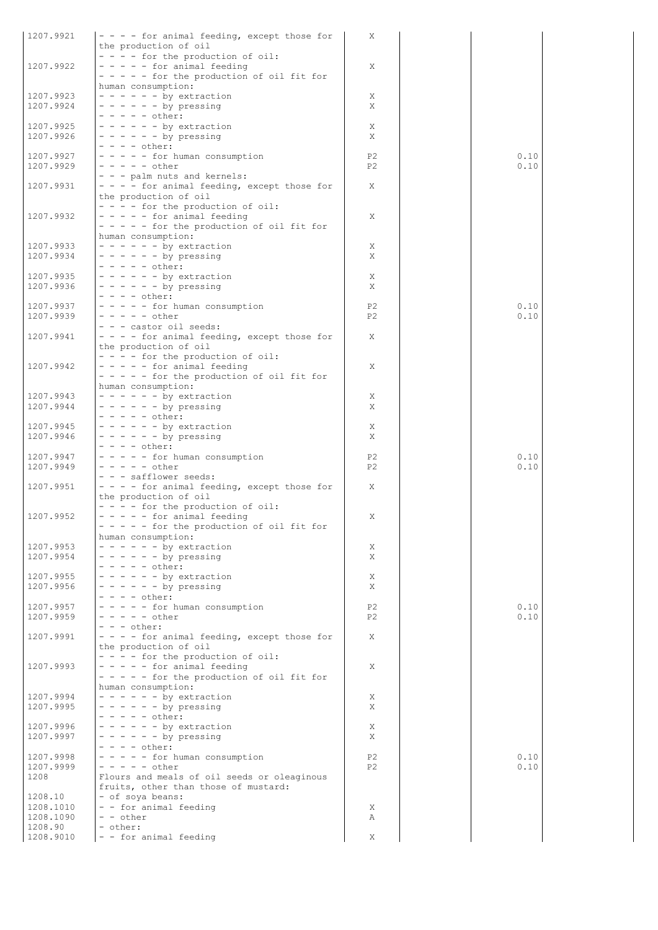| 1207.9921              | - - - - for animal feeding, except those for                                | Χ                    |              |
|------------------------|-----------------------------------------------------------------------------|----------------------|--------------|
|                        | the production of oil<br>- - - - for the production of oil:                 |                      |              |
| 1207.9922              | $- - - -$ for animal feeding                                                | X                    |              |
|                        | $- - - -$ for the production of oil fit for                                 |                      |              |
| 1207.9923              | human consumption:<br>$- - - - - -$ by extraction                           | Χ                    |              |
| 1207.9924              | $- - - - - -$ by pressing                                                   | X                    |              |
| 1207.9925              | $- - - - -$ other:<br>$- - - - - -$ by extraction                           | Χ                    |              |
| 1207.9926              | $- - - - - -$ by pressing                                                   | X                    |              |
|                        | $- - - -$ other:                                                            |                      |              |
| 1207.9927              | - - - - - for human consumption<br>$- - - - -$ other                        | P2<br>P <sub>2</sub> | 0.10<br>0.10 |
| 1207.9929              | - - - palm nuts and kernels:                                                |                      |              |
| 1207.9931              | - - - - for animal feeding, except those for                                | X                    |              |
|                        | the production of oil                                                       |                      |              |
| 1207.9932              | $- - -$ for the production of oil:<br>$- - - -$ for animal feeding          | Χ                    |              |
|                        | $- - - -$ for the production of oil fit for                                 |                      |              |
|                        | human consumption:                                                          |                      |              |
| 1207.9933<br>1207.9934 | $- - - - - -$ by extraction<br>$- - - - - -$ by pressing                    | Χ<br>X               |              |
|                        | $- - - - -$ other:                                                          |                      |              |
| 1207.9935              | $- - - - - -$ by extraction                                                 | Χ                    |              |
| 1207.9936              | $- - - - - -$ by pressing<br>$- - - -$ other:                               | X                    |              |
| 1207.9937              | - - - - - for human consumption                                             | P <sub>2</sub>       | 0.10         |
| 1207.9939              | $- - - - -$ other                                                           | P <sub>2</sub>       | 0.10         |
| 1207.9941              | - - - castor oil seeds:<br>- - - - for animal feeding, except those for     | X                    |              |
|                        | the production of oil                                                       |                      |              |
|                        | - - - - for the production of oil:                                          |                      |              |
| 1207.9942              | $- - - -$ for animal feeding<br>$- - - -$ for the production of oil fit for | X                    |              |
|                        | human consumption:                                                          |                      |              |
| 1207.9943              | $- - - - - -$ by extraction                                                 | X                    |              |
| 1207.9944              | $- - - - - -$ by pressing<br>$- - - - - \text{other:}$                      | Χ                    |              |
| 1207.9945              | $- - - - - -$ by extraction                                                 | Χ                    |              |
| 1207.9946              | $- - - - - -$ by pressing                                                   | Χ                    |              |
| 1207.9947              | $- - - -$ other:<br>- - - - - for human consumption                         | P <sub>2</sub>       | 0.10         |
| 1207.9949              | $- - - - -$ other                                                           | P <sub>2</sub>       | 0.10         |
| 1207.9951              | - - - safflower seeds:<br>- - - - for animal feeding, except those for      | X                    |              |
|                        | the production of oil                                                       |                      |              |
|                        | $- - -$ for the production of oil:                                          |                      |              |
| 1207.9952              | - - - - - for animal feeding                                                | Χ                    |              |
|                        | - - - - - for the production of oil fit for<br>human consumption:           |                      |              |
| 1207.9953              | $- - - - - -$ by extraction                                                 | Χ                    |              |
| 1207.9954              | $- - - - - -$ by pressing<br>$- - - - -$ other:                             | X                    |              |
| 1207.9955              | $- - - - - -$ by extraction                                                 | Χ                    |              |
| 1207.9956              | $- - - - - -$ by pressing                                                   | X                    |              |
| 1207.9957              | $- - - -$ other:<br>- - - - - for human consumption                         | P <sub>2</sub>       | 0.10         |
| 1207.9959              | $- - - - - other$                                                           | P2                   | 0.10         |
|                        | $- - -$ other:                                                              |                      |              |
| 1207.9991              | - - - - for animal feeding, except those for<br>the production of oil       | X                    |              |
|                        | - - - - for the production of oil:                                          |                      |              |
| 1207.9993              | $- - - -$ for animal feeding                                                | Χ                    |              |
|                        | $- - - -$ for the production of oil fit for<br>human consumption:           |                      |              |
| 1207.9994              | $- - - - - -$ by extraction                                                 | Χ                    |              |
| 1207.9995              | $- - - - - -$ by pressing                                                   | X                    |              |
| 1207.9996              | $- - - - -$ other:<br>$- - - - - -$ by extraction                           | Χ                    |              |
| 1207.9997              | $- - - - - -$ by pressing                                                   | X                    |              |
|                        | $- - - -$ other:<br>- - - - - for human consumption                         | P <sub>2</sub>       | 0.10         |
| 1207.9998<br>1207.9999 | $- - - - -$ other                                                           | P <sub>2</sub>       | 0.10         |
| 1208                   | Flours and meals of oil seeds or oleaginous                                 |                      |              |
| 1208.10                | fruits, other than those of mustard:<br>- of soya beans:                    |                      |              |
| 1208.1010              | - - for animal feeding                                                      | Χ                    |              |
| 1208.1090              | - - other                                                                   | A                    |              |
| 1208.90<br>1208.9010   | - other:<br>- - for animal feeding                                          | X                    |              |
|                        |                                                                             |                      |              |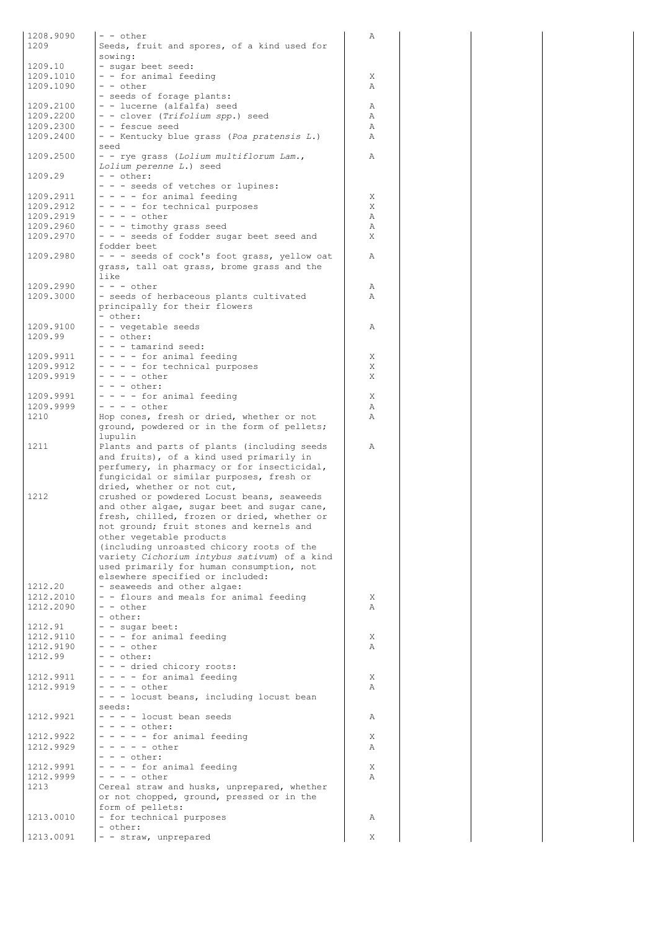| 1208.9090<br>1209      | - - other<br>Seeds, fruit and spores, of a kind used for                                 | Α      |
|------------------------|------------------------------------------------------------------------------------------|--------|
|                        | sowing:                                                                                  |        |
| 1209.10                | - sugar beet seed:                                                                       |        |
| 1209.1010<br>1209.1090 | - - for animal feeding<br>- - other                                                      | Χ      |
|                        | - seeds of forage plants:                                                                | Α      |
| 1209.2100              | - - lucerne (alfalfa) seed                                                               | Α      |
| 1209.2200              | - - clover (Trifolium spp.) seed                                                         | Α      |
| 1209.2300              | - - fescue seed                                                                          | Α      |
| 1209.2400              | - - Kentucky blue grass (Poa pratensis L.)<br>seed                                       | Α      |
| 1209.2500              | - - rye grass (Lolium multiflorum Lam.,                                                  | Α      |
|                        | Lolium perenne L.) seed                                                                  |        |
| 1209.29                | - - other:                                                                               |        |
| 1209.2911              | - - - seeds of vetches or lupines:<br>- - - - for animal feeding                         | Χ      |
| 1209.2912              | - - - - for technical purposes                                                           | Χ      |
| 1209.2919              | - - - - other                                                                            | Α      |
| 1209.2960              | - - - timothy grass seed                                                                 | Α      |
| 1209.2970              | - - - seeds of fodder sugar beet seed and<br>fodder beet                                 | X      |
| 1209.2980              | - - - seeds of cock's foot grass, yellow oat                                             | Α      |
|                        | grass, tall oat grass, brome grass and the                                               |        |
|                        | like                                                                                     |        |
| 1209.2990<br>1209.3000 | $- - -$ other<br>- seeds of herbaceous plants cultivated                                 | Α<br>Α |
|                        | principally for their flowers                                                            |        |
|                        | - other:                                                                                 |        |
| 1209.9100              | - - vegetable seeds                                                                      | Α      |
| 1209.99                | - - other:<br>- - - tamarind seed:                                                       |        |
| 1209.9911              | - - - - for animal feeding                                                               | Χ      |
| 1209.9912              | - - - - for technical purposes                                                           | X      |
| 1209.9919              | $- - - -$ other                                                                          | X      |
| 1209.9991              | $- - -$ other:<br>- - - - for animal feeding                                             | X      |
| 1209.9999              | $- - - -$ other                                                                          | Α      |
| 1210                   | Hop cones, fresh or dried, whether or not                                                | Α      |
|                        | ground, powdered or in the form of pellets;                                              |        |
| 1211                   | lupulin<br>Plants and parts of plants (including seeds                                   | Α      |
|                        | and fruits), of a kind used primarily in                                                 |        |
|                        | perfumery, in pharmacy or for insecticidal,                                              |        |
|                        | fungicidal or similar purposes, fresh or                                                 |        |
| 1212                   | dried, whether or not cut,<br>crushed or powdered Locust beans, seaweeds                 |        |
|                        | and other algae, sugar beet and sugar cane,                                              |        |
|                        | fresh, chilled, frozen or dried, whether or                                              |        |
|                        | not ground; fruit stones and kernels and                                                 |        |
|                        | other vegetable products<br>(including unroasted chicory roots of the                    |        |
|                        | variety Cichorium intybus sativum) of a kind                                             |        |
|                        | used primarily for human consumption, not                                                |        |
|                        | elsewhere specified or included:                                                         |        |
| 1212.20<br>1212.2010   | - seaweeds and other algae:<br>- - flours and meals for animal feeding                   | Χ      |
| 1212.2090              | - - other                                                                                | Α      |
|                        | - other:                                                                                 |        |
| 1212.91                | - - sugar beet:                                                                          |        |
| 1212.9110<br>1212.9190 | - - - for animal feeding<br>- - - other                                                  | Χ<br>Α |
| 1212.99                | - - other:                                                                               |        |
|                        | - - - dried chicory roots:                                                               |        |
| 1212.9911              | - - - - for animal feeding<br>$- - - -$ other                                            | Χ      |
| 1212.9919              | - - - locust beans, including locust bean                                                | Α      |
|                        | seeds:                                                                                   |        |
| 1212.9921              | - - - - locust bean seeds                                                                | Α      |
| 1212.9922              | $- - - -$ other:                                                                         |        |
|                        |                                                                                          |        |
|                        | - - - - - for animal feeding<br>- - - - - other                                          | Χ<br>Α |
| 1212.9929              | - - - other:                                                                             |        |
| 1212.9991              | - - - - for animal feeding                                                               | Χ      |
| 1212.9999              | $- - - -$ other                                                                          | Α      |
| 1213                   | Cereal straw and husks, unprepared, whether<br>or not chopped, ground, pressed or in the |        |
|                        | form of pellets:                                                                         |        |
| 1213.0010              | - for technical purposes                                                                 | Α      |
| 1213.0091              | - other:<br>- - straw, unprepared                                                        | Χ      |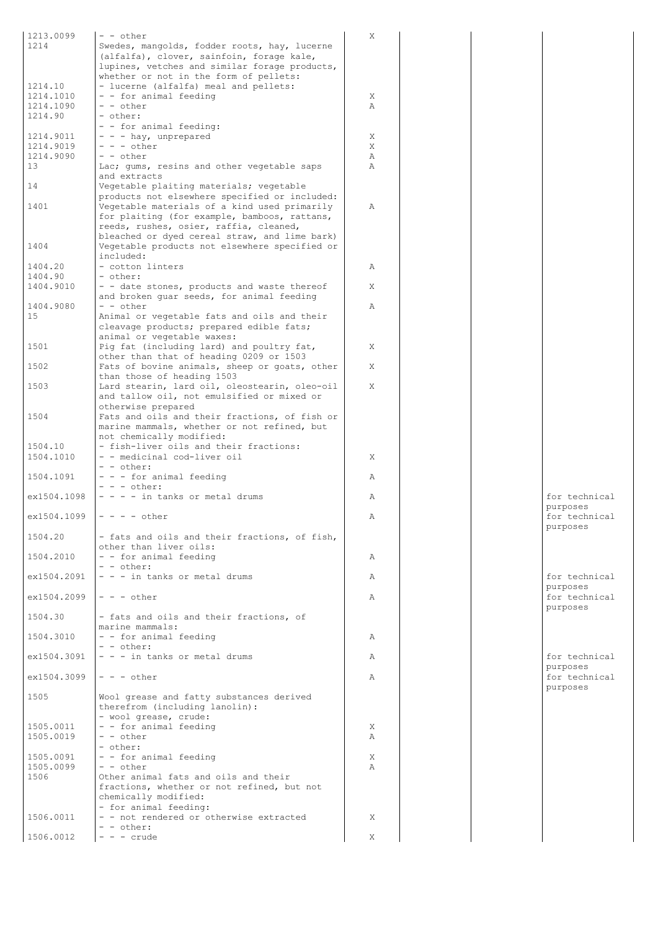| 1213.0099              | $- -$ other                                                                | X         |  |               |
|------------------------|----------------------------------------------------------------------------|-----------|--|---------------|
| 1214                   | Swedes, mangolds, fodder roots, hay, lucerne                               |           |  |               |
|                        | (alfalfa), clover, sainfoin, forage kale,                                  |           |  |               |
|                        | lupines, vetches and similar forage products,                              |           |  |               |
|                        | whether or not in the form of pellets:                                     |           |  |               |
| 1214.10                | - lucerne (alfalfa) meal and pellets:                                      |           |  |               |
| 1214.1010<br>1214.1090 | - - for animal feeding<br>$- -$ other                                      | Χ<br>Α    |  |               |
| 1214.90                | - other:                                                                   |           |  |               |
|                        | - - for animal feeding:                                                    |           |  |               |
| 1214.9011              | - - - hay, unprepared                                                      | Χ         |  |               |
| 1214.9019              | $- - -$ other                                                              | X         |  |               |
| 1214.9090              | $ -$ other                                                                 | Α         |  |               |
| 13                     | Lac; gums, resins and other vegetable saps                                 | Α         |  |               |
|                        | and extracts                                                               |           |  |               |
| 14                     | Vegetable plaiting materials; vegetable                                    |           |  |               |
|                        | products not elsewhere specified or included:                              |           |  |               |
| 1401                   | Vegetable materials of a kind used primarily                               | Α         |  |               |
|                        | for plaiting (for example, bamboos, rattans,                               |           |  |               |
|                        | reeds, rushes, osier, raffia, cleaned,                                     |           |  |               |
|                        | bleached or dyed cereal straw, and lime bark)                              |           |  |               |
| 1404                   | Vegetable products not elsewhere specified or<br>included:                 |           |  |               |
| 1404.20                | - cotton linters                                                           | Α         |  |               |
| 1404.90                | - other:                                                                   |           |  |               |
| 1404.9010              | - - date stones, products and waste thereof                                | X         |  |               |
|                        | and broken quar seeds, for animal feeding                                  |           |  |               |
| 1404.9080              | $-$ - other                                                                | Α         |  |               |
| 15                     | Animal or vegetable fats and oils and their                                |           |  |               |
|                        | cleavage products; prepared edible fats;                                   |           |  |               |
|                        | animal or vegetable waxes:                                                 |           |  |               |
| 1501                   | Pig fat (including lard) and poultry fat,                                  | X         |  |               |
|                        | other than that of heading 0209 or 1503                                    |           |  |               |
| 1502                   | Fats of bovine animals, sheep or goats, other                              | X         |  |               |
|                        | than those of heading 1503                                                 |           |  |               |
| 1503                   | Lard stearin, lard oil, oleostearin, oleo-oil                              | X         |  |               |
|                        | and tallow oil, not emulsified or mixed or                                 |           |  |               |
| 1504                   | otherwise prepared<br>Fats and oils and their fractions, of fish or        |           |  |               |
|                        | marine mammals, whether or not refined, but                                |           |  |               |
|                        | not chemically modified:                                                   |           |  |               |
| 1504.10                | - fish-liver oils and their fractions:                                     |           |  |               |
| 1504.1010              | - - medicinal cod-liver oil                                                | X         |  |               |
|                        | - - other:                                                                 |           |  |               |
| 1504.1091              | - - - for animal feeding                                                   | Α         |  |               |
|                        | $- - -$ other:                                                             |           |  |               |
| ex1504.1098            | $- - -$ in tanks or metal drums                                            | Α         |  | for technical |
|                        |                                                                            |           |  | purposes      |
| ex1504.1099            | $- - - -$ other                                                            | Α         |  | for technical |
|                        |                                                                            |           |  | purposes      |
| 1504.20                | - fats and oils and their fractions, of fish,                              |           |  |               |
| 1504.2010              | other than liver oils:<br>- - for animal feeding                           | Α         |  |               |
|                        | $- -$ other:                                                               |           |  |               |
| ex1504.2091            | - - - in tanks or metal drums                                              | Α         |  | for technical |
|                        |                                                                            |           |  | purposes      |
| ex1504.2099            | $- - -$ other                                                              | Α         |  | for technical |
|                        |                                                                            |           |  | purposes      |
| 1504.30                | - fats and oils and their fractions, of                                    |           |  |               |
|                        | marine mammals:                                                            |           |  |               |
| 1504.3010              | - - for animal feeding                                                     | Α         |  |               |
|                        | - - other:                                                                 |           |  |               |
| ex1504.3091            | - - - in tanks or metal drums                                              | Α         |  | for technical |
|                        |                                                                            |           |  | purposes      |
| ex1504.3099            | $- - -$ other                                                              | Α         |  | for technical |
| 1505                   |                                                                            |           |  | purposes      |
|                        | Wool grease and fatty substances derived<br>therefrom (including lanolin): |           |  |               |
|                        | - wool grease, crude:                                                      |           |  |               |
| 1505.0011              | - - for animal feeding                                                     | X         |  |               |
| 1505.0019              | - - other                                                                  | Α         |  |               |
|                        | - other:                                                                   |           |  |               |
| 1505.0091              | - - for animal feeding                                                     | X         |  |               |
| 1505.0099              | $- -$ other                                                                | $\lambda$ |  |               |
| 1506                   | Other animal fats and oils and their                                       |           |  |               |
|                        | fractions, whether or not refined, but not                                 |           |  |               |
|                        | chemically modified:                                                       |           |  |               |
|                        | - for animal feeding:                                                      |           |  |               |
| 1506.0011              | - - not rendered or otherwise extracted<br>- - other:                      | X         |  |               |
| 1506.0012              | $- - -$ crude                                                              | Χ         |  |               |
|                        |                                                                            |           |  |               |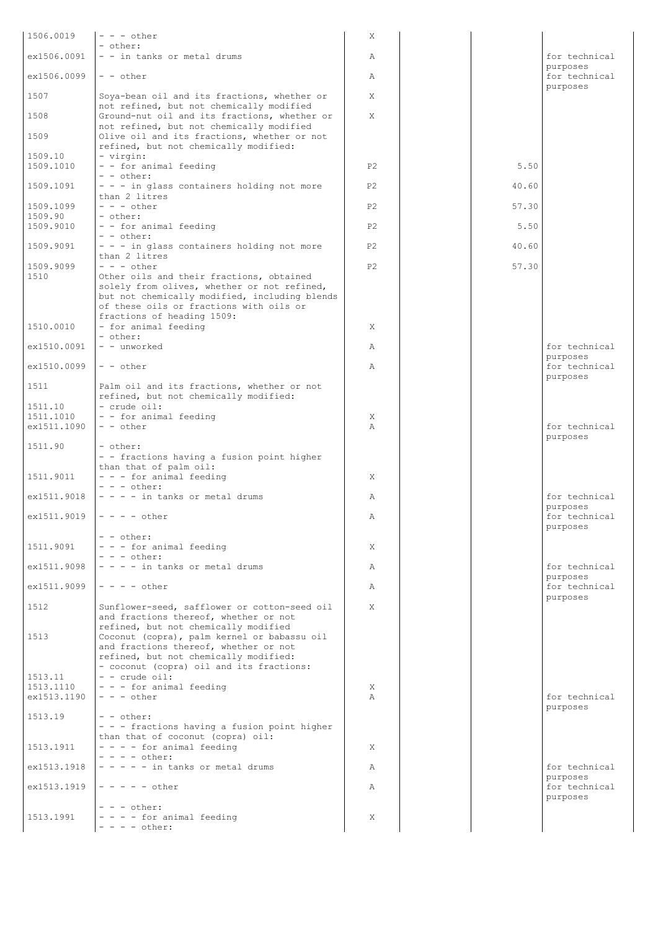| 1506.0019                | $- - -$ other                                                                                                                           | Χ              |       |                           |
|--------------------------|-----------------------------------------------------------------------------------------------------------------------------------------|----------------|-------|---------------------------|
| ex1506.0091              | - other:<br>- - in tanks or metal drums                                                                                                 | Α              |       | for technical             |
| ex1506.0099              | $- -$ other                                                                                                                             | Α              |       | purposes<br>for technical |
| 1507                     | Soya-bean oil and its fractions, whether or                                                                                             | X              |       | purposes                  |
| 1508                     | not refined, but not chemically modified<br>Ground-nut oil and its fractions, whether or<br>not refined, but not chemically modified    | X              |       |                           |
| 1509                     | Olive oil and its fractions, whether or not<br>refined, but not chemically modified:                                                    |                |       |                           |
| 1509.10                  | - virgin:                                                                                                                               |                |       |                           |
| 1509.1010                | - - for animal feeding<br>- - other:                                                                                                    | P <sub>2</sub> | 5.50  |                           |
| 1509.1091                | - - - in glass containers holding not more<br>than 2 litres                                                                             | P <sub>2</sub> | 40.60 |                           |
| 1509.1099                | $- - -$ other<br>- other:                                                                                                               | P <sub>2</sub> | 57.30 |                           |
| 1509.90<br> 1509.9010    | - - for animal feeding                                                                                                                  | P <sub>2</sub> | 5.50  |                           |
| 1509.9091                | $- -$ other:<br>- - - in glass containers holding not more                                                                              | P2             | 40.60 |                           |
| 1509.9099                | than 2 litres<br>$- - -$ other                                                                                                          | P <sub>2</sub> | 57.30 |                           |
| 1510                     | Other oils and their fractions, obtained                                                                                                |                |       |                           |
|                          | solely from olives, whether or not refined,<br>but not chemically modified, including blends<br>of these oils or fractions with oils or |                |       |                           |
| 1510.0010                | fractions of heading 1509:<br>- for animal feeding                                                                                      | X              |       |                           |
|                          | - other:                                                                                                                                |                |       |                           |
| ex1510.0091              | - - unworked                                                                                                                            | Α              |       | for technical<br>purposes |
| ex1510.0099              | $-$ - other                                                                                                                             | $\mathbb{A}$   |       | for technical<br>purposes |
| 1511                     | Palm oil and its fractions, whether or not<br>refined, but not chemically modified:                                                     |                |       |                           |
| 1511.10                  | - crude oil:                                                                                                                            |                |       |                           |
| 1511.1010<br>ex1511.1090 | - - for animal feeding<br>$- -$ other                                                                                                   | Χ<br>$\lambda$ |       | for technical             |
|                          |                                                                                                                                         |                |       | purposes                  |
| 1511.90                  | - other:<br>- - fractions having a fusion point higher                                                                                  |                |       |                           |
| 1511.9011                | than that of palm oil:<br>- - - for animal feeding<br>$- - -$ other:                                                                    | X              |       |                           |
| ex1511.9018              | $- - -$ in tanks or metal drums                                                                                                         | Α              |       | for technical<br>purposes |
| ex1511.9019              | $- - - -$ other                                                                                                                         | Α              |       | for technical<br>purposes |
|                          | - - other:                                                                                                                              |                |       |                           |
| 1511.9091                | - - - for animal feeding<br>$- - -$ other:                                                                                              | X              |       |                           |
| ex1511.9098              | $- - - -$ in tanks or metal drums                                                                                                       | Α              |       | for technical<br>purposes |
| ex1511.9099              | $- - - -$ other                                                                                                                         | Α              |       | for technical<br>purposes |
| 1512                     | Sunflower-seed, safflower or cotton-seed oil<br>and fractions thereof, whether or not                                                   | X              |       |                           |
| 1513                     | refined, but not chemically modified<br>Coconut (copra), palm kernel or babassu oil<br>and fractions thereof, whether or not            |                |       |                           |
| 1513.11                  | refined, but not chemically modified:<br>- coconut (copra) oil and its fractions:<br>$-$ - crude oil:                                   |                |       |                           |
| 1513.1110                | $- - -$ for animal feeding                                                                                                              | X              |       |                           |
| ex1513.1190              | $- - -$ other                                                                                                                           | $\lambda$      |       | for technical<br>purposes |
| 1513.19                  | - - other:<br>- - - fractions having a fusion point higher                                                                              |                |       |                           |
|                          | than that of coconut (copra) oil:                                                                                                       |                |       |                           |
| 1513.1911                | - - - - for animal feeding<br>$- - - -$ other:                                                                                          | X              |       |                           |
| ex1513.1918              | $- - - -$ in tanks or metal drums                                                                                                       | Α              |       | for technical             |
| ex1513.1919              | $- - - - -$ other                                                                                                                       | Α              |       | purposes<br>for technical |
| 1513.1991                | $- - -$ other:<br>$- - -$ for animal feeding                                                                                            | X              |       | purposes                  |
|                          | $- - - - \text{other:}$                                                                                                                 |                |       |                           |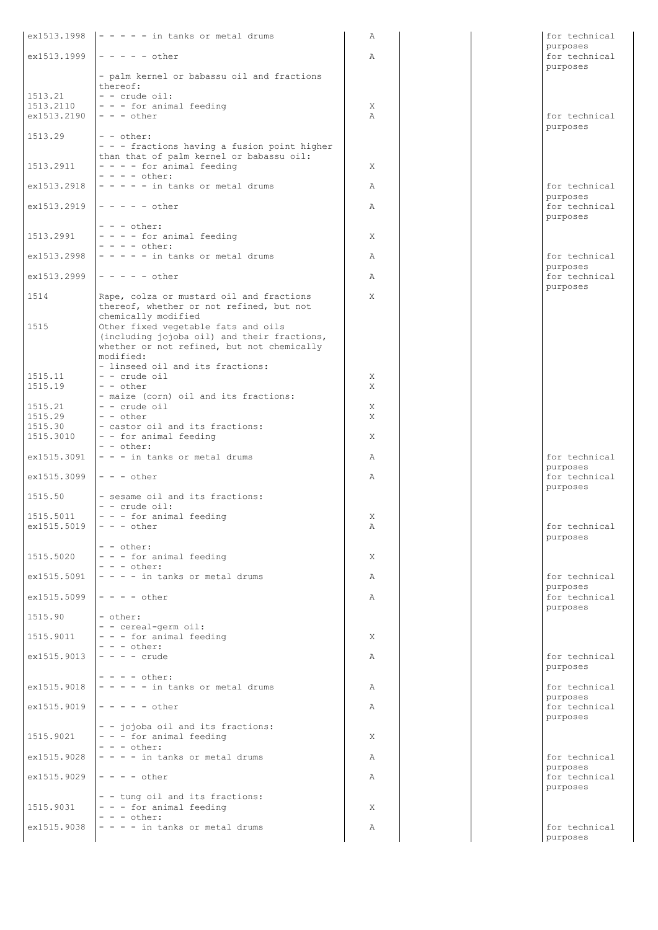|                                        | $ex1513.1998$ $\vert$ - - - - in tanks or metal drums                                                                                                                | Α              |  | for technical                         |
|----------------------------------------|----------------------------------------------------------------------------------------------------------------------------------------------------------------------|----------------|--|---------------------------------------|
|                                        | $ex1513.1999$  - - - - - other                                                                                                                                       | $\mathbb{A}$   |  | purposes<br>for technical<br>purposes |
| 1513.21                                | - palm kernel or babassu oil and fractions<br>thereof:<br>$-$ - crude oil:                                                                                           |                |  |                                       |
| 1513.2110<br>ex1513.2190               | - - - for animal feeding<br>$- - -$ other                                                                                                                            | X<br>$\lambda$ |  | for technical                         |
| 1513.29                                | $-$ - other:<br>- - - fractions having a fusion point higher<br>than that of palm kernel or babassu oil:                                                             |                |  | purposes                              |
| 1513.2911                              | $- - -$ for animal feeding<br>$- - - -$ other:                                                                                                                       | X              |  |                                       |
| ex1513.2918                            | $- - - - -$ in tanks or metal drums                                                                                                                                  | Α              |  | for technical                         |
| ex1513.2919                            | $- - - - -$ other                                                                                                                                                    | Α              |  | purposes<br>for technical<br>purposes |
| 1513.2991                              | $- - -$ other:<br>- - - - for animal feeding                                                                                                                         | X              |  |                                       |
| ex1513.2998                            | $- - - -$ other:<br>$- - - -$ in tanks or metal drums                                                                                                                | $\mathbb{A}$   |  | for technical                         |
| ex1513.2999                            | $- - - - -$ other                                                                                                                                                    | $\mathbb{A}$   |  | purposes<br>for technical             |
| 1514                                   | Rape, colza or mustard oil and fractions<br>thereof, whether or not refined, but not                                                                                 | X              |  | purposes                              |
| 1515                                   | chemically modified<br>Other fixed vegetable fats and oils<br>(including jojoba oil) and their fractions,<br>whether or not refined, but not chemically<br>modified: |                |  |                                       |
| 1515.11                                | - linseed oil and its fractions:<br>$-$ - crude oil                                                                                                                  | X              |  |                                       |
| 1515.19                                | $- -$ other                                                                                                                                                          | X              |  |                                       |
| 1515.21                                | - maize (corn) oil and its fractions:<br>$-$ - crude oil                                                                                                             | X              |  |                                       |
| 1515.29<br>1515.30                     | $- -$ other<br>- castor oil and its fractions:                                                                                                                       | X              |  |                                       |
| 1515.3010                              | - - for animal feeding<br>$- -$ other:                                                                                                                               | X              |  |                                       |
| ex1515.3091                            | - - - in tanks or metal drums                                                                                                                                        | Α              |  | for technical                         |
| ex1515.3099                            | $- - -$ other                                                                                                                                                        | $\mathbb{A}$   |  | purposes<br>for technical             |
| 1515.50                                | - sesame oil and its fractions:<br>$-$ - crude oil:                                                                                                                  |                |  | purposes                              |
| 1515.5011<br>$ex1515.5019$ - - - other | $-$ - $-$ for animal feeding                                                                                                                                         | X<br>А         |  | for technical                         |
|                                        | $- -$ other:                                                                                                                                                         |                |  | purposes                              |
| 1515.5020                              | $- - -$ for animal feeding<br>$- - -$ other:                                                                                                                         | X              |  |                                       |
| ex1515.5091                            | $- - -$ in tanks or metal drums                                                                                                                                      | Α              |  | for technical                         |
| ex1515.5099                            | $- - - -$ other                                                                                                                                                      | A              |  | purposes<br>for technical<br>purposes |
| 1515.90                                | - other:<br>- - cereal-germ oil:                                                                                                                                     |                |  |                                       |
| 1515.9011                              | - - - for animal feeding                                                                                                                                             | X              |  |                                       |
| ex1515.9013                            | $- - -$ other:<br>$- - - -$ crude                                                                                                                                    | Α              |  | for technical<br>purposes             |
| ex1515.9018                            | $- - - -$ other:<br>$- - - -$ in tanks or metal drums                                                                                                                | Α              |  | for technical                         |
| ex1515.9019                            | $- - - - -$ other                                                                                                                                                    | $\mathbb{A}$   |  | purposes<br>for technical             |
| 1515.9021                              | - - jojoba oil and its fractions:<br>- - - for animal feeding                                                                                                        | X              |  | purposes                              |
| ex1515.9028                            | $- - -$ other:<br>$- - -$ in tanks or metal drums                                                                                                                    | Α              |  | for technical                         |
| ex1515.9029                            | $- - - -$ other                                                                                                                                                      | $\mathbb{A}$   |  | purposes<br>for technical             |
| 1515.9031                              | - - tung oil and its fractions:<br>- - - for animal feeding                                                                                                          | X              |  | purposes                              |
|                                        | $- - -$ other:                                                                                                                                                       |                |  |                                       |
| ex1515.9038                            | $- - -$ in tanks or metal drums                                                                                                                                      | $\mathbb{A}$   |  | for technical<br>purposes             |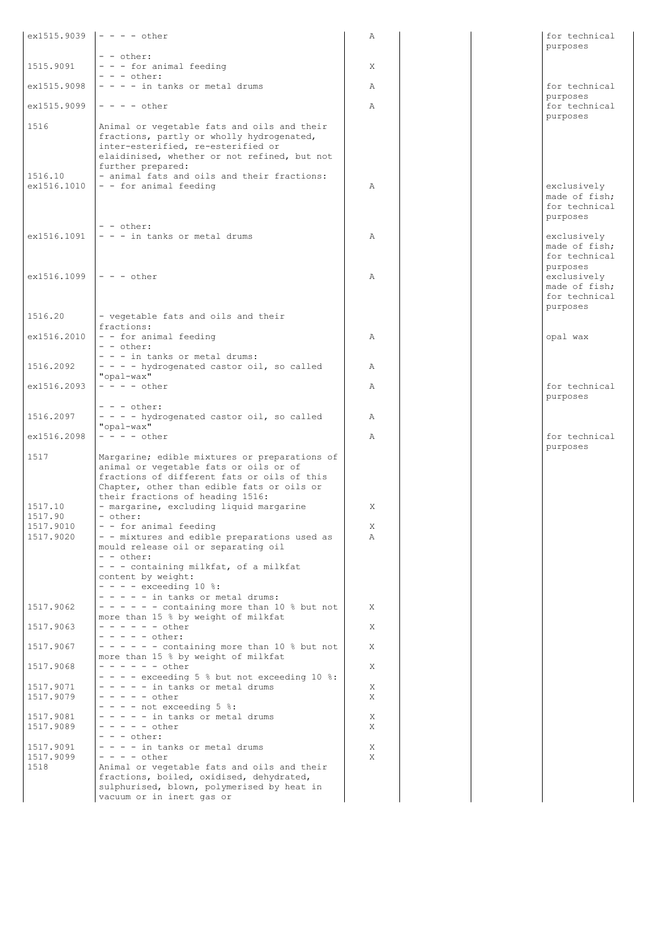|                            | $ex1515.9039$  - - - - other                                                                                                                                                                                                                       | Α            |  | for technical                                                                          |
|----------------------------|----------------------------------------------------------------------------------------------------------------------------------------------------------------------------------------------------------------------------------------------------|--------------|--|----------------------------------------------------------------------------------------|
|                            | - - other:                                                                                                                                                                                                                                         |              |  | purposes                                                                               |
| 1515.9091                  | - - - for animal feeding                                                                                                                                                                                                                           | X            |  |                                                                                        |
| ex1515.9098                | $- - -$ other:<br>$- - -$ in tanks or metal drums                                                                                                                                                                                                  | A            |  | for technical                                                                          |
|                            |                                                                                                                                                                                                                                                    |              |  | purposes                                                                               |
| ex1515.9099                | $- - - -$ other                                                                                                                                                                                                                                    | $\mathbb{A}$ |  | for technical<br>purposes                                                              |
| 1516<br>1516.10            | Animal or vegetable fats and oils and their<br>fractions, partly or wholly hydrogenated,<br>inter-esterified, re-esterified or<br>elaidinised, whether or not refined, but not<br>further prepared:<br>- animal fats and oils and their fractions: |              |  |                                                                                        |
| ex1516.1010                | - - for animal feeding                                                                                                                                                                                                                             | $\mathbb{A}$ |  | exclusively<br>made of fish;<br>for technical<br>purposes                              |
| ex1516.1091                | $- -$ other:<br>$- - -$ in tanks or metal drums                                                                                                                                                                                                    | Α            |  | exclusively<br>made of fish;                                                           |
| $ex1516.1099$  - - - other |                                                                                                                                                                                                                                                    | $\lambda$    |  | for technical<br>purposes<br>exclusively<br>made of fish;<br>for technical<br>purposes |
| 1516.20                    | - vegetable fats and oils and their<br>fractions:                                                                                                                                                                                                  |              |  |                                                                                        |
| ex1516.2010                | - - for animal feeding<br>$- -$ other:                                                                                                                                                                                                             | Α            |  | opal wax                                                                               |
| 1516.2092                  | - - - in tanks or metal drums:<br>- - - - hydrogenated castor oil, so called<br>"opal-wax"                                                                                                                                                         | Α            |  |                                                                                        |
| ex1516.2093                | $- - - -$ other                                                                                                                                                                                                                                    | $\mathbb{A}$ |  | for technical<br>purposes                                                              |
| 1516.2097                  | $- - -$ other:<br>- - - - hydrogenated castor oil, so called<br>"opal-wax"                                                                                                                                                                         | Α            |  |                                                                                        |
| ex1516.2098                | $- - - -$ other                                                                                                                                                                                                                                    | $\mathbb{A}$ |  | for technical                                                                          |
| 1517                       | Margarine; edible mixtures or preparations of<br>animal or vegetable fats or oils or of<br>fractions of different fats or oils of this<br>Chapter, other than edible fats or oils or<br>their fractions of heading 1516:                           |              |  | purposes                                                                               |
| 1517.10<br>1517.90         | - margarine, excluding liquid margarine<br>- other:                                                                                                                                                                                                | X            |  |                                                                                        |
| 1517.9010<br>1517.9020     | - - for animal feeding<br>- - mixtures and edible preparations used as                                                                                                                                                                             | Χ<br>Α       |  |                                                                                        |
|                            | mould release oil or separating oil<br>- - other:<br>- - - containing milkfat, of a milkfat<br>content by weight:<br>$- - - -$ exceeding 10 %:<br>$- - - - -$ in tanks or metal drums:                                                             |              |  |                                                                                        |
| 1517.9062                  | $- - - - -$ containing more than 10 % but not<br>more than 15 % by weight of milkfat                                                                                                                                                               | X            |  |                                                                                        |
| 1517.9063                  | $- - - - - -$ other<br>$- - - - -$ other:                                                                                                                                                                                                          | Χ            |  |                                                                                        |
| 1517.9067                  | $- - - - -$ containing more than 10 % but not<br>more than 15 % by weight of milkfat                                                                                                                                                               | X            |  |                                                                                        |
| 1517.9068                  | $- - - - - -$ other<br>$- - -$ exceeding 5 % but not exceeding 10 %:                                                                                                                                                                               | X            |  |                                                                                        |
| 1517.9071                  | - - - - - in tanks or metal drums                                                                                                                                                                                                                  | Χ            |  |                                                                                        |
| 1517.9079                  | $- - - - -$ other<br>$- - -$ not exceeding 5 %:                                                                                                                                                                                                    | Χ            |  |                                                                                        |
| 1517.9081                  | $- - - - -$ in tanks or metal drums                                                                                                                                                                                                                | Χ            |  |                                                                                        |
| 1517.9089                  | $- - - - - other$<br>$- - -$ other:                                                                                                                                                                                                                | X            |  |                                                                                        |
| 1517.9091                  | - - - - in tanks or metal drums<br>$- - - -$ other                                                                                                                                                                                                 | X<br>X       |  |                                                                                        |
| 1517.9099<br>1518          | Animal or vegetable fats and oils and their<br>fractions, boiled, oxidised, dehydrated,<br>sulphurised, blown, polymerised by heat in<br>vacuum or in inert gas or                                                                                 |              |  |                                                                                        |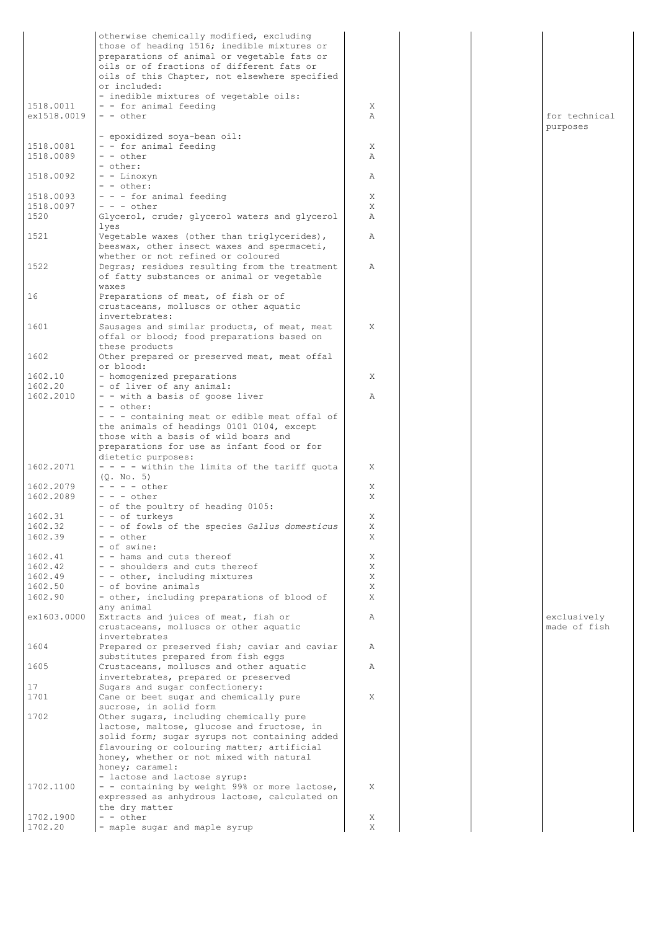|                        | otherwise chemically modified, excluding                                                   |        |  |                             |
|------------------------|--------------------------------------------------------------------------------------------|--------|--|-----------------------------|
|                        | those of heading 1516; inedible mixtures or                                                |        |  |                             |
|                        | preparations of animal or vegetable fats or<br>oils or of fractions of different fats or   |        |  |                             |
|                        | oils of this Chapter, not elsewhere specified                                              |        |  |                             |
|                        | or included:                                                                               |        |  |                             |
|                        | - inedible mixtures of vegetable oils:                                                     |        |  |                             |
| 1518.0011              | - - for animal feeding                                                                     | X      |  |                             |
| ex1518.0019            | $- -$ other                                                                                | Α      |  | for technical               |
|                        |                                                                                            |        |  | purposes                    |
|                        | - epoxidized soya-bean oil:                                                                |        |  |                             |
| 1518.0081<br>1518.0089 | - - for animal feeding<br>- - other                                                        | Χ<br>Α |  |                             |
|                        | - other:                                                                                   |        |  |                             |
| 1518.0092              | - - Linoxyn                                                                                | Α      |  |                             |
|                        | - - other:                                                                                 |        |  |                             |
| 1518.0093              | - - - for animal feeding                                                                   | Χ      |  |                             |
| 1518.0097              | $- - -$ other                                                                              | X      |  |                             |
| 1520                   | Glycerol, crude; glycerol waters and glycerol                                              | Α      |  |                             |
| 1521                   | lyes                                                                                       | Α      |  |                             |
|                        | Vegetable waxes (other than triglycerides),<br>beeswax, other insect waxes and spermaceti, |        |  |                             |
|                        | whether or not refined or coloured                                                         |        |  |                             |
| 1522                   | Degras; residues resulting from the treatment                                              | Α      |  |                             |
|                        | of fatty substances or animal or vegetable                                                 |        |  |                             |
|                        | waxes                                                                                      |        |  |                             |
| 16                     | Preparations of meat, of fish or of                                                        |        |  |                             |
|                        | crustaceans, molluscs or other aquatic                                                     |        |  |                             |
|                        | invertebrates:                                                                             |        |  |                             |
| 1601                   | Sausages and similar products, of meat, meat<br>offal or blood; food preparations based on | X      |  |                             |
|                        | these products                                                                             |        |  |                             |
| 1602                   | Other prepared or preserved meat, meat offal                                               |        |  |                             |
|                        | or blood:                                                                                  |        |  |                             |
| 1602.10                | - homogenized preparations                                                                 | Χ      |  |                             |
| 1602.20                | - of liver of any animal:                                                                  |        |  |                             |
| 1602.2010              | - - with a basis of goose liver                                                            | Α      |  |                             |
|                        | $- -$ other:                                                                               |        |  |                             |
|                        | - - - containing meat or edible meat offal of                                              |        |  |                             |
|                        | the animals of headings 0101 0104, except<br>those with a basis of wild boars and          |        |  |                             |
|                        | preparations for use as infant food or for                                                 |        |  |                             |
|                        | dietetic purposes:                                                                         |        |  |                             |
| 1602.2071              | - - - - within the limits of the tariff quota                                              | X      |  |                             |
|                        | (Q. No. 5)                                                                                 |        |  |                             |
| 1602.2079              | $- - - -$ other                                                                            | X      |  |                             |
| 1602.2089              | $- - -$ other                                                                              | X      |  |                             |
|                        | - of the poultry of heading 0105:                                                          |        |  |                             |
| 1602.31<br>1602.32     | - - of turkeys<br>- - of fowls of the species Gallus domesticus                            | Χ      |  |                             |
| 1602.39                | - - other                                                                                  | Χ<br>Χ |  |                             |
|                        | - of swine:                                                                                |        |  |                             |
| 1602.41                | - - hams and cuts thereof                                                                  | Χ      |  |                             |
| 1602.42                | - - shoulders and cuts thereof                                                             | Χ      |  |                             |
| 1602.49                | - - other, including mixtures                                                              | Χ      |  |                             |
| 1602.50                | - of bovine animals                                                                        | Χ      |  |                             |
| 1602.90                | - other, including preparations of blood of                                                | X      |  |                             |
|                        | any animal                                                                                 |        |  |                             |
| ex1603.0000            | Extracts and juices of meat, fish or<br>crustaceans, molluscs or other aquatic             | Α      |  | exclusively<br>made of fish |
|                        | invertebrates                                                                              |        |  |                             |
| 1604                   | Prepared or preserved fish; caviar and caviar                                              | Α      |  |                             |
|                        | substitutes prepared from fish eqqs                                                        |        |  |                             |
| 1605                   | Crustaceans, molluscs and other aquatic                                                    | Α      |  |                             |
|                        | invertebrates, prepared or preserved                                                       |        |  |                             |
| 17                     | Sugars and sugar confectionery:                                                            |        |  |                             |
| 1701                   | Cane or beet sugar and chemically pure                                                     | X      |  |                             |
| 1702                   | sucrose, in solid form<br>Other sugars, including chemically pure                          |        |  |                             |
|                        | lactose, maltose, glucose and fructose, in                                                 |        |  |                             |
|                        | solid form; sugar syrups not containing added                                              |        |  |                             |
|                        | flavouring or colouring matter; artificial                                                 |        |  |                             |
|                        | honey, whether or not mixed with natural                                                   |        |  |                             |
|                        | honey; caramel:                                                                            |        |  |                             |
|                        | - lactose and lactose syrup:                                                               |        |  |                             |
| 1702.1100              | - - containing by weight 99% or more lactose,                                              | X      |  |                             |
|                        | expressed as anhydrous lactose, calculated on<br>the dry matter                            |        |  |                             |
| 1702.1900              | - - other                                                                                  | X      |  |                             |
| 1702.20                | - maple sugar and maple syrup                                                              | Χ      |  |                             |
|                        |                                                                                            |        |  |                             |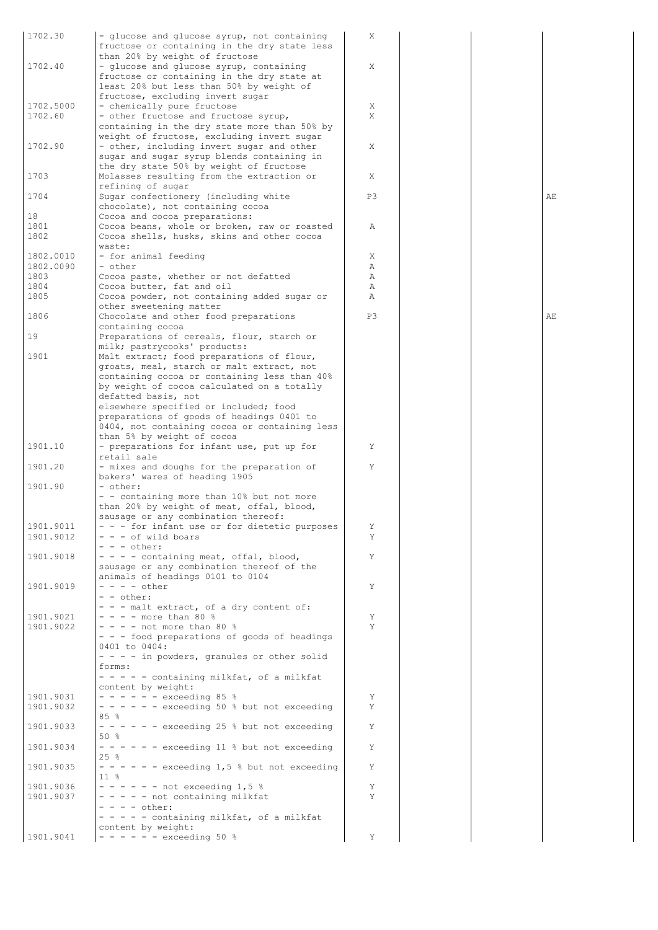| 1702.30   | - glucose and glucose syrup, not containing<br>fructose or containing in the dry state less | X  |  |
|-----------|---------------------------------------------------------------------------------------------|----|--|
|           | than 20% by weight of fructose                                                              |    |  |
| 1702.40   | - glucose and glucose syrup, containing                                                     | X  |  |
|           | fructose or containing in the dry state at                                                  |    |  |
|           | least 20% but less than 50% by weight of                                                    |    |  |
|           | fructose, excluding invert sugar                                                            |    |  |
| 1702.5000 | - chemically pure fructose                                                                  | X  |  |
| 1702.60   | - other fructose and fructose syrup,                                                        | X  |  |
|           | containing in the dry state more than 50% by                                                |    |  |
|           | weight of fructose, excluding invert sugar                                                  |    |  |
| 1702.90   |                                                                                             | Χ  |  |
|           | - other, including invert sugar and other                                                   |    |  |
|           | sugar and sugar syrup blends containing in                                                  |    |  |
|           | the dry state 50% by weight of fructose                                                     |    |  |
| 1703      | Molasses resulting from the extraction or                                                   | Χ  |  |
|           | refining of sugar                                                                           |    |  |
| 1704      | Sugar confectionery (including white                                                        | P3 |  |
|           | chocolate), not containing cocoa                                                            |    |  |
| 18        | Cocoa and cocoa preparations:                                                               |    |  |
| 1801      | Cocoa beans, whole or broken, raw or roasted                                                | Α  |  |
|           |                                                                                             |    |  |
| 1802      | Cocoa shells, husks, skins and other cocoa                                                  |    |  |
|           | waste:                                                                                      |    |  |
| 1802.0010 | - for animal feeding                                                                        | Χ  |  |
| 1802.0090 | - other                                                                                     | Α  |  |
| 1803      | Cocoa paste, whether or not defatted                                                        | Α  |  |
| 1804      | Cocoa butter, fat and oil                                                                   | Α  |  |
| 1805      | Cocoa powder, not containing added sugar or                                                 | Α  |  |
|           |                                                                                             |    |  |
|           | other sweetening matter                                                                     |    |  |
| 1806      | Chocolate and other food preparations                                                       | P3 |  |
|           | containing cocoa                                                                            |    |  |
| 19        | Preparations of cereals, flour, starch or                                                   |    |  |
|           | milk; pastrycooks' products:                                                                |    |  |
| 1901      | Malt extract; food preparations of flour,                                                   |    |  |
|           |                                                                                             |    |  |
|           | groats, meal, starch or malt extract, not                                                   |    |  |
|           | containing cocoa or containing less than 40%                                                |    |  |
|           | by weight of cocoa calculated on a totally                                                  |    |  |
|           | defatted basis, not                                                                         |    |  |
|           | elsewhere specified or included; food                                                       |    |  |
|           | preparations of goods of headings 0401 to                                                   |    |  |
|           | 0404, not containing cocoa or containing less                                               |    |  |
|           | than 5% by weight of cocoa                                                                  |    |  |
| 1901.10   |                                                                                             |    |  |
|           | - preparations for infant use, put up for                                                   | Y  |  |
|           | retail sale                                                                                 |    |  |
| 1901.20   | - mixes and doughs for the preparation of                                                   | Y  |  |
|           | bakers' wares of heading 1905                                                               |    |  |
| 1901.90   | - other:                                                                                    |    |  |
|           | - - containing more than 10% but not more                                                   |    |  |
|           | than 20% by weight of meat, offal, blood,                                                   |    |  |
|           |                                                                                             |    |  |
|           | sausage or any combination thereof:                                                         |    |  |
| 1901.9011 | - - - for infant use or for dietetic purposes                                               |    |  |
| 1901.9012 | - - - of wild boars                                                                         | Y  |  |
|           | $- - -$ other:                                                                              |    |  |
| 1901.9018 | - - - - containing meat, offal, blood,                                                      | Y  |  |
|           | sausage or any combination thereof of the                                                   |    |  |
|           | animals of headings 0101 to 0104                                                            |    |  |
| 1901.9019 | $- - - -$ other                                                                             | Υ  |  |
|           |                                                                                             |    |  |
|           | - - other:                                                                                  |    |  |
|           | - - - malt extract, of a dry content of:                                                    |    |  |
| 1901.9021 | $- - -$ more than 80 %                                                                      | Y  |  |
| 1901.9022 | $- - -$ not more than 80 %                                                                  | Y  |  |
|           | - - - food preparations of goods of headings                                                |    |  |
|           | 0401 to 0404:                                                                               |    |  |
|           | - - - - in powders, granules or other solid                                                 |    |  |
|           | forms:                                                                                      |    |  |
|           |                                                                                             |    |  |
|           | - - - - - containing milkfat, of a milkfat                                                  |    |  |
|           | content by weight:                                                                          |    |  |
| 1901.9031 | $- - - - - -$ exceeding 85 %                                                                | Y  |  |
| 1901.9032 | $- - - - -$ exceeding 50 % but not exceeding                                                | Y  |  |
|           | 85%                                                                                         |    |  |
| 1901.9033 | $- - - - -$ exceeding 25 % but not exceeding                                                | Y  |  |
|           | 50 %                                                                                        |    |  |
|           |                                                                                             |    |  |
| 1901.9034 | $- - - - -$ exceeding 11 % but not exceeding                                                | Y  |  |
|           | 25%                                                                                         |    |  |
| 1901.9035 | $- - - - -$ exceeding 1,5 % but not exceeding                                               | Y  |  |
|           | 11 %                                                                                        |    |  |
| 1901.9036 | $- - - - -$ not exceeding 1,5 %                                                             | Y  |  |
| 1901.9037 | - - - - - not containing milkfat                                                            | Y  |  |
|           |                                                                                             |    |  |
|           | $- - - -$ other:                                                                            |    |  |
|           | - - - - - containing milkfat, of a milkfat                                                  |    |  |
|           |                                                                                             |    |  |
|           | content by weight:                                                                          |    |  |
| 1901.9041 | $- - - - - -$ exceeding 50 %                                                                | Υ  |  |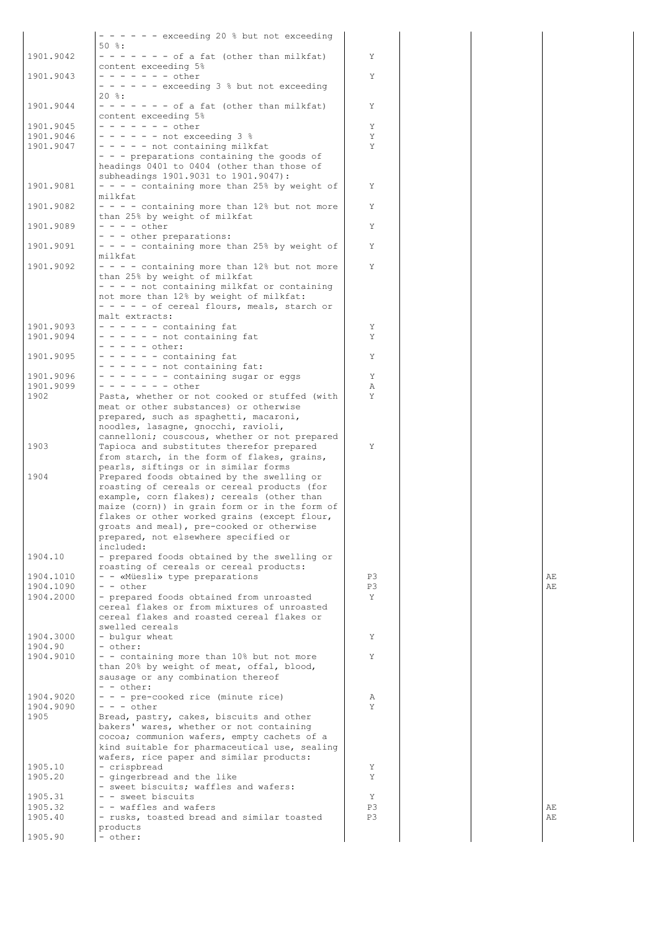|                        | $- - - - -$ exceeding 20 % but not exceeding                                              |         |  |    |
|------------------------|-------------------------------------------------------------------------------------------|---------|--|----|
|                        | $50$ $\frac{6}{3}$ :                                                                      |         |  |    |
| 1901.9042              | $- - - - - - -$ of a fat (other than milkfat)<br>content exceeding 5%                     | Y       |  |    |
| 1901.9043              | $- - - - - - - other$                                                                     | Y       |  |    |
|                        | - - - - - - exceeding 3 % but not exceeding                                               |         |  |    |
|                        | $20$ %:                                                                                   |         |  |    |
| 1901.9044              | $- - - - - - -$ of a fat (other than milkfat)                                             | Υ       |  |    |
| 1901.9045              | content exceeding 5%<br>$- - - - - - - other$                                             | Υ       |  |    |
| 1901.9046              | $- - - - -$ not exceeding 3 %                                                             | Υ       |  |    |
| 1901.9047              | $- - - -$ not containing milkfat                                                          | Y       |  |    |
|                        | - - - preparations containing the goods of                                                |         |  |    |
|                        | headings 0401 to 0404 (other than those of                                                |         |  |    |
|                        | subheadings 1901.9031 to 1901.9047):                                                      |         |  |    |
| 1901.9081              | - - - - containing more than 25% by weight of<br>milkfat                                  | Y       |  |    |
| 1901.9082              | $- - -$ containing more than 12% but not more                                             | Y       |  |    |
|                        | than 25% by weight of milkfat                                                             |         |  |    |
| 1901.9089              | $- - - -$ other                                                                           | Y       |  |    |
|                        | - - - other preparations:                                                                 |         |  |    |
| 1901.9091              | $- - -$ containing more than 25% by weight of                                             | Y       |  |    |
| 1901.9092              | milkfat<br>- - - - containing more than 12% but not more                                  | Y       |  |    |
|                        | than 25% by weight of milkfat                                                             |         |  |    |
|                        | $- - -$ not containing milkfat or containing                                              |         |  |    |
|                        | not more than 12% by weight of milkfat:                                                   |         |  |    |
|                        | - - - - - of cereal flours, meals, starch or                                              |         |  |    |
|                        | malt extracts:                                                                            |         |  |    |
| 1901.9093<br>1901.9094 | $- - - - -$ containing fat<br>$- - - - - -$ not containing fat                            | Y<br>Y  |  |    |
|                        | $- - - - -$ other:                                                                        |         |  |    |
| 1901.9095              | $- - - - -$ containing fat                                                                | Υ       |  |    |
|                        | $- - - - -$ not containing fat:                                                           |         |  |    |
| 1901.9096              | $- - - - - -$ containing sugar or eggs                                                    | Y       |  |    |
| 1901.9099<br>1902      | $- - - - - - -$ other                                                                     | Α<br>Y  |  |    |
|                        | Pasta, whether or not cooked or stuffed (with<br>meat or other substances) or otherwise   |         |  |    |
|                        | prepared, such as spaghetti, macaroni,                                                    |         |  |    |
|                        | noodles, lasagne, gnocchi, ravioli,                                                       |         |  |    |
|                        | cannelloni; couscous, whether or not prepared                                             |         |  |    |
| 1903                   | Tapioca and substitutes therefor prepared                                                 | Y       |  |    |
|                        | from starch, in the form of flakes, grains,<br>pearls, siftings or in similar forms       |         |  |    |
| 1904                   | Prepared foods obtained by the swelling or                                                |         |  |    |
|                        | roasting of cereals or cereal products (for                                               |         |  |    |
|                        | example, corn flakes); cereals (other than                                                |         |  |    |
|                        | maize (corn)) in grain form or in the form of                                             |         |  |    |
|                        | flakes or other worked grains (except flour,<br>groats and meal), pre-cooked or otherwise |         |  |    |
|                        | prepared, not elsewhere specified or                                                      |         |  |    |
|                        | included:                                                                                 |         |  |    |
| 1904.10                | - prepared foods obtained by the swelling or                                              |         |  |    |
|                        | roasting of cereals or cereal products:                                                   |         |  |    |
| 1904.1010              | - - «Müesli» type preparations<br>- - other                                               | P3      |  | AЕ |
| 1904.1090<br>1904.2000 | - prepared foods obtained from unroasted                                                  | P3<br>Y |  | AE |
|                        | cereal flakes or from mixtures of unroasted                                               |         |  |    |
|                        | cereal flakes and roasted cereal flakes or                                                |         |  |    |
|                        | swelled cereals                                                                           |         |  |    |
| 1904.3000              | - bulgur wheat                                                                            | Y       |  |    |
| 1904.90<br>1904.9010   | - other:<br>- - containing more than 10% but not more                                     | Y       |  |    |
|                        | than 20% by weight of meat, offal, blood,                                                 |         |  |    |
|                        | sausage or any combination thereof                                                        |         |  |    |
|                        | - - other:                                                                                |         |  |    |
| 1904.9020              | - - - pre-cooked rice (minute rice)                                                       | Α       |  |    |
| 1904.9090<br>1905      | $- - -$ other<br>Bread, pastry, cakes, biscuits and other                                 | Y       |  |    |
|                        | bakers' wares, whether or not containing                                                  |         |  |    |
|                        | cocoa; communion wafers, empty cachets of a                                               |         |  |    |
|                        | kind suitable for pharmaceutical use, sealing                                             |         |  |    |
|                        | wafers, rice paper and similar products:                                                  |         |  |    |
| 1905.10                | - crispbread                                                                              | Y<br>Y  |  |    |
| 1905.20                | - gingerbread and the like<br>- sweet biscuits; waffles and wafers:                       |         |  |    |
| 1905.31                | - - sweet biscuits                                                                        | Y       |  |    |
| 1905.32                | - - waffles and wafers                                                                    | P3      |  | AЕ |
| 1905.40                | - rusks, toasted bread and similar toasted                                                | P3      |  | AE |
|                        | products                                                                                  |         |  |    |
| 1905.90                | - other:                                                                                  |         |  |    |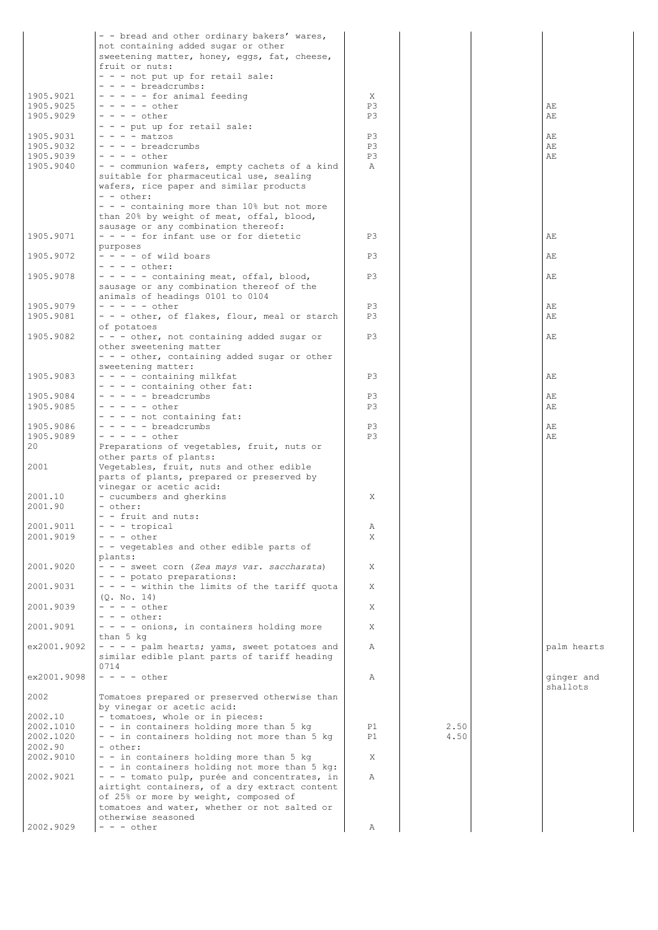|                        | - - bread and other ordinary bakers' wares,                                               |              |      |             |
|------------------------|-------------------------------------------------------------------------------------------|--------------|------|-------------|
|                        | not containing added sugar or other<br>sweetening matter, honey, eggs, fat, cheese,       |              |      |             |
|                        | fruit or nuts:                                                                            |              |      |             |
|                        | - - - not put up for retail sale:<br>$- - -$ breadcrumbs:                                 |              |      |             |
| 1905.9021              | $- - - -$ for animal feeding                                                              | X            |      |             |
| 1905.9025              | $- - - - -$ other<br>$- - - -$ other                                                      | P3<br>P3     |      | AЕ          |
| 1905.9029              | - - - put up for retail sale:                                                             |              |      | AE          |
| 1905.9031              | $- - -$ matzos                                                                            | P3           |      | AE          |
| 1905.9032<br>1905.9039 | $- - -$ breadcrumbs<br>$- - - -$ other                                                    | P3<br>P3     |      | AF.<br>AF.  |
| 1905.9040              | - - communion wafers, empty cachets of a kind                                             | $\mathbb{A}$ |      |             |
|                        | suitable for pharmaceutical use, sealing                                                  |              |      |             |
|                        | wafers, rice paper and similar products<br>$- -$ other:                                   |              |      |             |
|                        | - - - containing more than 10% but not more                                               |              |      |             |
|                        | than 20% by weight of meat, offal, blood,                                                 |              |      |             |
| 1905.9071              | sausage or any combination thereof:<br>- - - - for infant use or for dietetic             | P3           |      | AE          |
|                        | purposes                                                                                  |              |      |             |
| 1905.9072              | $- - - -$ of wild boars<br>$- - - -$ other:                                               | P3           |      | AE          |
| 1905.9078              | - - - - - containing meat, offal, blood,                                                  | P3           |      | AE          |
|                        | sausage or any combination thereof of the                                                 |              |      |             |
| 1905.9079              | animals of headings 0101 to 0104<br>$- - - - -$ other                                     | P3           |      | AE          |
| 1905.9081              | - - - other, of flakes, flour, meal or starch                                             | P3           |      | AE          |
|                        | of potatoes                                                                               |              |      |             |
| 1905.9082              | - - - other, not containing added sugar or<br>other sweetening matter                     | P3           |      | AE          |
|                        | - - - other, containing added sugar or other                                              |              |      |             |
| 1905.9083              | sweetening matter:<br>- - - - containing milkfat                                          | P3           |      | AЕ          |
|                        | - - - - containing other fat:                                                             |              |      |             |
| 1905.9084              | - - - - - breadcrumbs                                                                     | P3           |      | AЕ          |
| 1905.9085              | $- - - - -$ other<br>$- - -$ not containing fat:                                          | P3           |      | AЕ          |
| 1905.9086              | $- - - -$ breadcrumbs                                                                     | P3           |      | AЕ          |
| 1905.9089<br>20        | $- - - - -$ other                                                                         | P3           |      | AE          |
|                        | Preparations of vegetables, fruit, nuts or<br>other parts of plants:                      |              |      |             |
| 2001                   | Vegetables, fruit, nuts and other edible                                                  |              |      |             |
|                        | parts of plants, prepared or preserved by<br>vinegar or acetic acid:                      |              |      |             |
| 2001.10                | - cucumbers and gherkins                                                                  | X            |      |             |
| 2001.90                | - other:<br>- - fruit and nuts:                                                           |              |      |             |
| 2001.9011              | $- -$ - tropical                                                                          | Α            |      |             |
| 2001.9019              | $- - -$ other                                                                             | X            |      |             |
|                        | - - vegetables and other edible parts of<br>plants:                                       |              |      |             |
| 2001.9020              | - - - sweet corn (Zea mays var. saccharata)                                               | Χ            |      |             |
|                        | - - - potato preparations:                                                                |              |      |             |
| 2001.9031              | - - - - within the limits of the tariff quota<br>(0. No. 14)                              | Χ            |      |             |
| 2001.9039              | $- - - -$ other                                                                           | X            |      |             |
| 2001.9091              | $- - -$ other:<br>- - - - onions, in containers holding more                              | Χ            |      |             |
|                        | than 5 kg                                                                                 |              |      |             |
| ex2001.9092            | - - - - palm hearts; yams, sweet potatoes and                                             | Α            |      | palm hearts |
|                        | similar edible plant parts of tariff heading<br>0714                                      |              |      |             |
| ex2001.9098            | $- - - -$ other                                                                           | Α            |      | ginger and  |
| 2002                   | Tomatoes prepared or preserved otherwise than                                             |              |      | shallots    |
|                        | by vinegar or acetic acid:                                                                |              |      |             |
| 2002.10<br>2002.1010   | - tomatoes, whole or in pieces:<br>- - in containers holding more than 5 kg               | P1           | 2.50 |             |
| 2002.1020              | - - in containers holding not more than 5 kg                                              | P1           | 4.50 |             |
| 2002.90                | - other:                                                                                  |              |      |             |
| 2002.9010              | - - in containers holding more than 5 kg<br>- - in containers holding not more than 5 kg: | X            |      |             |
| 2002.9021              | - - - tomato pulp, purée and concentrates, in                                             | Α            |      |             |
|                        | airtight containers, of a dry extract content                                             |              |      |             |
|                        | of 25% or more by weight, composed of<br>tomatoes and water, whether or not salted or     |              |      |             |
|                        | otherwise seasoned                                                                        |              |      |             |
| 2002.9029              | $- - -$ other                                                                             | Α            |      |             |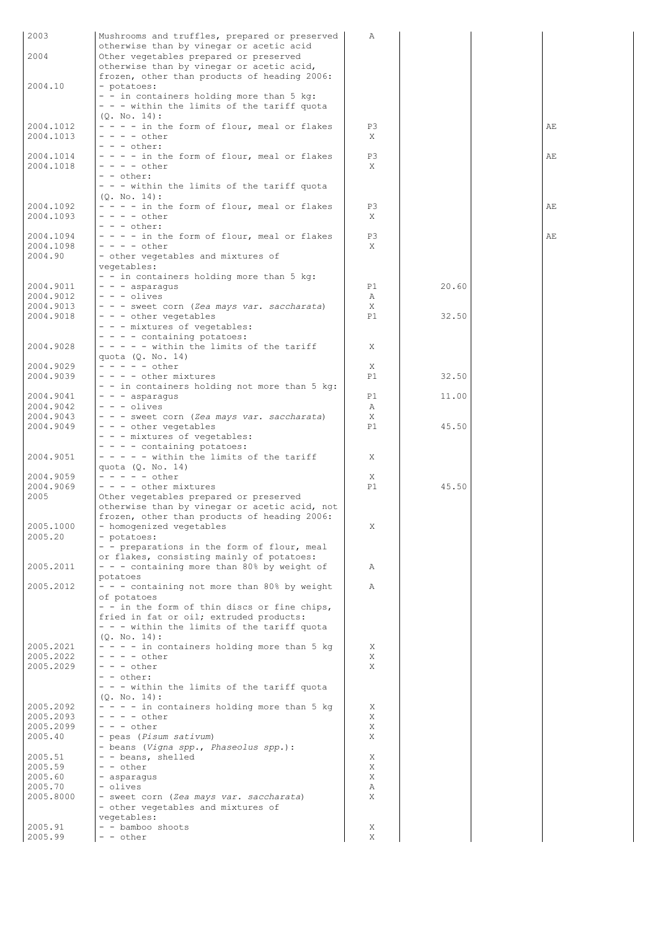| 2003                   | Mushrooms and truffles, prepared or preserved                                            | Α       |       |    |
|------------------------|------------------------------------------------------------------------------------------|---------|-------|----|
| 2004                   | otherwise than by vinegar or acetic acid<br>Other vegetables prepared or preserved       |         |       |    |
|                        | otherwise than by vinegar or acetic acid,                                                |         |       |    |
|                        | frozen, other than products of heading 2006:                                             |         |       |    |
| 2004.10                | - potatoes:<br>- - in containers holding more than 5 kg:                                 |         |       |    |
|                        | - - - within the limits of the tariff quota                                              |         |       |    |
|                        | (0. No. 14):                                                                             |         |       |    |
| 2004.1012              | - - - - in the form of flour, meal or flakes<br>$- - - -$ other                          | P3      |       | AΕ |
| 2004.1013              | $- - -$ other:                                                                           | X       |       |    |
| 2004.1014              | - - - - in the form of flour, meal or flakes                                             | P3      |       | AE |
| 2004.1018              | $- - - -$ other                                                                          | X       |       |    |
|                        | $- -$ other:<br>- - - within the limits of the tariff quota                              |         |       |    |
|                        | (0. No. 14):                                                                             |         |       |    |
| 2004.1092              | - - - - in the form of flour, meal or flakes                                             | P3      |       | AE |
| 2004.1093              | $- - - -$ other<br>$- - -$ other:                                                        | X       |       |    |
| 2004.1094              | - - - - in the form of flour, meal or flakes                                             | P3      |       | AE |
| 2004.1098              | $- - - -$ other                                                                          | X       |       |    |
| 2004.90                | - other vegetables and mixtures of<br>vegetables:                                        |         |       |    |
|                        | - - in containers holding more than 5 kg:                                                |         |       |    |
| 2004.9011              | $- - -$ asparagus                                                                        | P1      | 20.60 |    |
| 2004.9012<br>2004.9013 | $- - -$ olives                                                                           | Α       |       |    |
| 2004.9018              | - - - sweet corn (Zea mays var. saccharata)<br>- - - other vegetables                    | Χ<br>P1 | 32.50 |    |
|                        | - - - mixtures of vegetables:                                                            |         |       |    |
|                        | - - - - containing potatoes:                                                             |         |       |    |
| 2004.9028              | $- - - -$ within the limits of the tariff<br>quota $(Q. No. 14)$                         | X       |       |    |
| 2004.9029              | $- - - - -$ other                                                                        | X       |       |    |
| 2004.9039              | - - - - other mixtures                                                                   | P1      | 32.50 |    |
| 2004.9041              | - - in containers holding not more than 5 kg:<br>$- - -$ asparagus                       | P1      | 11.00 |    |
| 2004.9042              | - - - olives                                                                             | Α       |       |    |
| 2004.9043              | - - - sweet corn (Zea mays var. saccharata)                                              | X       |       |    |
| 2004.9049              | - - - other vegetables<br>- - - mixtures of vegetables:                                  | P1      | 45.50 |    |
|                        | - - - - containing potatoes:                                                             |         |       |    |
| 2004.9051              | $- - - -$ within the limits of the tariff                                                | Χ       |       |    |
| 2004.9059              | quota (Q. No. 14)<br>$- - - - -$ other                                                   |         |       |    |
| 2004.9069              | - - - - other mixtures                                                                   | Χ<br>P1 | 45.50 |    |
| 2005                   | Other vegetables prepared or preserved                                                   |         |       |    |
|                        | otherwise than by vinegar or acetic acid, not                                            |         |       |    |
| 2005.1000              | frozen, other than products of heading 2006:<br>- homogenized vegetables                 | Χ       |       |    |
| 2005.20                | - potatoes:                                                                              |         |       |    |
|                        | - - preparations in the form of flour, meal                                              |         |       |    |
| 2005.2011              | or flakes, consisting mainly of potatoes:<br>- - - containing more than 80% by weight of | Α       |       |    |
|                        | potatoes                                                                                 |         |       |    |
| 2005.2012              | - - - containing not more than 80% by weight                                             | Α       |       |    |
|                        | of potatoes<br>- - in the form of thin discs or fine chips,                              |         |       |    |
|                        | fried in fat or oil; extruded products:                                                  |         |       |    |
|                        | - - - within the limits of the tariff quota                                              |         |       |    |
| 2005.2021              | (0. No. 14):<br>- - - - in containers holding more than 5 kg                             | Χ       |       |    |
| 2005.2022              | $- - - -$ other                                                                          | Χ       |       |    |
| 2005.2029              | $- - -$ other                                                                            | X       |       |    |
|                        | - - other:<br>- - - within the limits of the tariff quota                                |         |       |    |
|                        | $(Q. No. 14)$ :                                                                          |         |       |    |
| 2005.2092              | - - - - in containers holding more than 5 kg                                             | Χ       |       |    |
| 2005.2093<br>2005.2099 | $- - - -$ other<br>$- - -$ other                                                         | X<br>Χ  |       |    |
| 2005.40                | - peas (Pisum sativum)                                                                   | X       |       |    |
|                        | - beans (Vigna spp., Phaseolus spp.):                                                    |         |       |    |
| 2005.51                | - - beans, shelled                                                                       | Χ       |       |    |
| 2005.59<br>2005.60     | - - other<br>- asparagus                                                                 | Χ<br>Χ  |       |    |
| 2005.70                | - olives                                                                                 | Α       |       |    |
| 2005.8000              | - sweet corn (Zea mays var. saccharata)                                                  | Χ       |       |    |
|                        | - other vegetables and mixtures of<br>vegetables:                                        |         |       |    |
| 2005.91                | - - bamboo shoots                                                                        | Χ       |       |    |
| 2005.99                | - - other                                                                                | Χ       |       |    |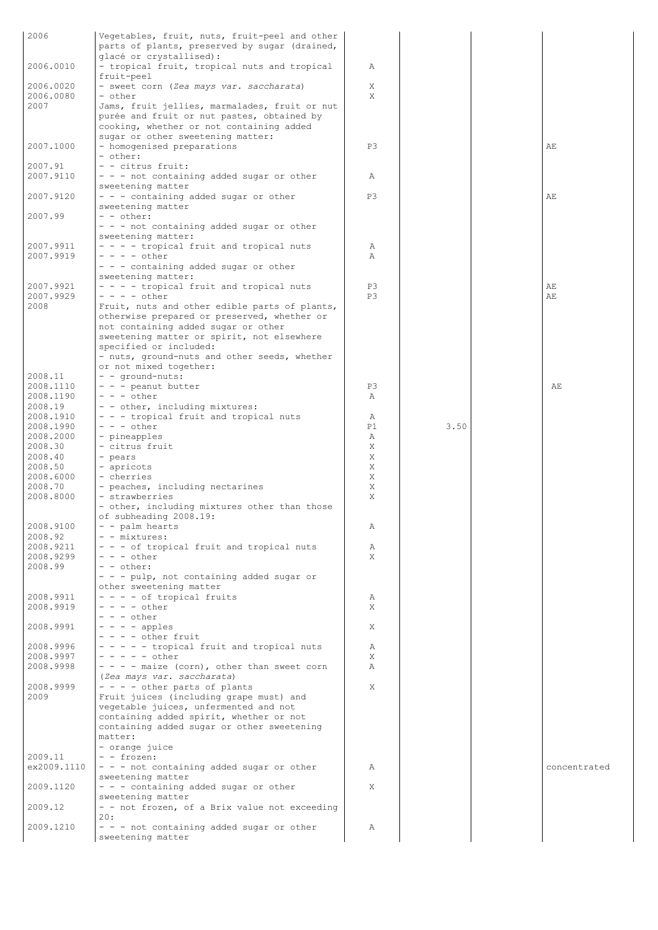| 2006                   | Vegetables, fruit, nuts, fruit-peel and other                                                          |         |      |              |
|------------------------|--------------------------------------------------------------------------------------------------------|---------|------|--------------|
|                        | parts of plants, preserved by sugar (drained,                                                          |         |      |              |
| 2006.0010              | glacé or crystallised):<br>- tropical fruit, tropical nuts and tropical                                | Α       |      |              |
| 2006.0020              | fruit-peel<br>- sweet corn (Zea mays var. saccharata)                                                  | X       |      |              |
| 2006.0080<br>2007      | - other<br>Jams, fruit jellies, marmalades, fruit or nut<br>purée and fruit or nut pastes, obtained by | X       |      |              |
|                        | cooking, whether or not containing added<br>sugar or other sweetening matter:                          |         |      |              |
| 2007.1000              | - homogenised preparations<br>- other:                                                                 | P3      |      | AE           |
| 2007.91<br>2007.9110   | - - citrus fruit:<br>- - - not containing added sugar or other                                         | Α       |      |              |
| 2007.9120              | sweetening matter<br>- - - containing added sugar or other                                             | P3      |      | AE           |
| 2007.99                | sweetening matter<br>$- -$ other:                                                                      |         |      |              |
|                        | - - - not containing added sugar or other<br>sweetening matter:                                        |         |      |              |
| 2007.9911<br>2007.9919 | - - - - tropical fruit and tropical nuts<br>$- - - -$ other                                            | Α<br>Α  |      |              |
|                        | - - - containing added sugar or other<br>sweetening matter:                                            |         |      |              |
| 2007.9921<br>2007.9929 | - - - - tropical fruit and tropical nuts<br>$- - - -$ other                                            | P3      |      | AЕ<br>AE     |
| 2008                   | Fruit, nuts and other edible parts of plants,                                                          | P3      |      |              |
|                        | otherwise prepared or preserved, whether or<br>not containing added sugar or other                     |         |      |              |
|                        | sweetening matter or spirit, not elsewhere<br>specified or included:                                   |         |      |              |
|                        | - nuts, ground-nuts and other seeds, whether<br>or not mixed together:                                 |         |      |              |
| 2008.11                | - - ground-nuts:                                                                                       |         |      |              |
| 2008.1110<br>2008.1190 | - - - peanut butter<br>$- - -$ other                                                                   | P3<br>Α |      | AE           |
| 2008.19                | - - other, including mixtures:                                                                         |         |      |              |
| 2008.1910              | - - - tropical fruit and tropical nuts                                                                 | Α       |      |              |
| 2008.1990              | $- - -$ other                                                                                          | P1      | 3.50 |              |
| 2008.2000              | - pineapples                                                                                           | Α       |      |              |
| 2008.30                | - citrus fruit                                                                                         | Χ       |      |              |
| 2008.40<br>2008.50     | - pears<br>- apricots                                                                                  | Χ<br>Χ  |      |              |
| 2008.6000              | - cherries                                                                                             | Χ       |      |              |
| 2008.70                | - peaches, including nectarines                                                                        | Χ       |      |              |
| 2008.8000              | - strawberries<br>- other, including mixtures other than those                                         | Χ       |      |              |
|                        | of subheading 2008.19:                                                                                 |         |      |              |
| 2008.9100              | - - palm hearts                                                                                        | Α       |      |              |
| 2008.92<br>2008.9211   | - - mixtures:<br>- - - of tropical fruit and tropical nuts                                             | Α       |      |              |
| 2008.9299              | $- - -$ other                                                                                          | X       |      |              |
| 2008.99                | - - other:                                                                                             |         |      |              |
|                        | - - - pulp, not containing added sugar or                                                              |         |      |              |
| 2008.9911              | other sweetening matter<br>- - - - of tropical fruits                                                  | Α       |      |              |
| 2008.9919              | $- - - -$ other                                                                                        | X       |      |              |
|                        | $- - -$ other                                                                                          |         |      |              |
| 2008.9991              | $- - -$ apples                                                                                         | Χ       |      |              |
|                        | $- - -$ other fruit                                                                                    |         |      |              |
| 2008.9996<br>2008.9997 | - - - - - tropical fruit and tropical nuts<br>$- - - - -$ other                                        | Α<br>X  |      |              |
| 2008.9998              | $- - -$ - maize (corn), other than sweet corn                                                          | Α       |      |              |
|                        | (Zea mays var. saccharata)                                                                             |         |      |              |
| 2008.9999              | - - - - other parts of plants                                                                          | Χ       |      |              |
| 2009                   | Fruit juices (including grape must) and<br>vegetable juices, unfermented and not                       |         |      |              |
|                        | containing added spirit, whether or not                                                                |         |      |              |
|                        | containing added sugar or other sweetening<br>matter:                                                  |         |      |              |
|                        | - orange juice                                                                                         |         |      |              |
| 2009.11                | - - frozen:                                                                                            |         |      |              |
| ex2009.1110            | - - - not containing added sugar or other                                                              | Α       |      | concentrated |
| 2009.1120              | sweetening matter<br>- - - containing added sugar or other                                             | X       |      |              |
|                        | sweetening matter                                                                                      |         |      |              |
| 2009.12                | - - not frozen, of a Brix value not exceeding                                                          |         |      |              |
| 2009.1210              | 20:<br>- - - not containing added sugar or other                                                       | Α       |      |              |
|                        | sweetening matter                                                                                      |         |      |              |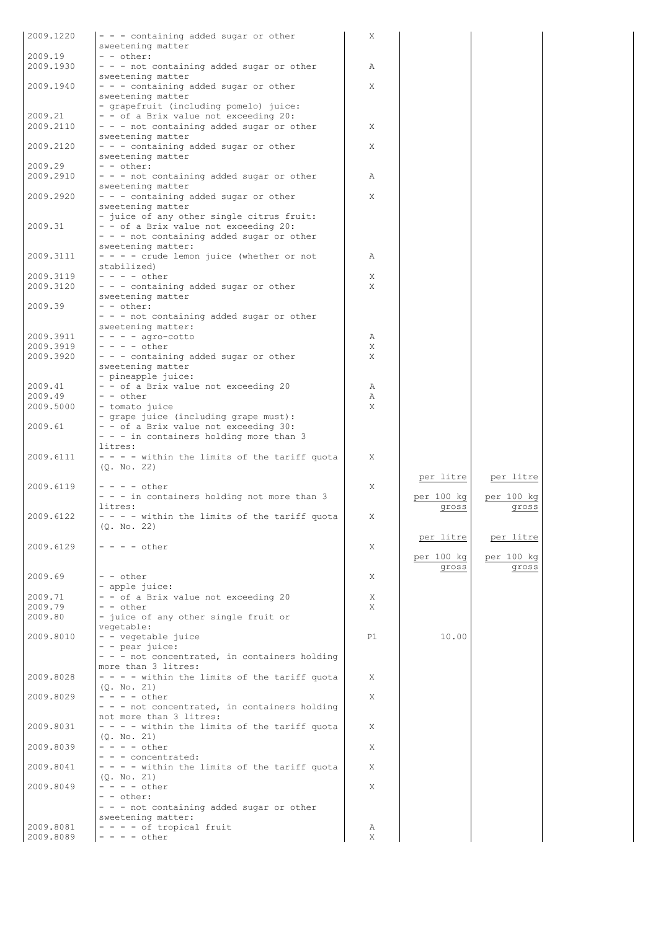| 2009.1220              | - - - containing added sugar or other                                            | Χ      |            |            |
|------------------------|----------------------------------------------------------------------------------|--------|------------|------------|
|                        | sweetening matter                                                                |        |            |            |
| 2009.19<br>2009.1930   | - - other:                                                                       |        |            |            |
|                        | - - - not containing added sugar or other<br>sweetening matter                   | Α      |            |            |
| 2009.1940              | - - - containing added sugar or other                                            | X      |            |            |
|                        | sweetening matter                                                                |        |            |            |
|                        | - grapefruit (including pomelo) juice:                                           |        |            |            |
| 2009.21                | - - of a Brix value not exceeding 20:                                            |        |            |            |
| 2009.2110              | - - - not containing added sugar or other<br>sweetening matter                   | X      |            |            |
| 2009.2120              | - - - containing added sugar or other                                            | X      |            |            |
|                        | sweetening matter                                                                |        |            |            |
| 2009.29                | $- -$ other:                                                                     |        |            |            |
| 2009.2910              | - - - not containing added sugar or other                                        | Α      |            |            |
|                        | sweetening matter                                                                |        |            |            |
| 2009.2920              | - - - containing added sugar or other<br>sweetening matter                       | X      |            |            |
|                        | - juice of any other single citrus fruit:                                        |        |            |            |
| 2009.31                | - - of a Brix value not exceeding 20:                                            |        |            |            |
|                        | - - - not containing added sugar or other                                        |        |            |            |
|                        | sweetening matter:                                                               |        |            |            |
| 2009.3111              | $- - - -$ crude lemon juice (whether or not                                      | Α      |            |            |
|                        | stabilized)<br>$- - - -$ other                                                   |        |            |            |
| 2009.3119<br>2009.3120 | - - - containing added sugar or other                                            | Χ<br>X |            |            |
|                        | sweetening matter                                                                |        |            |            |
| 2009.39                | - - other:                                                                       |        |            |            |
|                        | - - - not containing added sugar or other                                        |        |            |            |
|                        | sweetening matter:                                                               |        |            |            |
| 2009.3911              | $- - -$ agro-cotto                                                               | Α      |            |            |
| 2009.3919              | $- - - -$ other                                                                  | Χ      |            |            |
| 2009.3920              | - - - containing added sugar or other<br>sweetening matter                       | X      |            |            |
|                        | - pineapple juice:                                                               |        |            |            |
| 2009.41                | - - of a Brix value not exceeding 20                                             | Α      |            |            |
| 2009.49                | $ -$ other                                                                       | Α      |            |            |
| 2009.5000              | - tomato juice                                                                   | X      |            |            |
|                        | - grape juice (including grape must):                                            |        |            |            |
| 2009.61                | - - of a Brix value not exceeding 30:<br>- - - in containers holding more than 3 |        |            |            |
|                        | litres:                                                                          |        |            |            |
| 2009.6111              | - - - - within the limits of the tariff quota                                    | Χ      |            |            |
|                        | (0. No. 22)                                                                      |        |            |            |
|                        |                                                                                  |        | per litre  | per litre  |
| 2009.6119              | $- - - -$ other                                                                  | X      |            |            |
|                        | - - - in containers holding not more than 3                                      |        | per 100 kg | per 100 kg |
| 2009.6122              | litres:<br>- - - - within the limits of the tariff quota                         | X      | gross      | gross      |
|                        | (Q. No. 22)                                                                      |        |            |            |
|                        |                                                                                  |        | per litre  | per litre  |
| 2009.6129              | $- - - -$ other                                                                  | X      |            |            |
|                        |                                                                                  |        | per 100 kg | per 100 kg |
|                        |                                                                                  |        | gross      | gross      |
| 2009.69                | - - other<br>- apple juice:                                                      | X      |            |            |
| 2009.71                | - - of a Brix value not exceeding 20                                             | Χ      |            |            |
| 2009.79                | - - other                                                                        | X      |            |            |
| 2009.80                | - juice of any other single fruit or                                             |        |            |            |
|                        | vegetable:                                                                       |        |            |            |
| 2009.8010              | - - vegetable juice                                                              | P1     | 10.00      |            |
|                        | - - pear juice:                                                                  |        |            |            |
|                        | - - - not concentrated, in containers holding<br>more than 3 litres:             |        |            |            |
| 2009.8028              | - - - - within the limits of the tariff quota                                    | X      |            |            |
|                        | (Q. No. 21)                                                                      |        |            |            |
| 2009.8029              | $- - - -$ other                                                                  | X      |            |            |
|                        | - - - not concentrated, in containers holding                                    |        |            |            |
|                        | not more than 3 litres:                                                          |        |            |            |
| 2009.8031              | - - - - within the limits of the tariff quota<br>(Q. No. 21)                     | Χ      |            |            |
| 2009.8039              | $- - - -$ other                                                                  | X      |            |            |
|                        | - - - concentrated:                                                              |        |            |            |
| 2009.8041              | - - - - within the limits of the tariff quota                                    | X      |            |            |
|                        | (Q. No. 21)                                                                      |        |            |            |
| 2009.8049              | $- - - -$ other                                                                  | X      |            |            |
|                        | - - other:<br>- - - not containing added sugar or other                          |        |            |            |
|                        | sweetening matter:                                                               |        |            |            |
| 2009.8081              | - - - - of tropical fruit                                                        | Α      |            |            |
| 2009.8089              | $- - - -$ other                                                                  | Χ      |            |            |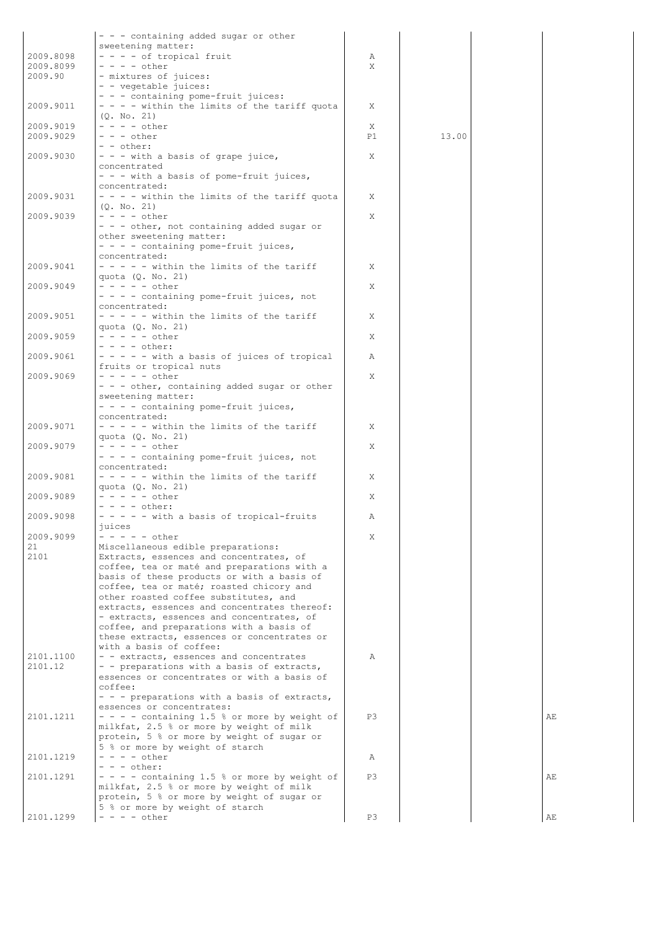|                        | - - - containing added sugar or other                                                     |        |       |    |
|------------------------|-------------------------------------------------------------------------------------------|--------|-------|----|
|                        | sweetening matter:                                                                        |        |       |    |
| 2009.8098<br>2009.8099 | - - - - of tropical fruit<br>$- - - -$ other                                              | Α<br>X |       |    |
| 2009.90                | - mixtures of juices:                                                                     |        |       |    |
|                        | - - vegetable juices:                                                                     |        |       |    |
|                        | - - - containing pome-fruit juices:                                                       |        |       |    |
| 2009.9011              | - - - - within the limits of the tariff quota<br>(Q. No. 21)                              | X      |       |    |
| 2009.9019              | $- - - -$ other                                                                           | X      |       |    |
| 2009.9029              | $- - -$ other                                                                             | P1     | 13.00 |    |
|                        | - - other:                                                                                |        |       |    |
| 2009.9030              | - - - with a basis of grape juice,<br>concentrated                                        | Χ      |       |    |
|                        | - - - with a basis of pome-fruit juices,                                                  |        |       |    |
|                        | concentrated:                                                                             |        |       |    |
| 2009.9031              | - - - - within the limits of the tariff quota                                             | X      |       |    |
| 2009.9039              | (Q. No. 21)<br>$- - - -$ other                                                            | Χ      |       |    |
|                        | - - - other, not containing added sugar or                                                |        |       |    |
|                        | other sweetening matter:                                                                  |        |       |    |
|                        | - - - - containing pome-fruit juices,                                                     |        |       |    |
| 2009.9041              | concentrated:<br>$-$ - - - - within the limits of the tariff                              | X      |       |    |
|                        | quota $(Q. No. 21)$                                                                       |        |       |    |
| 2009.9049              | $- - - - -$ other                                                                         | X      |       |    |
|                        | - - - - containing pome-fruit juices, not                                                 |        |       |    |
| 2009.9051              | concentrated:<br>- - - - - within the limits of the tariff                                | X      |       |    |
|                        | quota $(Q. No. 21)$                                                                       |        |       |    |
| 2009.9059              | $- - - - -$ other                                                                         | X      |       |    |
|                        | - - - - other:                                                                            |        |       |    |
| 2009.9061              | - - - - - with a basis of juices of tropical<br>fruits or tropical nuts                   | Α      |       |    |
| 2009.9069              | $- - - - -$ other                                                                         | X      |       |    |
|                        | - - - other, containing added sugar or other                                              |        |       |    |
|                        | sweetening matter:                                                                        |        |       |    |
|                        | - - - - containing pome-fruit juices,<br>concentrated:                                    |        |       |    |
| 2009.9071              | $-$ - - - - within the limits of the tariff                                               | Χ      |       |    |
|                        | quota $(Q. No. 21)$                                                                       |        |       |    |
| 2009.9079              | - - - - - other                                                                           | Χ      |       |    |
|                        | - - - - containing pome-fruit juices, not<br>concentrated:                                |        |       |    |
| 2009.9081              | $- - - -$ within the limits of the tariff                                                 | X      |       |    |
|                        | quota $(Q. No. 21)$                                                                       |        |       |    |
| 2009.9089              | $- - - - -$ other                                                                         | Χ      |       |    |
| 2009.9098              | $- - - - \text{other:}$<br>$- - - -$ with a basis of tropical-fruits                      | Α      |       |    |
|                        | juices                                                                                    |        |       |    |
| 2009.9099              | - - - - - other                                                                           | X      |       |    |
| 21                     | Miscellaneous edible preparations:                                                        |        |       |    |
| 2101                   | Extracts, essences and concentrates, of<br>coffee, tea or maté and preparations with a    |        |       |    |
|                        | basis of these products or with a basis of                                                |        |       |    |
|                        | coffee, tea or maté; roasted chicory and                                                  |        |       |    |
|                        | other roasted coffee substitutes, and                                                     |        |       |    |
|                        | extracts, essences and concentrates thereof:<br>- extracts, essences and concentrates, of |        |       |    |
|                        | coffee, and preparations with a basis of                                                  |        |       |    |
|                        | these extracts, essences or concentrates or                                               |        |       |    |
|                        | with a basis of coffee:                                                                   |        |       |    |
| 2101.1100<br>2101.12   | - - extracts, essences and concentrates<br>- - preparations with a basis of extracts,     | Α      |       |    |
|                        | essences or concentrates or with a basis of                                               |        |       |    |
|                        | coffee:                                                                                   |        |       |    |
|                        | - - - preparations with a basis of extracts,                                              |        |       |    |
| 2101.1211              | essences or concentrates:<br>$- - -$ containing 1.5 % or more by weight of                | P3     |       | AE |
|                        | milkfat, 2.5 % or more by weight of milk                                                  |        |       |    |
|                        | protein, 5 % or more by weight of sugar or                                                |        |       |    |
|                        | 5 % or more by weight of starch                                                           |        |       |    |
| 2101.1219              | $- - - -$ other<br>$- - -$ other:                                                         | Α      |       |    |
| 2101.1291              | - - - - containing 1.5 % or more by weight of                                             | P3     |       | AE |
|                        | milkfat, 2.5 % or more by weight of milk                                                  |        |       |    |
|                        | protein, 5 % or more by weight of sugar or                                                |        |       |    |
| 2101.1299              | 5 % or more by weight of starch<br>$- - - -$ other                                        | P3     |       |    |
|                        |                                                                                           |        |       | AЕ |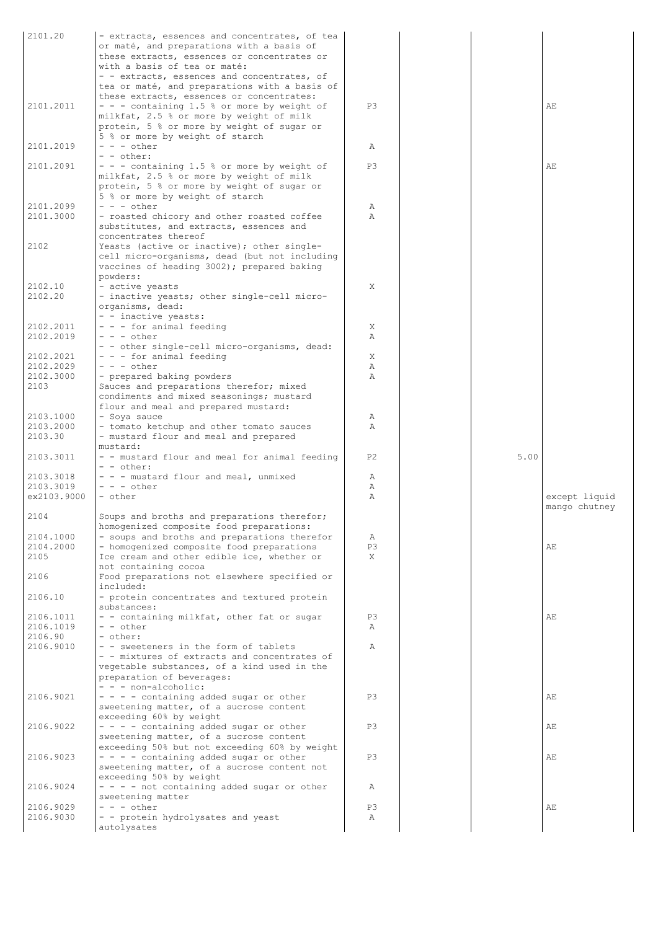| 2101.20           | - extracts, essences and concentrates, of tea                                               |                |      |               |
|-------------------|---------------------------------------------------------------------------------------------|----------------|------|---------------|
|                   | or maté, and preparations with a basis of                                                   |                |      |               |
|                   | these extracts, essences or concentrates or                                                 |                |      |               |
|                   | with a basis of tea or maté:                                                                |                |      |               |
|                   | - - extracts, essences and concentrates, of                                                 |                |      |               |
|                   | tea or maté, and preparations with a basis of                                               |                |      |               |
| 2101.2011         | these extracts, essences or concentrates:                                                   | P3             |      | AE            |
|                   | $-$ - $-$ containing 1.5 % or more by weight of<br>milkfat, 2.5 % or more by weight of milk |                |      |               |
|                   | protein, 5 % or more by weight of sugar or                                                  |                |      |               |
|                   | 5 % or more by weight of starch                                                             |                |      |               |
| 2101.2019         | $- - -$ other                                                                               | Α              |      |               |
|                   | $-$ - other:                                                                                |                |      |               |
| 2101.2091         | $-$ - $-$ containing 1.5 % or more by weight of                                             | P3             |      | AE            |
|                   | milkfat, 2.5 % or more by weight of milk                                                    |                |      |               |
|                   | protein, 5 % or more by weight of sugar or                                                  |                |      |               |
|                   | 5 % or more by weight of starch                                                             |                |      |               |
| 2101.2099         | $- - -$ other                                                                               | Α              |      |               |
| 2101.3000         | - roasted chicory and other roasted coffee                                                  | $\lambda$      |      |               |
|                   | substitutes, and extracts, essences and                                                     |                |      |               |
|                   | concentrates thereof                                                                        |                |      |               |
| 2102              | Yeasts (active or inactive); other single-                                                  |                |      |               |
|                   | cell micro-organisms, dead (but not including                                               |                |      |               |
|                   | vaccines of heading 3002); prepared baking                                                  |                |      |               |
|                   | powders:                                                                                    |                |      |               |
| 2102.10           | - active yeasts                                                                             | X              |      |               |
| 2102.20           | - inactive yeasts; other single-cell micro-                                                 |                |      |               |
|                   | organisms, dead:                                                                            |                |      |               |
| 2102.2011         | - - inactive yeasts:<br>- - - for animal feeding                                            | X              |      |               |
| 2102.2019         | $- - -$ other                                                                               | Α              |      |               |
|                   | - - other single-cell micro-organisms, dead:                                                |                |      |               |
| 2102.2021         | - - - for animal feeding                                                                    | X              |      |               |
| 2102.2029         | $- - -$ other                                                                               | Α              |      |               |
| 2102.3000         | - prepared baking powders                                                                   | Α              |      |               |
| 2103              | Sauces and preparations therefor; mixed                                                     |                |      |               |
|                   | condiments and mixed seasonings; mustard                                                    |                |      |               |
|                   | flour and meal and prepared mustard:                                                        |                |      |               |
| 2103.1000         | - Soya sauce                                                                                | Α              |      |               |
| 2103.2000         | - tomato ketchup and other tomato sauces                                                    | Α              |      |               |
| 2103.30           | - mustard flour and meal and prepared                                                       |                |      |               |
|                   | mustard:                                                                                    |                |      |               |
| 2103.3011         | - - mustard flour and meal for animal feeding                                               | P <sub>2</sub> | 5.00 |               |
|                   | $ -$ other:                                                                                 |                |      |               |
| 2103.3018         | - - - mustard flour and meal, unmixed                                                       | Α              |      |               |
| 2103.3019         | $- - -$ other                                                                               | Α              |      |               |
| ex2103.9000       | $-$ other                                                                                   | Α              |      | except liquid |
|                   |                                                                                             |                |      | mango chutney |
| 2104              | Soups and broths and preparations therefor;                                                 |                |      |               |
|                   | homogenized composite food preparations:                                                    |                |      |               |
| 2104.1000         | - soups and broths and preparations therefor                                                | Α              |      |               |
| 2104.2000<br>2105 | - homogenized composite food preparations<br>Ice cream and other edible ice, whether or     | P3             |      | AE            |
|                   |                                                                                             | X              |      |               |
| 2106              | not containing cocoa<br>Food preparations not elsewhere specified or                        |                |      |               |
|                   | included:                                                                                   |                |      |               |
| 2106.10           | - protein concentrates and textured protein                                                 |                |      |               |
|                   | substances:                                                                                 |                |      |               |
| 2106.1011         | - - containing milkfat, other fat or sugar                                                  | P3             |      | AE            |
| 2106.1019         | - - other                                                                                   | Α              |      |               |
| 2106.90           | - other:                                                                                    |                |      |               |
| 2106.9010         | - - sweeteners in the form of tablets                                                       | Α              |      |               |
|                   | - - mixtures of extracts and concentrates of                                                |                |      |               |
|                   | vegetable substances, of a kind used in the                                                 |                |      |               |
|                   | preparation of beverages:                                                                   |                |      |               |
|                   | $- -$ - non-alcoholic:                                                                      |                |      |               |
| 2106.9021         | $- - -$ containing added sugar or other                                                     | P3             |      | АE            |
|                   | sweetening matter, of a sucrose content                                                     |                |      |               |
|                   | exceeding 60% by weight                                                                     |                |      |               |
| 2106.9022         | $- - - -$ containing added sugar or other                                                   | P3             |      | АE            |
|                   | sweetening matter, of a sucrose content                                                     |                |      |               |
|                   | exceeding 50% but not exceeding 60% by weight                                               |                |      |               |
| 2106.9023         | $- - - -$ containing added sugar or other<br>sweetening matter, of a sucrose content not    | P3             |      | AE            |
|                   | exceeding 50% by weight                                                                     |                |      |               |
| 2106.9024         | - - - - not containing added sugar or other                                                 | Α              |      |               |
|                   | sweetening matter                                                                           |                |      |               |
| 2106.9029         | $- - -$ other                                                                               | P3             |      | AE            |
| 2106.9030         | - - protein hydrolysates and yeast                                                          | Α              |      |               |
|                   | autolysates                                                                                 |                |      |               |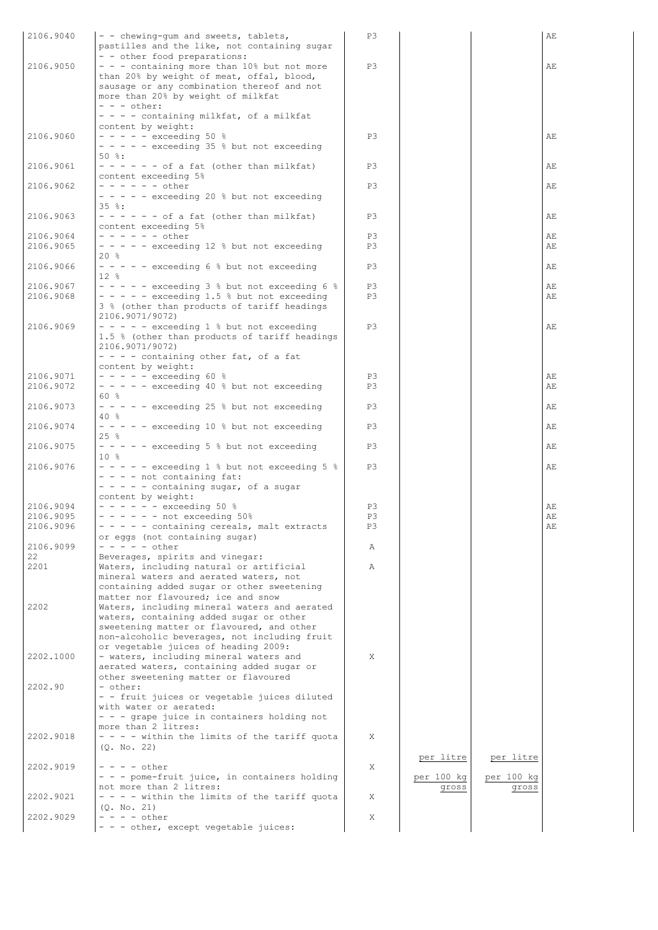| 2106.9040              | - - chewing-qum and sweets, tablets,                                             | P3       |            |            | AE       |
|------------------------|----------------------------------------------------------------------------------|----------|------------|------------|----------|
|                        | pastilles and the like, not containing sugar                                     |          |            |            |          |
|                        | - - other food preparations:                                                     |          |            |            |          |
| 2106.9050              | - - - containing more than 10% but not more                                      | P3       |            |            | AЕ       |
|                        | than 20% by weight of meat, offal, blood,                                        |          |            |            |          |
|                        | sausage or any combination thereof and not<br>more than 20% by weight of milkfat |          |            |            |          |
|                        | $- - -$ other:                                                                   |          |            |            |          |
|                        | - - - - containing milkfat, of a milkfat                                         |          |            |            |          |
|                        | content by weight:                                                               |          |            |            |          |
| 2106.9060              | $- - - - -$ exceeding 50 %                                                       | P3       |            |            | AЕ       |
|                        | $- - - -$ exceeding 35 % but not exceeding                                       |          |            |            |          |
|                        | $50$ $\frac{6}{3}$ :                                                             |          |            |            |          |
| 2106.9061              | $- - - - - -$ of a fat (other than milkfat)                                      | P3       |            |            | AЕ       |
|                        | content exceeding 5%                                                             |          |            |            |          |
| 2106.9062              | - - - - - - other                                                                | P3       |            |            | AЕ       |
|                        | - - - - - exceeding 20 % but not exceeding                                       |          |            |            |          |
|                        | $35$ $\frac{6}{3}$ :                                                             |          |            |            |          |
| 2106.9063              | $- - - - - -$ of a fat (other than milkfat)<br>content exceeding 5%              | P3       |            |            | AЕ       |
| 2106.9064              | - - - - - - other                                                                | P3       |            |            | AЕ       |
| 2106.9065              | $- - - -$ exceeding 12 % but not exceeding                                       | P3       |            |            | AЕ       |
|                        | 20 %                                                                             |          |            |            |          |
| 2106.9066              | $- - - -$ exceeding 6 % but not exceeding                                        | P3       |            |            | AE       |
|                        | $12*$                                                                            |          |            |            |          |
| 2106.9067              | $- - - -$ exceeding 3 % but not exceeding 6 %                                    | P3       |            |            | AЕ       |
| 2106.9068              | $- - - -$ exceeding 1.5 % but not exceeding                                      | P3       |            |            | AЕ       |
|                        | 3 % (other than products of tariff headings                                      |          |            |            |          |
|                        | 2106.9071/9072)                                                                  |          |            |            |          |
| 2106.9069              | - - - - - exceeding 1 % but not exceeding                                        | P3       |            |            | АE       |
|                        | 1.5 % (other than products of tariff headings                                    |          |            |            |          |
|                        | 2106.9071/9072)                                                                  |          |            |            |          |
|                        | $- - -$ containing other fat, of a fat                                           |          |            |            |          |
|                        | content by weight:                                                               |          |            |            |          |
| 2106.9071<br>2106.9072 | $- - - - -$ exceeding 60 %                                                       | P3<br>P3 |            |            | AЕ<br>AE |
|                        | - - - - - exceeding 40 % but not exceeding<br>60 %                               |          |            |            |          |
| 2106.9073              | - - - - - exceeding 25 % but not exceeding                                       | P3       |            |            | AЕ       |
|                        | 40 %                                                                             |          |            |            |          |
| 2106.9074              | - - - - - exceeding 10 % but not exceeding                                       | P3       |            |            | AE       |
|                        | 25 %                                                                             |          |            |            |          |
| 2106.9075              | - - - - - exceeding 5 % but not exceeding                                        | P3       |            |            | AE       |
|                        | $10*$                                                                            |          |            |            |          |
| 2106.9076              | $- - - -$ exceeding 1 % but not exceeding 5 %                                    | P3       |            |            | AE       |
|                        | - - - - not containing fat:                                                      |          |            |            |          |
|                        | - - - - - containing sugar, of a sugar                                           |          |            |            |          |
|                        | content by weight:                                                               |          |            |            |          |
| 2106.9094              | $- - - - - -$ exceeding 50 %                                                     | P3       |            |            | AЕ       |
| 2106.9095              | $- - - - -$ not exceeding 50%                                                    | P3       |            |            | AE       |
| 2106.9096              | - - - - - containing cereals, malt extracts                                      | P3       |            |            | AЕ       |
| 2106.9099              | or eggs (not containing sugar)<br>- - - - - other                                | Α        |            |            |          |
| 22                     | Beverages, spirits and vinegar:                                                  |          |            |            |          |
| 2201                   | Waters, including natural or artificial                                          | Α        |            |            |          |
|                        | mineral waters and aerated waters, not                                           |          |            |            |          |
|                        | containing added sugar or other sweetening                                       |          |            |            |          |
|                        | matter nor flavoured; ice and snow                                               |          |            |            |          |
| 2202                   | Waters, including mineral waters and aerated                                     |          |            |            |          |
|                        | waters, containing added sugar or other                                          |          |            |            |          |
|                        | sweetening matter or flavoured, and other                                        |          |            |            |          |
|                        | non-alcoholic beverages, not including fruit                                     |          |            |            |          |
|                        | or vegetable juices of heading 2009:                                             |          |            |            |          |
| 2202.1000              | - waters, including mineral waters and                                           | X        |            |            |          |
|                        | aerated waters, containing added sugar or                                        |          |            |            |          |
| 2202.90                | other sweetening matter or flavoured<br>- other:                                 |          |            |            |          |
|                        | - - fruit juices or vegetable juices diluted                                     |          |            |            |          |
|                        | with water or aerated:                                                           |          |            |            |          |
|                        | - - - grape juice in containers holding not                                      |          |            |            |          |
|                        | more than 2 litres:                                                              |          |            |            |          |
| 2202.9018              | - - - - within the limits of the tariff quota                                    | X        |            |            |          |
|                        | (Q. No. 22)                                                                      |          |            |            |          |
|                        |                                                                                  |          | per litre  | per litre  |          |
| 2202.9019              | - - - - other                                                                    | X        |            |            |          |
|                        | - - - pome-fruit juice, in containers holding                                    |          | per 100 kg | per 100 kg |          |
|                        | not more than 2 litres:                                                          |          | gross      | gross      |          |
| 2202.9021              | - - - - within the limits of the tariff quota                                    | Χ        |            |            |          |
| 2202.9029              | (Q. No. 21)<br>- - - - other                                                     | X        |            |            |          |
|                        | - - - other, except vegetable juices:                                            |          |            |            |          |
|                        |                                                                                  |          |            |            |          |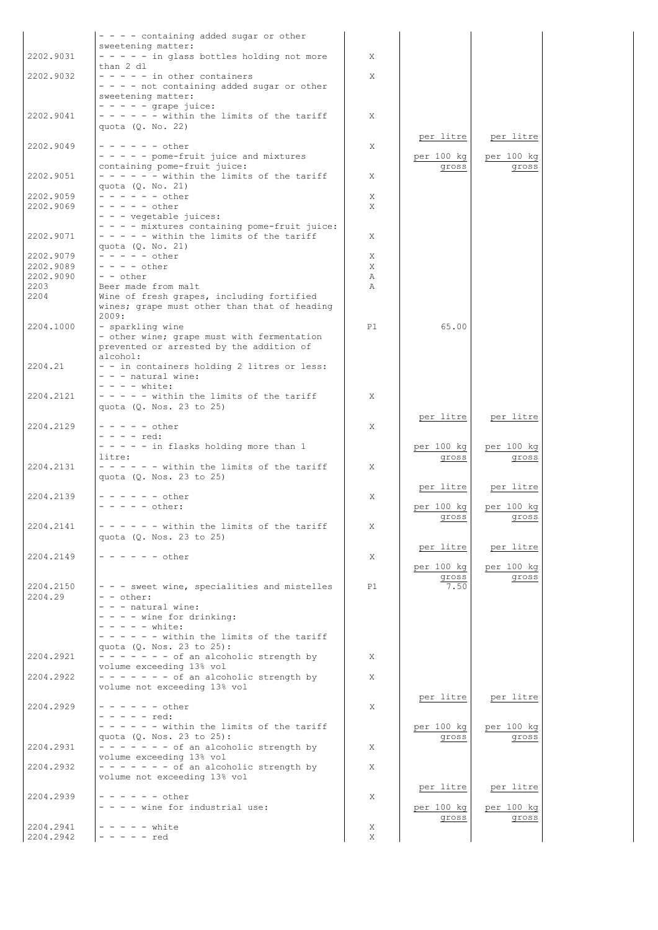|                        | $- - - -$ containing added sugar or other                                                  |        |                     |                     |
|------------------------|--------------------------------------------------------------------------------------------|--------|---------------------|---------------------|
| 2202.9031              | sweetening matter:<br>- - - - - in glass bottles holding not more                          | X      |                     |                     |
|                        | than $2$ dl                                                                                |        |                     |                     |
| 2202.9032              | $- - - - -$ in other containers<br>- - - - not containing added sugar or other             | X      |                     |                     |
|                        | sweetening matter:                                                                         |        |                     |                     |
|                        | $- - - - -$ grape juice:                                                                   |        |                     |                     |
| 2202.9041              | $- - - - -$ within the limits of the tariff<br>quota $(Q. No. 22)$                         | X      |                     |                     |
|                        |                                                                                            |        | per litre           | per litre           |
| 2202.9049              | $- - - - - -$ other                                                                        | X      |                     |                     |
|                        | - - - - - pome-fruit juice and mixtures<br>containing pome-fruit juice:                    |        | per 100 kg<br>gross | per 100 kg<br>gross |
| 2202.9051              | $- - - - -$ within the limits of the tariff                                                | X      |                     |                     |
| 2202.9059              | quota $(Q. No. 21)$<br>$- - - - - - other$                                                 | X      |                     |                     |
| 2202.9069              | $- - - - -$ other                                                                          | X      |                     |                     |
|                        | - - - vegetable juices:                                                                    |        |                     |                     |
| 2202.9071              | - - - - mixtures containing pome-fruit juice:<br>$- - - -$ within the limits of the tariff | X      |                     |                     |
|                        | quota (0. No. 21)                                                                          |        |                     |                     |
| 2202.9079<br>2202.9089 | $- - - - -$ other<br>$- - - -$ other                                                       | X<br>X |                     |                     |
| 2202.9090              | $- -$ other                                                                                | Α      |                     |                     |
| 2203                   | Beer made from malt                                                                        | A      |                     |                     |
| 2204                   | Wine of fresh grapes, including fortified<br>wines; grape must other than that of heading  |        |                     |                     |
|                        | 2009:                                                                                      |        |                     |                     |
| 2204.1000              | - sparkling wine                                                                           | P1     | 65.00               |                     |
|                        | - other wine; grape must with fermentation<br>prevented or arrested by the addition of     |        |                     |                     |
|                        | alcohol:                                                                                   |        |                     |                     |
| 2204.21                | - - in containers holding 2 litres or less:<br>$- - -$ natural wine:                       |        |                     |                     |
|                        | $- - -$ white:                                                                             |        |                     |                     |
| 2204.2121              | $- - - -$ within the limits of the tariff                                                  | X      |                     |                     |
|                        | quota (Q. Nos. 23 to 25)                                                                   |        | per litre           | per litre           |
| 2204.2129              | $- - - - -$ other                                                                          | X      |                     |                     |
|                        | - - - - red:<br>- - - - - in flasks holding more than 1                                    |        |                     | per 100 kg          |
|                        | litre:                                                                                     |        | per 100 kg<br>gross | gross               |
| 2204.2131              | $- - - - -$ within the limits of the tariff                                                | X      |                     |                     |
|                        | quota (Q. Nos. 23 to 25)                                                                   |        | per litre           | per litre           |
| 2204.2139              | $- - - - - - other$                                                                        | X      |                     |                     |
|                        | $- - - - -$ other:                                                                         |        | per 100 kg          | per 100 kg          |
| 2204.2141              | - - within the limits of the tariff                                                        | Χ      | gross               | gross               |
|                        | quota (Q. Nos. 23 to 25)                                                                   |        |                     |                     |
| 2204.2149              | $- - - - - - other$                                                                        | X      | per litre           | per litre           |
|                        |                                                                                            |        | per 100 kg          | per 100 kg          |
| 2204.2150              | - - - sweet wine, specialities and mistelles                                               | P1     | gross<br>7.50       | gross               |
| 2204.29                | $- -$ other:                                                                               |        |                     |                     |
|                        | - - - natural wine:                                                                        |        |                     |                     |
|                        | $- - - -$ wine for drinking:<br>- - - - - white:                                           |        |                     |                     |
|                        | $- - - - -$ within the limits of the tariff                                                |        |                     |                     |
| 2204.2921              | quota (Q. Nos. 23 to 25):<br>$- - - - - - -$ of an alcoholic strength by                   | X      |                     |                     |
|                        | volume exceeding 13% vol                                                                   |        |                     |                     |
| 2204.2922              | $- - - - - - -$ of an alcoholic strength by                                                | X      |                     |                     |
|                        | volume not exceeding 13% vol                                                               |        | per litre           | per litre           |
| 2204.2929              | $- - - - - - other$                                                                        | X      |                     |                     |
|                        | $- - - - -$ red:<br>$- - - - -$ within the limits of the tariff                            |        | per 100 kg          | per 100 kg          |
|                        | quota (Q. Nos. 23 to 25):                                                                  |        | gross               | gross               |
| 2204.2931              | $- - - - - - -$ of an alcoholic strength by                                                | X      |                     |                     |
| 2204.2932              | volume exceeding 13% vol<br>$- - - - - - -$ of an alcoholic strength by                    | X      |                     |                     |
|                        | volume not exceeding 13% vol                                                               |        |                     |                     |
| 2204.2939              | $- - - - - - other$                                                                        | X      | per litre           | per litre           |
|                        | - - - - wine for industrial use:                                                           |        | per 100 kg          | per 100 kg          |
| 2204.2941              | $- - - - -$ white                                                                          |        | gross               | gross               |
| 2204.2942              | $- - - - -$ red                                                                            | X<br>X |                     |                     |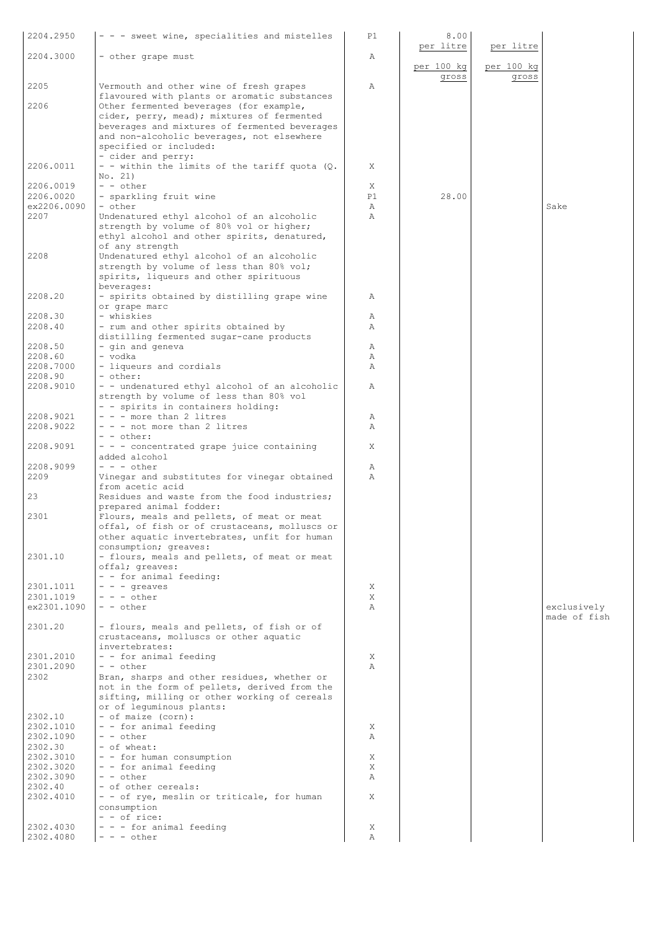| 2204.2950                | - - - sweet wine, specialities and mistelles                                                  | P1                 | 8.00<br>per litre | per litre  |              |
|--------------------------|-----------------------------------------------------------------------------------------------|--------------------|-------------------|------------|--------------|
| 2204.3000                | - other grape must                                                                            | Α                  |                   |            |              |
|                          |                                                                                               |                    | per 100 kg        | per 100 kg |              |
| 2205                     | Vermouth and other wine of fresh grapes                                                       | Α                  | gross             | gross      |              |
|                          | flavoured with plants or aromatic substances                                                  |                    |                   |            |              |
| 2206                     | Other fermented beverages (for example,                                                       |                    |                   |            |              |
|                          | cider, perry, mead); mixtures of fermented<br>beverages and mixtures of fermented beverages   |                    |                   |            |              |
|                          | and non-alcoholic beverages, not elsewhere                                                    |                    |                   |            |              |
|                          | specified or included:                                                                        |                    |                   |            |              |
| 2206.0011                | - cider and perry:<br>- - within the limits of the tariff quota (Q.                           | X                  |                   |            |              |
|                          | No. 21)                                                                                       |                    |                   |            |              |
| 2206.0019                | $- -$ other                                                                                   | X                  |                   |            |              |
| 2206.0020<br>ex2206.0090 | - sparkling fruit wine<br>- other                                                             | P1<br>$\mathbb{A}$ | 28.00             |            | Sake         |
| 2207                     | Undenatured ethyl alcohol of an alcoholic                                                     | $\mathbb{A}$       |                   |            |              |
|                          | strength by volume of 80% vol or higher;                                                      |                    |                   |            |              |
|                          | ethyl alcohol and other spirits, denatured,<br>of any strength                                |                    |                   |            |              |
| 2208                     | Undenatured ethyl alcohol of an alcoholic                                                     |                    |                   |            |              |
|                          | strength by volume of less than 80% vol;                                                      |                    |                   |            |              |
|                          | spirits, liqueurs and other spirituous<br>beverages:                                          |                    |                   |            |              |
| 2208.20                  | - spirits obtained by distilling grape wine                                                   | Α                  |                   |            |              |
| 2208.30                  | or grape marc<br>- whiskies                                                                   |                    |                   |            |              |
| 2208.40                  | - rum and other spirits obtained by                                                           | Α<br>Α             |                   |            |              |
|                          | distilling fermented sugar-cane products                                                      |                    |                   |            |              |
| 2208.50<br>2208.60       | - gin and geneva<br>- vodka                                                                   | Α<br>Α             |                   |            |              |
| 2208.7000                | - liqueurs and cordials                                                                       | Α                  |                   |            |              |
| 2208.90                  | - other:                                                                                      |                    |                   |            |              |
| 2208.9010                | - - undenatured ethyl alcohol of an alcoholic<br>strength by volume of less than 80% vol      | Α                  |                   |            |              |
|                          | - - spirits in containers holding:                                                            |                    |                   |            |              |
| 2208.9021                | $- -$ - more than 2 litres                                                                    | Α                  |                   |            |              |
| 2208.9022                | - - - not more than 2 litres<br>- - other:                                                    | Α                  |                   |            |              |
| 2208.9091                | $-$ - $-$ concentrated grape juice containing                                                 | Χ                  |                   |            |              |
| 2208.9099                | added alcohol<br>$- - -$ other                                                                | Α                  |                   |            |              |
| 2209                     | Vinegar and substitutes for vinegar obtained                                                  | Α                  |                   |            |              |
| 23                       | from acetic acid<br>Residues and waste from the food industries;                              |                    |                   |            |              |
|                          | prepared animal fodder:                                                                       |                    |                   |            |              |
| 2301                     | Flours, meals and pellets, of meat or meat                                                    |                    |                   |            |              |
|                          | offal, of fish or of crustaceans, molluscs or<br>other aquatic invertebrates, unfit for human |                    |                   |            |              |
|                          | consumption; greaves:                                                                         |                    |                   |            |              |
| 2301.10                  | - flours, meals and pellets, of meat or meat<br>offal; greaves:                               |                    |                   |            |              |
|                          | - - for animal feeding:                                                                       |                    |                   |            |              |
| 2301.1011                | $-  -$ qreaves                                                                                | Χ                  |                   |            |              |
| 2301.1019<br>ex2301.1090 | $- - -$ other<br>$- -$ other                                                                  | X<br>Α             |                   |            | exclusively  |
|                          |                                                                                               |                    |                   |            | made of fish |
| 2301.20                  | - flours, meals and pellets, of fish or of<br>crustaceans, molluscs or other aquatic          |                    |                   |            |              |
|                          | invertebrates:                                                                                |                    |                   |            |              |
| 2301.2010                | - - for animal feeding                                                                        | X                  |                   |            |              |
| 2301.2090<br>2302        | - - other<br>Bran, sharps and other residues, whether or                                      | Α                  |                   |            |              |
|                          | not in the form of pellets, derived from the                                                  |                    |                   |            |              |
|                          | sifting, milling or other working of cereals<br>or of lequminous plants:                      |                    |                   |            |              |
| 2302.10                  | - of maize (corn):                                                                            |                    |                   |            |              |
| 2302.1010                | - - for animal feeding                                                                        | X                  |                   |            |              |
| 2302.1090<br>2302.30     | - - other<br>- of wheat:                                                                      | Α                  |                   |            |              |
| 2302.3010                | - - for human consumption                                                                     | Χ                  |                   |            |              |
| 2302.3020<br>2302.3090   | - - for animal feeding<br>- - other                                                           | Χ<br>Α             |                   |            |              |
| 2302.40                  | - of other cereals:                                                                           |                    |                   |            |              |
| 2302.4010                | - - of rye, meslin or triticale, for human                                                    | X                  |                   |            |              |
|                          | consumption<br>$-$ - of rice:                                                                 |                    |                   |            |              |
| 2302.4030                | - - - for animal feeding                                                                      | X                  |                   |            |              |
| 2302.4080                | $- - -$ other                                                                                 | Α                  |                   |            |              |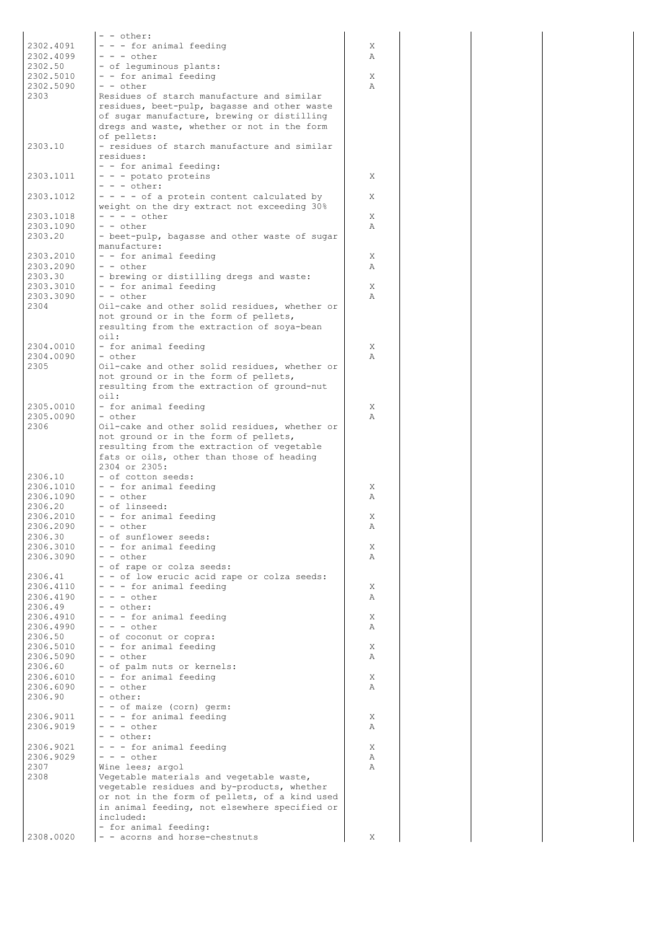|                        | - - other:                                                                                   |        |
|------------------------|----------------------------------------------------------------------------------------------|--------|
| 2302.4091              | - - - for animal feeding                                                                     | X      |
| 2302.4099              | $- - -$ other                                                                                | Α      |
| 2302.50                | - of lequminous plants:                                                                      |        |
| 2302.5010              | - - for animal feeding                                                                       | X      |
| 2302.5090<br>2303      | $- -$ other<br>Residues of starch manufacture and similar                                    | Α      |
|                        | residues, beet-pulp, bagasse and other waste                                                 |        |
|                        | of sugar manufacture, brewing or distilling                                                  |        |
|                        | dregs and waste, whether or not in the form                                                  |        |
|                        | of pellets:                                                                                  |        |
| 2303.10                | - residues of starch manufacture and similar                                                 |        |
|                        | residues:                                                                                    |        |
| 2303.1011              | - - for animal feeding:<br>- - - potato proteins                                             | X      |
|                        | $- - -$ other:                                                                               |        |
| 2303.1012              | - - - - of a protein content calculated by                                                   | Χ      |
|                        | weight on the dry extract not exceeding 30%                                                  |        |
| 2303.1018              | $- - - -$ other                                                                              | Χ      |
| 2303.1090              | - - other                                                                                    | Α      |
| 2303.20                | - beet-pulp, bagasse and other waste of sugar<br>manufacture:                                |        |
| 2303.2010              | - - for animal feeding                                                                       | Χ      |
| 2303.2090              | - - other                                                                                    | Α      |
| 2303.30                | - brewing or distilling dregs and waste:                                                     |        |
| 2303.3010              | - - for animal feeding                                                                       | Χ      |
| 2303.3090              | - - other                                                                                    | Α      |
| 2304                   | Oil-cake and other solid residues, whether or<br>not ground or in the form of pellets,       |        |
|                        | resulting from the extraction of soya-bean                                                   |        |
|                        | $\circ$ il:                                                                                  |        |
| 2304.0010              | - for animal feeding                                                                         | Χ      |
| 2304.0090              | - other                                                                                      | Α      |
| 2305                   | Oil-cake and other solid residues, whether or                                                |        |
|                        | not ground or in the form of pellets,<br>resulting from the extraction of ground-nut         |        |
|                        | $\circ$ il:                                                                                  |        |
| 2305.0010              | - for animal feeding                                                                         | Χ      |
| 2305.0090              | - other                                                                                      | Α      |
| 2306                   | Oil-cake and other solid residues, whether or                                                |        |
|                        | not ground or in the form of pellets,                                                        |        |
|                        | resulting from the extraction of vegetable<br>fats or oils, other than those of heading      |        |
|                        | 2304 or 2305:                                                                                |        |
| 2306.10                | - of cotton seeds:                                                                           |        |
| 2306.1010              | - - for animal feeding                                                                       | X      |
| 2306.1090              | - - other                                                                                    | Α      |
| 2306.20<br>2306.2010   | - of linseed:<br>- - for animal feeding                                                      | Χ      |
| 2306.2090              | - - other                                                                                    | Α      |
| 2306.30                | - of sunflower seeds:                                                                        |        |
| 2306.3010              | - - for animal feeding                                                                       | Χ      |
| 2306.3090              | - - other                                                                                    | Α      |
|                        | - of rape or colza seeds:                                                                    |        |
| 2306.41                | - - of low erucic acid rape or colza seeds:                                                  |        |
| 2306.4110<br>2306.4190 | - - - for animal feeding<br>$- - -$ other                                                    | Χ<br>Α |
| 2306.49                | - - other:                                                                                   |        |
| 2306.4910              | - - - for animal feeding                                                                     | X      |
| 2306.4990              | $- - -$ other                                                                                | Α      |
| 2306.50                | - of coconut or copra:                                                                       |        |
| 2306.5010              | - - for animal feeding<br>$ -$ other                                                         | Χ      |
| 2306.5090<br>2306.60   | - of palm nuts or kernels:                                                                   | Α      |
| 2306.6010              | - - for animal feeding                                                                       | X      |
| 2306.6090              | - - other                                                                                    | Α      |
| 2306.90                | - other:                                                                                     |        |
|                        | - - of maize (corn) germ:                                                                    |        |
| 2306.9011<br>2306.9019 | - - - for animal feeding<br>$- - -$ other                                                    | Χ<br>Α |
|                        | - - other:                                                                                   |        |
| 2306.9021              | - - - for animal feeding                                                                     | Χ      |
| 2306.9029              | $- - -$ other                                                                                | Α      |
| 2307                   | Wine lees; argol                                                                             | Α      |
| 2308                   | Vegetable materials and vegetable waste,                                                     |        |
|                        | vegetable residues and by-products, whether<br>or not in the form of pellets, of a kind used |        |
|                        | in animal feeding, not elsewhere specified or                                                |        |
|                        | included:                                                                                    |        |
|                        | - for animal feeding:                                                                        |        |
| 2308.0020              | - - acorns and horse-chestnuts                                                               | Χ      |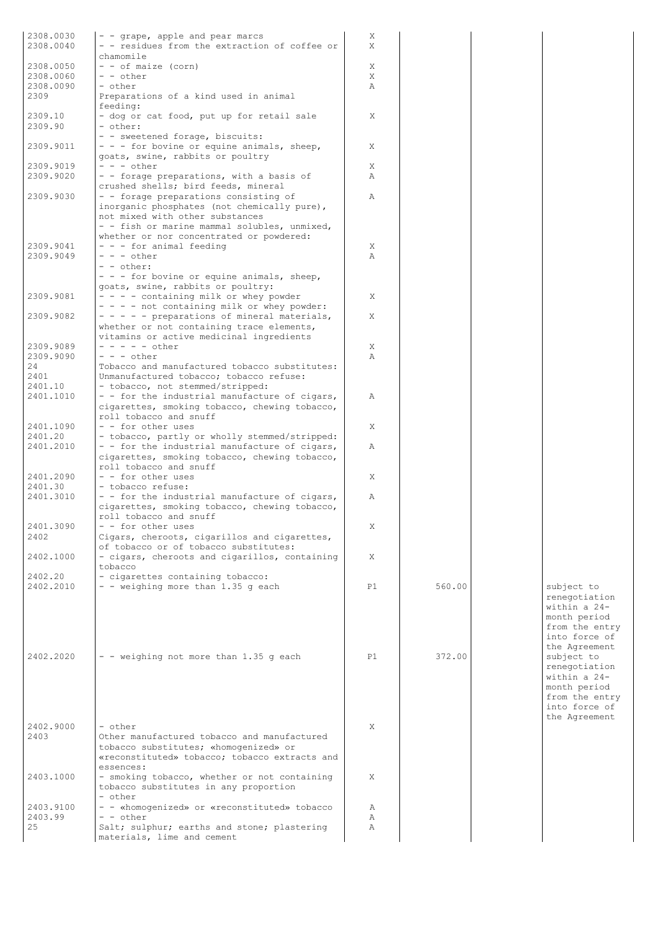| 2308.0030 |                                                                                  | Χ            |        |                |
|-----------|----------------------------------------------------------------------------------|--------------|--------|----------------|
| 2308.0040 | - - grape, apple and pear marcs<br>- - residues from the extraction of coffee or | X            |        |                |
|           | chamomile                                                                        |              |        |                |
|           |                                                                                  |              |        |                |
| 2308.0050 | $-$ - of maize (corn)                                                            | X            |        |                |
| 2308.0060 | $- -$ other                                                                      | Χ            |        |                |
| 2308.0090 | - other                                                                          | Α            |        |                |
| 2309      | Preparations of a kind used in animal                                            |              |        |                |
|           | feeding:                                                                         |              |        |                |
| 2309.10   | - dog or cat food, put up for retail sale                                        | Χ            |        |                |
| 2309.90   | - other:                                                                         |              |        |                |
|           | - - sweetened forage, biscuits:                                                  |              |        |                |
| 2309.9011 | - - - for bovine or equine animals, sheep,                                       | Χ            |        |                |
|           | goats, swine, rabbits or poultry                                                 |              |        |                |
| 2309.9019 | $- - -$ other                                                                    | X            |        |                |
| 2309.9020 | - - forage preparations, with a basis of                                         | $\mathbb{A}$ |        |                |
|           | crushed shells; bird feeds, mineral                                              |              |        |                |
| 2309.9030 | - - forage preparations consisting of                                            | $\mathbb{A}$ |        |                |
|           | inorganic phosphates (not chemically pure),                                      |              |        |                |
|           | not mixed with other substances                                                  |              |        |                |
|           | - - fish or marine mammal solubles, unmixed,                                     |              |        |                |
|           | whether or nor concentrated or powdered:                                         |              |        |                |
| 2309.9041 | - - - for animal feeding                                                         | X            |        |                |
| 2309.9049 | $- - -$ other                                                                    | Α            |        |                |
|           |                                                                                  |              |        |                |
|           | $- -$ other:                                                                     |              |        |                |
|           | - - - for bovine or equine animals, sheep,                                       |              |        |                |
|           | goats, swine, rabbits or poultry:                                                |              |        |                |
| 2309.9081 | $- - -$ containing milk or whey powder                                           | Χ            |        |                |
|           | $- - -$ not containing milk or whey powder:                                      |              |        |                |
| 2309.9082 | - - - - - preparations of mineral materials,                                     | X            |        |                |
|           | whether or not containing trace elements,                                        |              |        |                |
|           | vitamins or active medicinal ingredients                                         |              |        |                |
| 2309.9089 | $- - - - -$ other                                                                | X            |        |                |
| 2309.9090 | $- - -$ other                                                                    | Α            |        |                |
|           |                                                                                  |              |        |                |
| 24        | Tobacco and manufactured tobacco substitutes:                                    |              |        |                |
| 2401      | Unmanufactured tobacco; tobacco refuse:                                          |              |        |                |
| 2401.10   | - tobacco, not stemmed/stripped:                                                 |              |        |                |
| 2401.1010 | - - for the industrial manufacture of cigars,                                    | Α            |        |                |
|           | cigarettes, smoking tobacco, chewing tobacco,                                    |              |        |                |
|           | roll tobacco and snuff                                                           |              |        |                |
| 2401.1090 | - - for other uses                                                               | X            |        |                |
| 2401.20   | - tobacco, partly or wholly stemmed/stripped:                                    |              |        |                |
| 2401.2010 | - - for the industrial manufacture of cigars,                                    | Α            |        |                |
|           | cigarettes, smoking tobacco, chewing tobacco,                                    |              |        |                |
|           | roll tobacco and snuff                                                           |              |        |                |
|           | $-$ - for other uses                                                             |              |        |                |
| 2401.2090 |                                                                                  | X            |        |                |
| 2401.30   | - tobacco refuse:                                                                |              |        |                |
| 2401.3010 | - - for the industrial manufacture of cigars,                                    | Α            |        |                |
|           | cigarettes, smoking tobacco, chewing tobacco,                                    |              |        |                |
|           | roll tobacco and snuff                                                           |              |        |                |
| 2401.3090 | - - for other uses                                                               | Χ            |        |                |
| 2402      | Cigars, cheroots, cigarillos and cigarettes,                                     |              |        |                |
|           | of tobacco or of tobacco substitutes:                                            |              |        |                |
| 2402.1000 | - cigars, cheroots and cigarillos, containing                                    | Χ            |        |                |
|           | tobacco                                                                          |              |        |                |
| 2402.20   |                                                                                  |              |        |                |
|           | - cigarettes containing tobacco:                                                 |              |        |                |
| 2402.2010 | - - weighing more than 1.35 g each                                               | P1           | 560.00 | subject to     |
|           |                                                                                  |              |        | renegotiation  |
|           |                                                                                  |              |        | within a 24-   |
|           |                                                                                  |              |        | month period   |
|           |                                                                                  |              |        | from the entry |
|           |                                                                                  |              |        | into force of  |
|           |                                                                                  |              |        | the Agreement  |
| 2402.2020 | - - weighing not more than 1.35 g each                                           | P1           | 372.00 | subject to     |
|           |                                                                                  |              |        | renegotiation  |
|           |                                                                                  |              |        | within a 24-   |
|           |                                                                                  |              |        |                |
|           |                                                                                  |              |        | month period   |
|           |                                                                                  |              |        | from the entry |
|           |                                                                                  |              |        | into force of  |
|           |                                                                                  |              |        | the Agreement  |
| 2402.9000 | - other                                                                          | X            |        |                |
| 2403      | Other manufactured tobacco and manufactured                                      |              |        |                |
|           | tobacco substitutes; «homogenized» or                                            |              |        |                |
|           | «reconstituted» tobacco; tobacco extracts and                                    |              |        |                |
|           | essences:                                                                        |              |        |                |
| 2403.1000 | - smoking tobacco, whether or not containing                                     | X            |        |                |
|           | tobacco substitutes in any proportion                                            |              |        |                |
|           | - other                                                                          |              |        |                |
|           |                                                                                  |              |        |                |
| 2403.9100 | - - «homogenized» or «reconstituted» tobacco                                     | Α            |        |                |
| 2403.99   | - - other                                                                        | Α            |        |                |
| 25        | Salt; sulphur; earths and stone; plastering                                      | Α            |        |                |
|           | materials, lime and cement                                                       |              |        |                |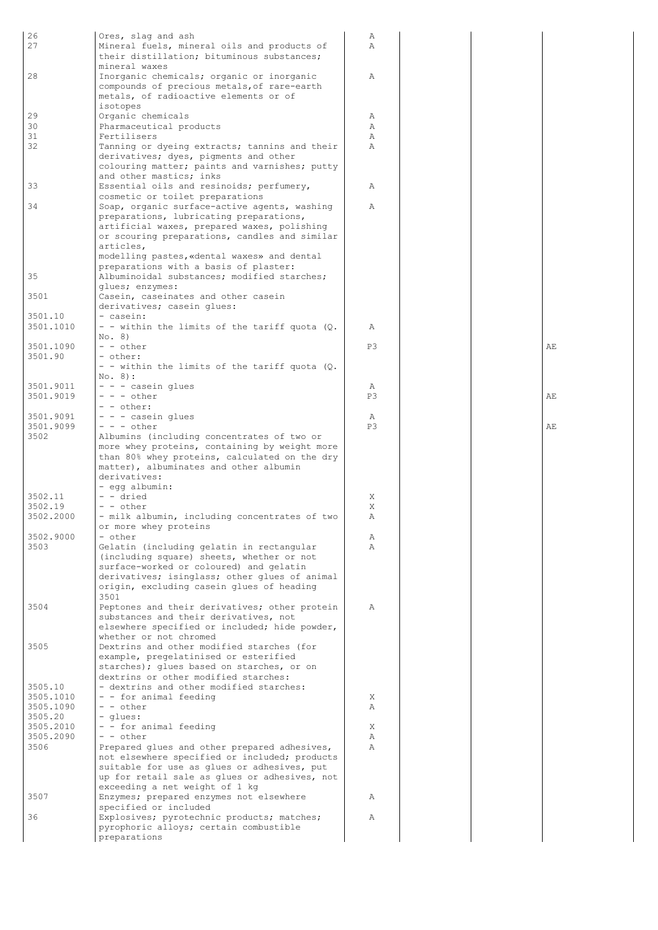| 26        | Ores, slag and ash                            | Α  |  |    |
|-----------|-----------------------------------------------|----|--|----|
| 27        | Mineral fuels, mineral oils and products of   | A  |  |    |
|           | their distillation; bituminous substances;    |    |  |    |
|           | mineral waxes                                 |    |  |    |
| 28        | Inorganic chemicals; organic or inorganic     | Α  |  |    |
|           | compounds of precious metals, of rare-earth   |    |  |    |
|           |                                               |    |  |    |
|           | metals, of radioactive elements or of         |    |  |    |
|           | isotopes                                      |    |  |    |
| 29        | Organic chemicals                             | Α  |  |    |
| 30        | Pharmaceutical products                       | Α  |  |    |
| 31        | Fertilisers                                   | Α  |  |    |
| 32        | Tanning or dyeing extracts; tannins and their | Α  |  |    |
|           |                                               |    |  |    |
|           | derivatives; dyes, pigments and other         |    |  |    |
|           | colouring matter; paints and varnishes; putty |    |  |    |
|           | and other mastics; inks                       |    |  |    |
| 33        | Essential oils and resinoids; perfumery,      | Α  |  |    |
|           | cosmetic or toilet preparations               |    |  |    |
| 34        | Soap, organic surface-active agents, washing  | Α  |  |    |
|           |                                               |    |  |    |
|           | preparations, lubricating preparations,       |    |  |    |
|           | artificial waxes, prepared waxes, polishing   |    |  |    |
|           | or scouring preparations, candles and similar |    |  |    |
|           | articles,                                     |    |  |    |
|           | modelling pastes, «dental waxes» and dental   |    |  |    |
|           | preparations with a basis of plaster:         |    |  |    |
| 35        | Albuminoidal substances; modified starches;   |    |  |    |
|           |                                               |    |  |    |
|           | glues; enzymes:                               |    |  |    |
| 3501      | Casein, caseinates and other casein           |    |  |    |
|           | derivatives; casein glues:                    |    |  |    |
| 3501.10   | - casein:                                     |    |  |    |
| 3501.1010 | - - within the limits of the tariff quota (Q. | Α  |  |    |
|           | No. 8)                                        |    |  |    |
|           |                                               |    |  |    |
| 3501.1090 | $- -$ other                                   | P3 |  | AЕ |
| 3501.90   | - other:                                      |    |  |    |
|           | - - within the limits of the tariff quota (Q. |    |  |    |
|           | $No. 8$ :                                     |    |  |    |
| 3501.9011 | - - - casein glues                            | Α  |  |    |
| 3501.9019 | $- - -$ other                                 | P3 |  | AE |
|           | - - other:                                    |    |  |    |
|           |                                               |    |  |    |
| 3501.9091 | - - - casein glues                            | Α  |  |    |
| 3501.9099 | $- - -$ other                                 | P3 |  | AЕ |
| 3502      | Albumins (including concentrates of two or    |    |  |    |
|           | more whey proteins, containing by weight more |    |  |    |
|           | than 80% whey proteins, calculated on the dry |    |  |    |
|           | matter), albuminates and other albumin        |    |  |    |
|           |                                               |    |  |    |
|           | derivatives:                                  |    |  |    |
|           | - egg albumin:                                |    |  |    |
| 3502.11   | - - dried                                     | Χ  |  |    |
| 3502.19   | - - other                                     | Χ  |  |    |
| 3502.2000 | - milk albumin, including concentrates of two | Α  |  |    |
|           |                                               |    |  |    |
|           | or more whey proteins                         |    |  |    |
| 3502.9000 | - other                                       | Α  |  |    |
| 3503      | Gelatin (including gelatin in rectangular     | Α  |  |    |
|           | (including square) sheets, whether or not     |    |  |    |
|           | surface-worked or coloured) and gelatin       |    |  |    |
|           | derivatives; isinglass; other glues of animal |    |  |    |
|           | origin, excluding casein glues of heading     |    |  |    |
|           | 3501                                          |    |  |    |
|           |                                               |    |  |    |
| 3504      | Peptones and their derivatives; other protein | Α  |  |    |
|           | substances and their derivatives, not         |    |  |    |
|           | elsewhere specified or included; hide powder, |    |  |    |
|           | whether or not chromed                        |    |  |    |
| 3505      | Dextrins and other modified starches (for     |    |  |    |
|           | example, pregelatinised or esterified         |    |  |    |
|           |                                               |    |  |    |
|           | starches); glues based on starches, or on     |    |  |    |
|           | dextrins or other modified starches:          |    |  |    |
| 3505.10   | - dextrins and other modified starches:       |    |  |    |
| 3505.1010 | - - for animal feeding                        | X  |  |    |
| 3505.1090 | $ -$ other                                    | Α  |  |    |
| 3505.20   | - glues:                                      |    |  |    |
| 3505.2010 | - - for animal feeding                        | X  |  |    |
| 3505.2090 | - - other                                     | Α  |  |    |
|           |                                               |    |  |    |
| 3506      | Prepared glues and other prepared adhesives,  | Α  |  |    |
|           | not elsewhere specified or included; products |    |  |    |
|           | suitable for use as glues or adhesives, put   |    |  |    |
|           | up for retail sale as glues or adhesives, not |    |  |    |
|           | exceeding a net weight of 1 kg                |    |  |    |
| 3507      | Enzymes; prepared enzymes not elsewhere       | Α  |  |    |
|           |                                               |    |  |    |
|           | specified or included                         |    |  |    |
| 36        | Explosives; pyrotechnic products; matches;    | Α  |  |    |
|           | pyrophoric alloys; certain combustible        |    |  |    |
|           | preparations                                  |    |  |    |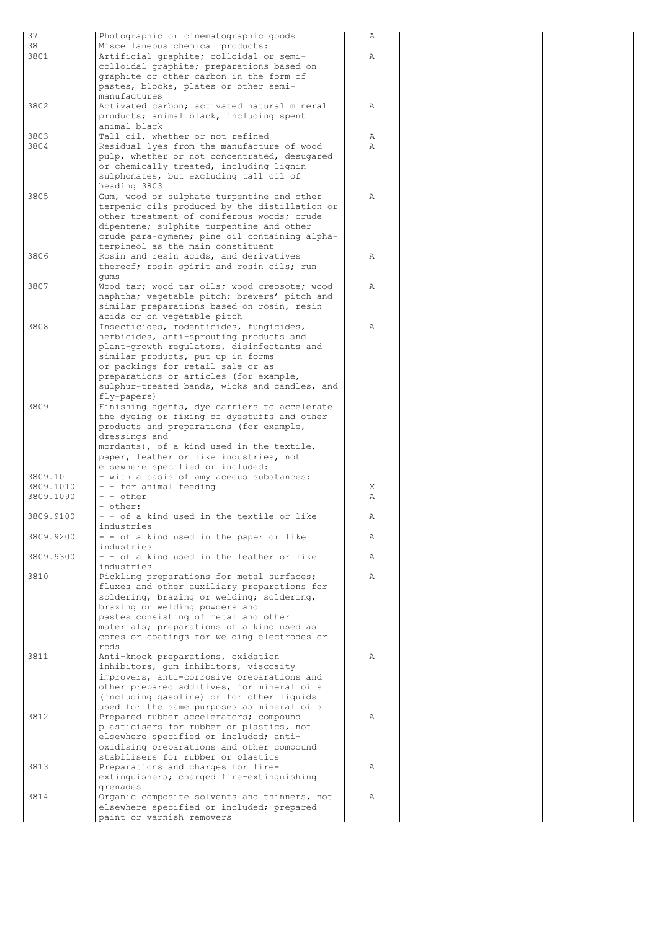| 37<br>38             | Photographic or cinematographic goods<br>Miscellaneous chemical products:                    | Α |
|----------------------|----------------------------------------------------------------------------------------------|---|
| 3801                 | Artificial graphite; colloidal or semi-                                                      | Α |
|                      | colloidal graphite; preparations based on<br>graphite or other carbon in the form of         |   |
|                      | pastes, blocks, plates or other semi-                                                        |   |
| 3802                 | manufactures<br>Activated carbon; activated natural mineral                                  | Α |
|                      | products; animal black, including spent<br>animal black                                      |   |
| 3803                 | Tall oil, whether or not refined                                                             | Α |
| 3804                 | Residual lyes from the manufacture of wood<br>pulp, whether or not concentrated, desugared   | Α |
|                      | or chemically treated, including lignin                                                      |   |
|                      | sulphonates, but excluding tall oil of<br>heading 3803                                       |   |
| 3805                 | Gum, wood or sulphate turpentine and other                                                   | Α |
|                      | terpenic oils produced by the distillation or<br>other treatment of coniferous woods; crude  |   |
|                      | dipentene; sulphite turpentine and other<br>crude para-cymene; pine oil containing alpha-    |   |
|                      | terpineol as the main constituent                                                            |   |
| 3806                 | Rosin and resin acids, and derivatives<br>thereof; rosin spirit and rosin oils; run          | Α |
|                      | qums                                                                                         |   |
| 3807                 | Wood tar; wood tar oils; wood creosote; wood<br>naphtha; vegetable pitch; brewers' pitch and | Α |
|                      | similar preparations based on rosin, resin                                                   |   |
| 3808                 | acids or on vegetable pitch<br>Insecticides, rodenticides, fungicides,                       | Α |
|                      | herbicides, anti-sprouting products and                                                      |   |
|                      | plant-growth regulators, disinfectants and<br>similar products, put up in forms              |   |
|                      | or packings for retail sale or as<br>preparations or articles (for example,                  |   |
|                      | sulphur-treated bands, wicks and candles, and                                                |   |
| 3809                 | fly-papers)<br>Finishing agents, dye carriers to accelerate                                  |   |
|                      | the dyeing or fixing of dyestuffs and other                                                  |   |
|                      | products and preparations (for example,<br>dressings and                                     |   |
|                      | mordants), of a kind used in the textile,<br>paper, leather or like industries, not          |   |
|                      | elsewhere specified or included:                                                             |   |
| 3809.10<br>3809.1010 | - with a basis of amylaceous substances:<br>- - for animal feeding                           | X |
| 3809.1090            | - - other                                                                                    | Α |
| 3809.9100            | - other:<br>- - of a kind used in the textile or like                                        | Α |
| 3809.9200            | industries                                                                                   | Α |
|                      | - - of a kind used in the paper or like<br>industries                                        |   |
| 3809.9300            | - - of a kind used in the leather or like<br>industries                                      | Α |
| 3810                 | Pickling preparations for metal surfaces;                                                    | Α |
|                      | fluxes and other auxiliary preparations for<br>soldering, brazing or welding; soldering,     |   |
|                      | brazing or welding powders and                                                               |   |
|                      | pastes consisting of metal and other<br>materials; preparations of a kind used as            |   |
|                      | cores or coatings for welding electrodes or<br>rods                                          |   |
| 3811                 | Anti-knock preparations, oxidation                                                           | Α |
|                      | inhibitors, qum inhibitors, viscosity<br>improvers, anti-corrosive preparations and          |   |
|                      | other prepared additives, for mineral oils                                                   |   |
|                      | (including gasoline) or for other liquids<br>used for the same purposes as mineral oils      |   |
| 3812                 | Prepared rubber accelerators; compound<br>plasticisers for rubber or plastics, not           | Α |
|                      | elsewhere specified or included; anti-                                                       |   |
|                      | oxidising preparations and other compound<br>stabilisers for rubber or plastics              |   |
| 3813                 | Preparations and charges for fire-                                                           | Α |
|                      | extinguishers; charged fire-extinguishing<br>grenades                                        |   |
| 3814                 | Organic composite solvents and thinners, not                                                 | Α |
|                      | elsewhere specified or included; prepared<br>paint or varnish removers                       |   |

| $\overline{A}$ |  |
|----------------|--|
| $\overline{A}$ |  |
|                |  |
|                |  |
| $\mathbb{A}$   |  |
|                |  |
| A<br>A         |  |
|                |  |
| $\overline{A}$ |  |
|                |  |
|                |  |
|                |  |
| $\overline{A}$ |  |
| A              |  |
|                |  |
| $\overline{A}$ |  |
|                |  |
|                |  |
|                |  |
|                |  |
|                |  |
|                |  |
|                |  |
|                |  |
| X<br>A         |  |
| $\overline{A}$ |  |
| A              |  |
| A              |  |
| $\overline{A}$ |  |
|                |  |
|                |  |
|                |  |
|                |  |
| Α              |  |
|                |  |
|                |  |
| A              |  |
|                |  |
| A              |  |
|                |  |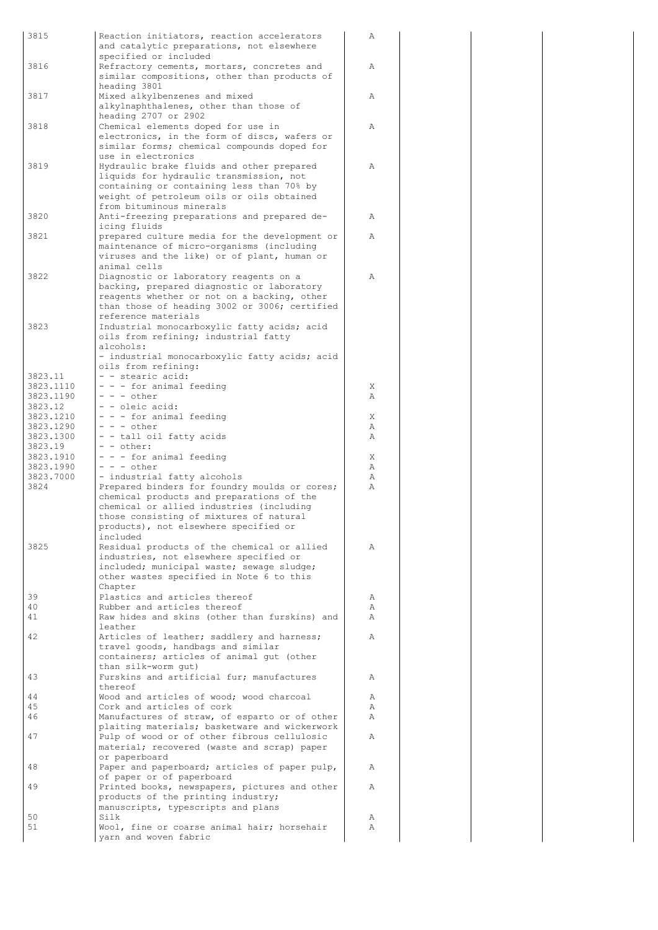| 3815                   | Reaction initiators, reaction accelerators                                                  | Α      |
|------------------------|---------------------------------------------------------------------------------------------|--------|
|                        | and catalytic preparations, not elsewhere<br>specified or included                          |        |
| 3816                   | Refractory cements, mortars, concretes and                                                  | Α      |
|                        | similar compositions, other than products of                                                |        |
| 3817                   | heading 3801                                                                                | Α      |
|                        | Mixed alkylbenzenes and mixed<br>alkylnaphthalenes, other than those of                     |        |
|                        | heading 2707 or 2902                                                                        |        |
| 3818                   | Chemical elements doped for use in                                                          | Α      |
|                        | electronics, in the form of discs, wafers or<br>similar forms; chemical compounds doped for |        |
|                        | use in electronics                                                                          |        |
| 3819                   | Hydraulic brake fluids and other prepared                                                   | Α      |
|                        | liquids for hydraulic transmission, not                                                     |        |
|                        | containing or containing less than 70% by<br>weight of petroleum oils or oils obtained      |        |
|                        | from bituminous minerals                                                                    |        |
| 3820                   | Anti-freezing preparations and prepared de-                                                 | Α      |
| 3821                   | icing fluids                                                                                | Α      |
|                        | prepared culture media for the development or<br>maintenance of micro-organisms (including  |        |
|                        | viruses and the like) or of plant, human or                                                 |        |
|                        | animal cells                                                                                |        |
| 3822                   | Diagnostic or laboratory reagents on a<br>backing, prepared diagnostic or laboratory        | Α      |
|                        | reagents whether or not on a backing, other                                                 |        |
|                        | than those of heading 3002 or 3006; certified                                               |        |
|                        | reference materials                                                                         |        |
| 3823                   | Industrial monocarboxylic fatty acids; acid<br>oils from refining; industrial fatty         |        |
|                        | alcohols:                                                                                   |        |
|                        | - industrial monocarboxylic fatty acids; acid                                               |        |
|                        | oils from refining:                                                                         |        |
| 3823.11<br>3823.1110   | - - stearic acid:<br>- - - for animal feeding                                               | X      |
| 3823.1190              | $- - -$ other                                                                               | Α      |
| 3823.12                | - - oleic acid:                                                                             |        |
| 3823.1210<br>3823.1290 | - - - for animal feeding<br>$- - -$ other                                                   | X<br>Α |
| 3823.1300              | - - tall oil fatty acids                                                                    | Α      |
| 3823.19                | - - other:                                                                                  |        |
| 3823.1910              | - - - for animal feeding                                                                    | Χ      |
| 3823.1990<br>3823.7000 | - - - other<br>- industrial fatty alcohols                                                  | Α<br>Α |
| 3824                   | Prepared binders for foundry moulds or cores;                                               | Α      |
|                        | chemical products and preparations of the                                                   |        |
|                        | chemical or allied industries (including                                                    |        |
|                        | those consisting of mixtures of natural<br>products), not elsewhere specified or            |        |
|                        | included                                                                                    |        |
| 3825                   | Residual products of the chemical or allied                                                 | Α      |
|                        | industries, not elsewhere specified or<br>included; municipal waste; sewage sludge;         |        |
|                        | other wastes specified in Note 6 to this                                                    |        |
|                        | Chapter                                                                                     |        |
| 39                     | Plastics and articles thereof                                                               | Α      |
| 40<br>41               | Rubber and articles thereof<br>Raw hides and skins (other than furskins) and                | Α<br>Α |
|                        | leather                                                                                     |        |
| 42                     | Articles of leather; saddlery and harness;                                                  | Α      |
|                        | travel goods, handbags and similar                                                          |        |
|                        | containers; articles of animal gut (other<br>than silk-worm qut)                            |        |
| 43                     | Furskins and artificial fur; manufactures                                                   | Α      |
|                        | thereof                                                                                     |        |
| 44<br>45               | Wood and articles of wood; wood charcoal<br>Cork and articles of cork                       | Α<br>Α |
| 46                     | Manufactures of straw, of esparto or of other                                               | Α      |
|                        | plaiting materials; basketware and wickerwork                                               |        |
| 47                     | Pulp of wood or of other fibrous cellulosic                                                 | Α      |
|                        | material; recovered (waste and scrap) paper<br>or paperboard                                |        |
| 48                     | Paper and paperboard; articles of paper pulp,                                               | Α      |
|                        | of paper or of paperboard                                                                   |        |
| 49                     | Printed books, newspapers, pictures and other                                               | Α      |
|                        | products of the printing industry;<br>manuscripts, typescripts and plans                    |        |
| 50                     | Silk                                                                                        | Α      |
| 51                     | Wool, fine or coarse animal hair; horsehair                                                 | Α      |
|                        | yarn and woven fabric                                                                       |        |

A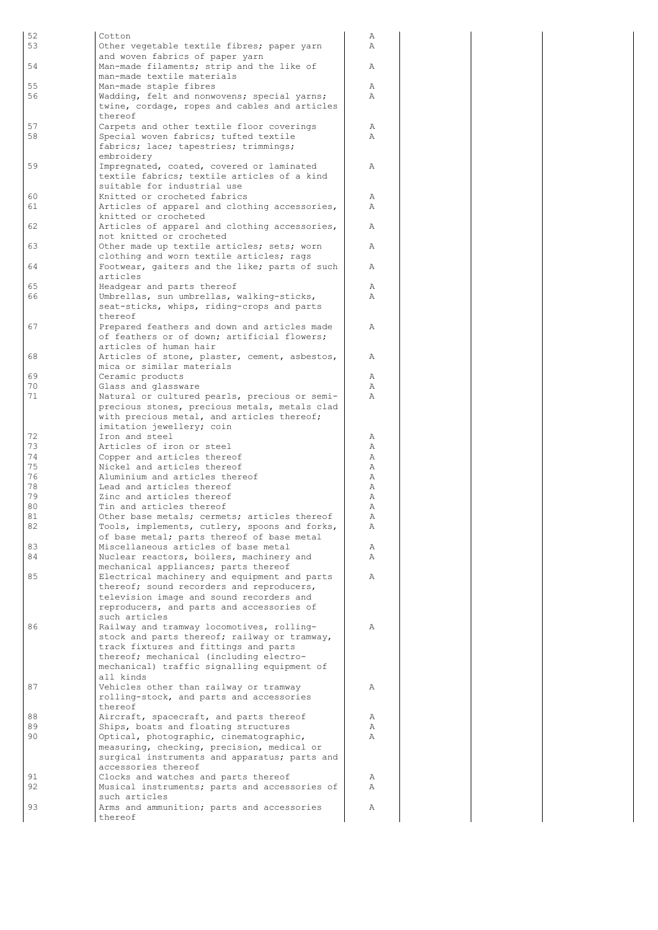| 52<br>53 | Cotton<br>Other vegetable textile fibres; paper yarn                                      | Α<br>Α |
|----------|-------------------------------------------------------------------------------------------|--------|
|          | and woven fabrics of paper yarn                                                           |        |
| 54       | Man-made filaments; strip and the like of<br>man-made textile materials                   | Α      |
| 55       | Man-made staple fibres                                                                    | Α      |
| 56       | Wadding, felt and nonwovens; special yarns;                                               | Α      |
|          | twine, cordage, ropes and cables and articles<br>thereof                                  |        |
| 57       | Carpets and other textile floor coverings                                                 | Α      |
| 58       | Special woven fabrics; tufted textile                                                     | Α      |
|          | fabrics; lace; tapestries; trimmings;<br>embroidery                                       |        |
| 59       | Impregnated, coated, covered or laminated                                                 | Α      |
|          | textile fabrics; textile articles of a kind                                               |        |
| 60       | suitable for industrial use<br>Knitted or crocheted fabrics                               | Α      |
| 61       | Articles of apparel and clothing accessories,                                             | A      |
|          | knitted or crocheted                                                                      |        |
| 62       | Articles of apparel and clothing accessories,<br>not knitted or crocheted                 | A      |
| 63       | Other made up textile articles; sets; worn                                                | Α      |
|          | clothing and worn textile articles; rags                                                  |        |
| 64       | Footwear, gaiters and the like; parts of such<br>articles                                 | Α      |
| 65       | Headgear and parts thereof                                                                | Α      |
| 66       | Umbrellas, sun umbrellas, walking-sticks,                                                 | Α      |
|          | seat-sticks, whips, riding-crops and parts<br>thereof                                     |        |
| 67       | Prepared feathers and down and articles made                                              | Α      |
|          | of feathers or of down; artificial flowers;                                               |        |
| 68       | articles of human hair<br>Articles of stone, plaster, cement, asbestos,                   | Α      |
|          | mica or similar materials                                                                 |        |
| 69       | Ceramic products                                                                          | Α      |
| 70<br>71 | Glass and glassware<br>Natural or cultured pearls, precious or semi-                      | Α<br>Α |
|          | precious stones, precious metals, metals clad                                             |        |
|          | with precious metal, and articles thereof;                                                |        |
| 72       | imitation jewellery; coin<br>Iron and steel                                               | Α      |
| 73       | Articles of iron or steel                                                                 | Α      |
| 74       | Copper and articles thereof                                                               | Α      |
| 75<br>76 | Nickel and articles thereof<br>Aluminium and articles thereof                             | Α<br>Α |
| 78       | Lead and articles thereof                                                                 | Α      |
| 79       | Zinc and articles thereof<br>Tin and articles thereof                                     | Α      |
| 80<br>81 | Other base metals; cermets; articles thereof                                              | Α<br>Α |
| 82       | Tools, implements, cutlery, spoons and forks,                                             | Α      |
|          | of base metal; parts thereof of base metal                                                |        |
| 83<br>84 | Miscellaneous articles of base metal<br>Nuclear reactors, boilers, machinery and          | Α<br>Α |
|          | mechanical appliances; parts thereof                                                      |        |
| 85       | Electrical machinery and equipment and parts<br>thereof; sound recorders and reproducers, | Α      |
|          | television image and sound recorders and                                                  |        |
|          | reproducers, and parts and accessories of                                                 |        |
| 86       | such articles<br>Railway and tramway locomotives, rolling-                                | Α      |
|          | stock and parts thereof; railway or tramway,                                              |        |
|          | track fixtures and fittings and parts                                                     |        |
|          | thereof; mechanical (including electro-<br>mechanical) traffic signalling equipment of    |        |
|          | all kinds                                                                                 |        |
| 87       | Vehicles other than railway or tramway                                                    | Α      |
|          | rolling-stock, and parts and accessories<br>thereof                                       |        |
| 88       | Aircraft, spacecraft, and parts thereof                                                   | Α      |
| 89       | Ships, boats and floating structures                                                      | Α      |
| 90       | Optical, photographic, cinematographic,<br>measuring, checking, precision, medical or     | Α      |
|          | surgical instruments and apparatus; parts and                                             |        |
|          | accessories thereof                                                                       |        |
| 91<br>92 | Clocks and watches and parts thereof<br>Musical instruments; parts and accessories of     | Α<br>Α |
|          | such articles                                                                             |        |
| 93       | Arms and ammunition; parts and accessories<br>thereof                                     | Α      |
|          |                                                                                           |        |

A<br>A